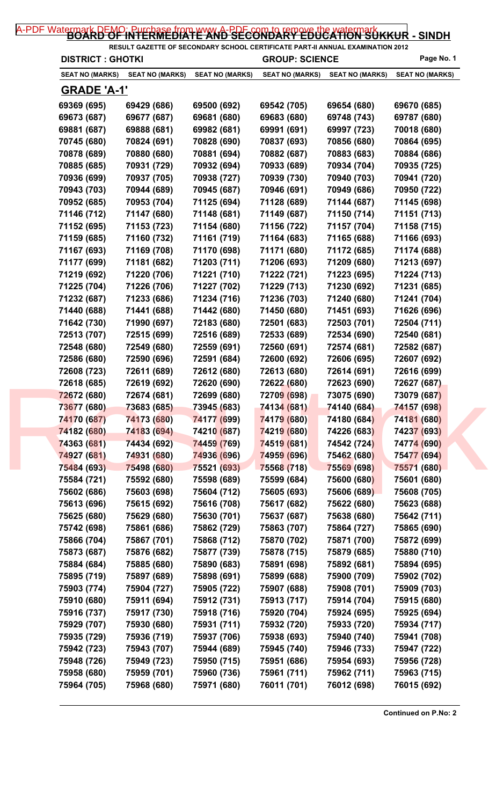| <b>DISTRICT : GHOTKI</b> |                        |                        | <b>GROUP: SCIENCE</b>  |                        | Page No. 1             |  |
|--------------------------|------------------------|------------------------|------------------------|------------------------|------------------------|--|
| <b>SEAT NO (MARKS)</b>   | <b>SEAT NO (MARKS)</b> | <b>SEAT NO (MARKS)</b> | <b>SEAT NO (MARKS)</b> | <b>SEAT NO (MARKS)</b> | <b>SEAT NO (MARKS)</b> |  |
| <u>GRADE 'A-1'</u>       |                        |                        |                        |                        |                        |  |
| 69369 (695)              | 69429 (686)            | 69500 (692)            | 69542 (705)            | 69654 (680)            | 69670 (685)            |  |
| 69673 (687)              | 69677 (687)            | 69681 (680)            | 69683 (680)            | 69748 (743)            | 69787 (680)            |  |
| 69881 (687)              | 69888 (681)            | 69982 (681)            | 69991 (691)            | 69997 (723)            | 70018 (680)            |  |
| 70745 (680)              | 70824 (691)            | 70828 (690)            | 70837 (693)            | 70856 (680)            | 70864 (695)            |  |
| 70878 (689)              | 70880 (680)            | 70881 (694)            | 70882 (687)            | 70883 (683)            | 70884 (686)            |  |
| 70885 (685)              | 70931 (729)            | 70932 (694)            | 70933 (689)            | 70934 (704)            | 70935 (725)            |  |
| 70936 (699)              | 70937 (705)            | 70938 (727)            | 70939 (730)            | 70940 (703)            | 70941 (720)            |  |
| 70943 (703)              | 70944 (689)            | 70945 (687)            | 70946 (691)            | 70949 (686)            | 70950 (722)            |  |
| 70952 (685)              | 70953 (704)            | 71125 (694)            | 71128 (689)            | 71144 (687)            | 71145 (698)            |  |
| 71146 (712)              | 71147 (680)            | 71148 (681)            | 71149 (687)            | 71150 (714)            | 71151 (713)            |  |
| 71152 (695)              | 71153 (723)            | 71154 (680)            | 71156 (722)            | 71157 (704)            | 71158 (715)            |  |
| 71159 (685)              | 71160 (732)            | 71161 (719)            | 71164 (683)            | 71165 (688)            | 71166 (693)            |  |
| 71167 (693)              | 71169 (708)            | 71170 (698)            | 71171 (680)            | 71172 (685)            | 71174 (688)            |  |
| 71177 (699)              | 71181 (682)            | 71203 (711)            | 71206 (693)            | 71209 (680)            | 71213 (697)            |  |
| 71219 (692)              | 71220 (706)            | 71221 (710)            | 71222 (721)            | 71223 (695)            | 71224 (713)            |  |
| 71225 (704)              | 71226 (706)            | 71227 (702)            | 71229 (713)            | 71230 (692)            | 71231 (685)            |  |
| 71232 (687)              | 71233 (686)            | 71234 (716)            | 71236 (703)            | 71240 (680)            | 71241 (704)            |  |
| 71440 (688)              | 71441 (688)            | 71442 (680)            | 71450 (680)            | 71451 (693)            | 71626 (696)            |  |
| 71642 (730)              | 71990 (697)            | 72183 (680)            | 72501 (683)            | 72503 (701)            | 72504 (711)            |  |
| 72513 (707)              | 72515 (699)            | 72516 (689)            | 72533 (689)            | 72534 (690)            | 72540 (681)            |  |
| 72548 (680)              | 72549 (680)            | 72559 (691)            | 72560 (691)            | 72574 (681)            | 72582 (687)            |  |
| 72586 (680)              | 72590 (696)            | 72591 (684)            | 72600 (692)            | 72606 (695)            | 72607 (692)            |  |
| 72608 (723)              | 72611 (689)            | 72612 (680)            | 72613 (680)            | 72614 (691)            | 72616 (699)            |  |
| 72618 (685)              | 72619 (692)            | 72620 (690)            | 72622 (680)            | 72623 (690)            | 72627 (687)            |  |
| 72672 (680)              | 72674 (681)            | 72699 (680)            | 72709 (698)            | 73075 (690)            | 73079 (687)            |  |
| 73677 (680)              | 73683 (685)            | 73945 (683)            | 74134 (681)            | 74140 (684)            | 74157 (698)            |  |
| 74170 (687)              | 74173 (680)            | 74177 (699)            | 74179 (680)            | 74180 (684)            | 74181 (680)            |  |
| 74182 (680)              | 74183 (694)            | 74210 (687)            | 74219 (680)            | 74226 (683)            | 74237 (693)            |  |
| 74363 (681)              | 74434 (692)            | 74459 (769)            | 74519 (681)            | 74542 (724)            | 74774 (690)            |  |
| 74927 (681)              | 74931 (680)            | 74936 (696)            | 74959 (696)            | 75462 (680)            | 75477 (694)            |  |
| 75484 (693)              | 75498 (680)            | 75521 (693)            | 75568 (718)            | 75569 (698)            | 75571 (680)            |  |
| 75584 (721)              | 75592 (680)            | 75598 (689)            | 75599 (684)            | 75600 (680)            | 75601 (680)            |  |
| 75602 (686)              | 75603 (698)            | 75604 (712)            | 75605 (693)            | 75606 (689)            | 75608 (705)            |  |
| 75613 (696)              | 75615 (692)            | 75616 (708)            | 75617 (682)            | 75622 (680)            | 75623 (688)            |  |
| 75625 (680)              | 75629 (680)            | 75630 (701)            | 75637 (687)            | 75638 (680)            | 75642 (711)            |  |
| 75742 (698)              | 75861 (686)            | 75862 (729)            | 75863 (707)            | 75864 (727)            | 75865 (690)            |  |
| 75866 (704)              | 75867 (701)            | 75868 (712)            | 75870 (702)            | 75871 (700)            | 75872 (699)            |  |
| 75873 (687)              | 75876 (682)            | 75877 (739)            | 75878 (715)            | 75879 (685)            | 75880 (710)            |  |
| 75884 (684)              | 75885 (680)            | 75890 (683)            | 75891 (698)            | 75892 (681)            | 75894 (695)            |  |
| 75895 (719)              | 75897 (689)            | 75898 (691)            | 75899 (688)            | 75900 (709)            | 75902 (702)            |  |
| 75903 (774)              | 75904 (727)            | 75905 (722)            | 75907 (688)            | 75908 (701)            | 75909 (703)            |  |
| 75910 (680)              | 75911 (694)            | 75912 (731)            | 75913 (717)            | 75914 (704)            | 75915 (680)            |  |
| 75916 (737)              | 75917 (730)            | 75918 (716)            | 75920 (704)            | 75924 (695)            | 75925 (694)            |  |
|                          |                        |                        |                        |                        |                        |  |
| 75929 (707)              | 75930 (680)            | 75931 (711)            | 75932 (720)            | 75933 (720)            | 75934 (717)            |  |
| 75935 (729)              | 75936 (719)            | 75937 (706)            | 75938 (693)            | 75940 (740)            | 75941 (708)            |  |
| 75942 (723)              | 75943 (707)            | 75944 (689)            | 75945 (740)            | 75946 (733)            | 75947 (722)            |  |
| 75948 (726)              | 75949 (723)            | 75950 (715)            | 75951 (686)            | 75954 (693)            | 75956 (728)            |  |
| 75958 (680)              | 75959 (701)            | 75960 (736)            | 75961 (711)            | 75962 (711)            | 75963 (715)            |  |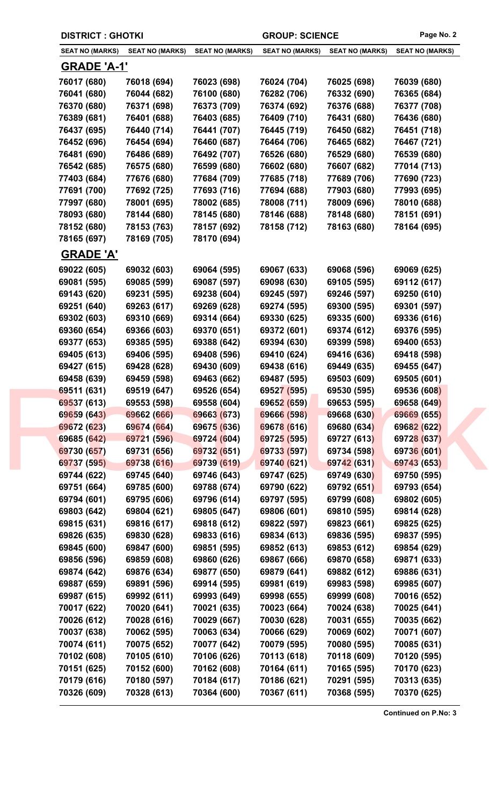| <b>DISTRICT : GHOTKI</b> |                        |                        | <b>GROUP: SCIENCE</b>  |                        | Page No. 2             |
|--------------------------|------------------------|------------------------|------------------------|------------------------|------------------------|
| <b>SEAT NO (MARKS)</b>   | <b>SEAT NO (MARKS)</b> | <b>SEAT NO (MARKS)</b> | <b>SEAT NO (MARKS)</b> | <b>SEAT NO (MARKS)</b> | <b>SEAT NO (MARKS)</b> |
| <u>GRADE 'A-1'</u>       |                        |                        |                        |                        |                        |
| 76017 (680)              | 76018 (694)            | 76023 (698)            | 76024 (704)            | 76025 (698)            | 76039 (680)            |
| 76041 (680)              | 76044 (682)            | 76100 (680)            | 76282 (706)            | 76332 (690)            | 76365 (684)            |
| 76370 (680)              | 76371 (698)            | 76373 (709)            | 76374 (692)            | 76376 (688)            | 76377 (708)            |
| 76389 (681)              | 76401 (688)            | 76403 (685)            | 76409 (710)            | 76431 (680)            | 76436 (680)            |
| 76437 (695)              | 76440 (714)            | 76441 (707)            | 76445 (719)            | 76450 (682)            | 76451 (718)            |
| 76452 (696)              | 76454 (694)            | 76460 (687)            | 76464 (706)            | 76465 (682)            | 76467 (721)            |
| 76481 (690)              | 76486 (689)            | 76492 (707)            | 76526 (680)            | 76529 (680)            | 76539 (680)            |
| 76542 (685)              | 76575 (680)            | 76599 (680)            | 76602 (680)            | 76607 (682)            | 77014 (713)            |
| 77403 (684)              | 77676 (680)            | 77684 (709)            | 77685 (718)            | 77689 (706)            | 77690 (723)            |
| 77691 (700)              | 77692 (725)            | 77693 (716)            | 77694 (688)            | 77903 (680)            | 77993 (695)            |
| 77997 (680)              | 78001 (695)            | 78002 (685)            | 78008 (711)            | 78009 (696)            | 78010 (688)            |
| 78093 (680)              | 78144 (680)            | 78145 (680)            | 78146 (688)            | 78148 (680)            | 78151 (691)            |
| 78152 (680)              | 78153 (763)            | 78157 (692)            | 78158 (712)            | 78163 (680)            | 78164 (695)            |
| 78165 (697)              | 78169 (705)            | 78170 (694)            |                        |                        |                        |
| <b>GRADE 'A'</b>         |                        |                        |                        |                        |                        |
| 69022 (605)              | 69032 (603)            | 69064 (595)            | 69067 (633)            | 69068 (596)            | 69069 (625)            |
| 69081 (595)              | 69085 (599)            | 69087 (597)            | 69098 (630)            | 69105 (595)            | 69112 (617)            |
| 69143 (620)              | 69231 (595)            | 69238 (604)            | 69245 (597)            | 69246 (597)            | 69250 (610)            |
| 69251 (640)              | 69263 (617)            | 69269 (628)            | 69274 (595)            | 69300 (595)            | 69301 (597)            |
| 69302 (603)              | 69310 (669)            | 69314 (664)            | 69330 (625)            | 69335 (600)            | 69336 (616)            |
| 69360 (654)              | 69366 (603)            | 69370 (651)            | 69372 (601)            | 69374 (612)            | 69376 (595)            |
| 69377 (653)              | 69385 (595)            | 69388 (642)            | 69394 (630)            | 69399 (598)            | 69400 (653)            |
| 69405 (613)              | 69406 (595)            | 69408 (596)            | 69410 (624)            | 69416 (636)            | 69418 (598)            |
| 69427 (615)              | 69428 (628)            | 69430 (609)            | 69438 (616)            | 69449 (635)            | 69455 (647)            |
| 69458 (639)              | 69459 (598)            | 69463 (662)            | 69487 (595)            | 69503 (609)            | 69505 (601)            |
| 69511 (631)              | 69519 (647)            | 69526 (654)            | 69527 (595)            | 69530 (595)            | 69536 (608)            |
| 69537 (613)              | 69553 (598)            | 69558 (604)            | 69652 (659)            | 69653 (595)            | 69658 (649)            |
| 69659 (643)              | 69662 (666)            | 69663 (673)            | 69666 (598)            | 69668 (630)            | 69669 (655)            |
| 69672 (623)              | 69674 (664)            | 69675 (636)            | 69678 (616)            | 69680 (634)            | 69682 (622)            |
| 69685 (642)              | 69721 (596)            | 69724 (604)            | 69725 (595)            | 69727 (613)            | 69728 (637)            |
| 69730 (657)              | 69731 (656)            | 69732 (651)            | 69733 (597)            | 69734 (598)            | 69736 (601)            |
| 69737 (595)              | 69738 (616)            | 69739 (619)            | 69740 (621)            | 69742 (631)            | 69743 (653)            |
| 69744 (622)              | 69745 (640)            | 69746 (643)            | 69747 (625)            | 69749 (630)            | 69750 (595)            |
| 69751 (664)              | 69785 (600)            | 69788 (674)            | 69790 (622)            | 69792 (651)            | 69793 (654)            |
| 69794 (601)              | 69795 (606)            | 69796 (614)            | 69797 (595)            | 69799 (608)            | 69802 (605)            |
| 69803 (642)              | 69804 (621)            | 69805 (647)            | 69806 (601)            | 69810 (595)            | 69814 (628)            |
| 69815 (631)              | 69816 (617)            | 69818 (612)            | 69822 (597)            | 69823 (661)            | 69825 (625)            |
| 69826 (635)              | 69830 (628)            | 69833 (616)            | 69834 (613)            | 69836 (595)            | 69837 (595)            |
| 69845 (600)              | 69847 (600)            | 69851 (595)            | 69852 (613)            | 69853 (612)            | 69854 (629)            |
| 69856 (596)              | 69859 (608)            | 69860 (626)            | 69867 (666)            | 69870 (658)            | 69871 (633)            |
| 69874 (642)              | 69876 (634)            | 69877 (650)            | 69879 (641)            | 69882 (612)            | 69886 (631)            |
| 69887 (659)              | 69891 (596)            | 69914 (595)            | 69981 (619)            | 69983 (598)            | 69985 (607)            |
| 69987 (615)              | 69992 (611)            | 69993 (649)            | 69998 (655)            | 69999 (608)            | 70016 (652)            |
| 70017 (622)              | 70020 (641)            | 70021 (635)            | 70023 (664)            | 70024 (638)            | 70025 (641)            |
|                          |                        |                        |                        |                        |                        |
| 70026 (612)              | 70028 (616)            | 70029 (667)            | 70030 (628)            | 70031 (655)            | 70035 (662)            |
| 70037 (638)              | 70062 (595)            | 70063 (634)            | 70066 (629)            | 70069 (602)            | 70071 (607)            |
| 70074 (611)              | 70075 (652)            | 70077 (642)            | 70079 (595)            | 70080 (595)            | 70085 (631)            |
| 70102 (608)              | 70105 (610)            | 70106 (626)            | 70113 (618)            | 70118 (609)            | 70120 (595)            |
| 70151 (625)              | 70152 (600)            | 70162 (608)            | 70164 (611)            | 70165 (595)            | 70170 (623)            |
| 70179 (616)              | 70180 (597)            | 70184 (617)            | 70186 (621)            | 70291 (595)            | 70313 (635)            |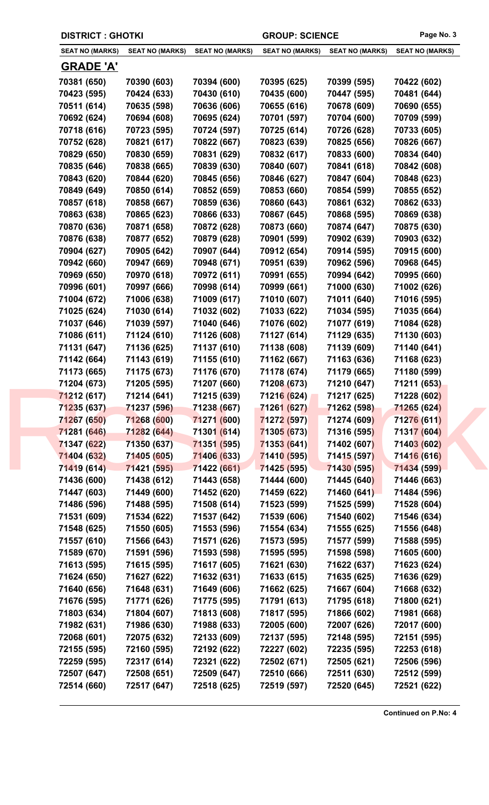| <b>DISTRICT : GHOTKI</b> |                        |                        | <b>GROUP: SCIENCE</b>  |                        | Page No. 3             |
|--------------------------|------------------------|------------------------|------------------------|------------------------|------------------------|
| <b>SEAT NO (MARKS)</b>   | <b>SEAT NO (MARKS)</b> | <b>SEAT NO (MARKS)</b> | <b>SEAT NO (MARKS)</b> | <b>SEAT NO (MARKS)</b> | <b>SEAT NO (MARKS)</b> |
| <b>GRADE 'A'</b>         |                        |                        |                        |                        |                        |
| 70381 (650)              | 70390 (603)            | 70394 (600)            | 70395 (625)            | 70399 (595)            | 70422 (602)            |
| 70423 (595)              | 70424 (633)            | 70430 (610)            | 70435 (600)            | 70447 (595)            | 70481 (644)            |
| 70511 (614)              | 70635 (598)            | 70636 (606)            | 70655 (616)            | 70678 (609)            | 70690 (655)            |
| 70692 (624)              | 70694 (608)            | 70695 (624)            | 70701 (597)            | 70704 (600)            | 70709 (599)            |
| 70718 (616)              | 70723 (595)            | 70724 (597)            | 70725 (614)            | 70726 (628)            | 70733 (605)            |
| 70752 (628)              | 70821 (617)            | 70822 (667)            | 70823 (639)            | 70825 (656)            | 70826 (667)            |
| 70829 (650)              | 70830 (659)            | 70831 (629)            | 70832 (617)            | 70833 (600)            | 70834 (640)            |
| 70835 (646)              | 70838 (665)            | 70839 (630)            | 70840 (607)            | 70841 (618)            | 70842 (608)            |
| 70843 (620)              | 70844 (620)            | 70845 (656)            | 70846 (627)            | 70847 (604)            | 70848 (623)            |
| 70849 (649)              | 70850 (614)            | 70852 (659)            | 70853 (660)            | 70854 (599)            | 70855 (652)            |
| 70857 (618)              | 70858 (667)            | 70859 (636)            | 70860 (643)            | 70861 (632)            | 70862 (633)            |
| 70863 (638)              | 70865 (623)            | 70866 (633)            | 70867 (645)            | 70868 (595)            | 70869 (638)            |
| 70870 (636)              | 70871 (658)            | 70872 (628)            | 70873 (660)            | 70874 (647)            | 70875 (630)            |
| 70876 (638)              | 70877 (652)            | 70879 (628)            | 70901 (599)            | 70902 (639)            | 70903 (632)            |
| 70904 (627)              | 70905 (642)            | 70907 (644)            | 70912 (654)            | 70914 (595)            | 70915 (600)            |
| 70942 (660)              | 70947 (669)            | 70948 (671)            | 70951 (639)            | 70962 (596)            | 70968 (645)            |
| 70969 (650)              | 70970 (618)            | 70972 (611)            | 70991 (655)            | 70994 (642)            | 70995 (660)            |
| 70996 (601)              | 70997 (666)            | 70998 (614)            | 70999 (661)            | 71000 (630)            | 71002 (626)            |
| 71004 (672)              | 71006 (638)            | 71009 (617)            | 71010 (607)            | 71011 (640)            | 71016 (595)            |
| 71025 (624)              | 71030 (614)            | 71032 (602)            | 71033 (622)            | 71034 (595)            | 71035 (664)            |
| 71037 (646)              | 71039 (597)            | 71040 (646)            | 71076 (602)            | 71077 (619)            | 71084 (628)            |
| 71086 (611)              | 71124 (610)            | 71126 (608)            | 71127 (614)            | 71129 (635)            | 71130 (603)            |
| 71131 (647)              | 71136 (625)            | 71137 (610)            | 71138 (608)            | 71139 (609)            | 71140 (641)            |
| 71142 (664)              | 71143 (619)            | 71155 (610)            | 71162 (667)            | 71163 (636)            | 71168 (623)            |
| 71173 (665)              | 71175 (673)            | 71176 (670)            | 71178 (674)            | 71179 (665)            | 71180 (599)            |
| 71204 (673)              | 71205 (595)            | 71207 (660)            | 71208 (673)            | 71210 (647)            | 71211 (653)            |
| 71212 (617)              | 71214 (641)            | 71215 (639)            | 71216 (624)            | 71217 (625)            | 71228 (602)            |
| 71235 (637)              | 71237 (596)            | 71238 (667)            | 71261 (627)            | 71262 (598)            | 71265 (624)            |
| 71267 (650)              | 71268 (600)            | 71271 (600)            | 71272 (597)            | 71274 (609)            | 71276 (611)            |
| 71281 (646)              | 71282 (644)            | 71301 (614)            | 71305 (673)            | 71316 (595)            | 71317 (604)            |
| 71347 (622)              | 71350 (637)            | 71351 (595)            | 71353 (641)            | 71402 (607)            | 71403 (602)            |
| 71404 (632)              | 71405 (605)            | 71406 (633)            | 71410 (595)            | 71415 (597)            | 71416 (616)            |
| 71419 (614)              | 71421 (595)            | 71422 (661)            | 71425 (595)            | 71430 (595)            | 71434 (599)            |
| 71436 (600)              | 71438 (612)            | 71443 (658)            | 71444 (600)            | 71445 (640)            | 71446 (663)            |
| 71447 (603)              | 71449 (600)            | 71452 (620)            | 71459 (622)            | 71460 (641)            | 71484 (596)            |
| 71486 (596)              | 71488 (595)            | 71508 (614)            | 71523 (599)            | 71525 (599)            | 71528 (604)            |
| 71531 (609)              | 71534 (622)            | 71537 (642)            | 71539 (606)            | 71540 (602)            | 71546 (634)            |
| 71548 (625)              | 71550 (605)            | 71553 (596)            | 71554 (634)            | 71555 (625)            | 71556 (648)            |
| 71557 (610)              | 71566 (643)            | 71571 (626)            | 71573 (595)            | 71577 (599)            | 71588 (595)            |
| 71589 (670)              | 71591 (596)            | 71593 (598)            | 71595 (595)            | 71598 (598)            | 71605 (600)            |
| 71613 (595)              | 71615 (595)            | 71617 (605)            | 71621 (630)            | 71622 (637)            | 71623 (624)            |
| 71624 (650)              | 71627 (622)            | 71632 (631)            | 71633 (615)            | 71635 (625)            | 71636 (629)            |
| 71640 (656)              | 71648 (631)            | 71649 (606)            | 71662 (625)            | 71667 (604)            | 71668 (632)            |
| 71676 (595)              | 71771 (626)            | 71775 (595)            | 71791 (613)            | 71795 (618)            | 71800 (621)            |
| 71803 (634)              | 71804 (607)            | 71813 (608)            | 71817 (595)            | 71866 (602)            | 71981 (668)            |
|                          |                        |                        |                        |                        |                        |
| 71982 (631)              | 71986 (630)            | 71988 (633)            | 72005 (600)            | 72007 (626)            | 72017 (600)            |
| 72068 (601)              | 72075 (632)            | 72133 (609)            | 72137 (595)            | 72148 (595)            | 72151 (595)            |
| 72155 (595)              | 72160 (595)            | 72192 (622)            | 72227 (602)            | 72235 (595)            | 72253 (618)            |
| 72259 (595)              | 72317 (614)            | 72321 (622)            | 72502 (671)            | 72505 (621)            | 72506 (596)            |
| 72507 (647)              | 72508 (651)            | 72509 (647)            | 72510 (666)            | 72511 (630)            | 72512 (599)            |
| 72514 (660)              | 72517 (647)            | 72518 (625)            | 72519 (597)            | 72520 (645)            | 72521 (622)            |
|                          |                        |                        |                        |                        |                        |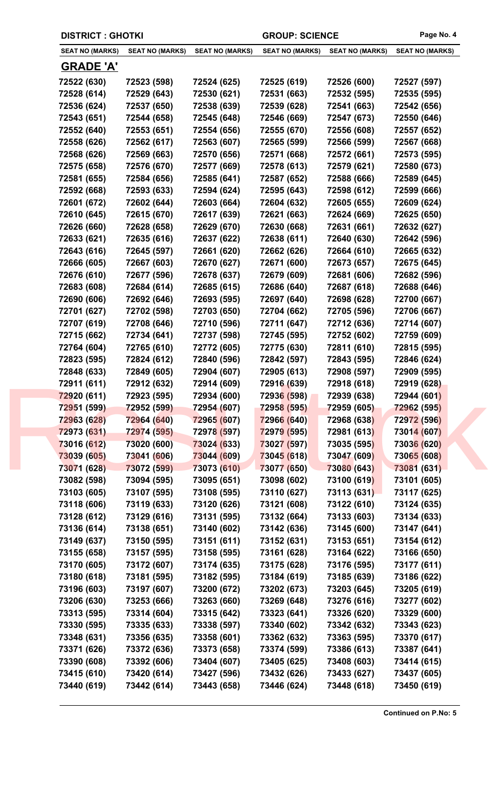| <b>DISTRICT : GHOTKI</b> |                        |                        | <b>GROUP: SCIENCE</b>  |                        | Page No. 4             |
|--------------------------|------------------------|------------------------|------------------------|------------------------|------------------------|
| <b>SEAT NO (MARKS)</b>   | <b>SEAT NO (MARKS)</b> | <b>SEAT NO (MARKS)</b> | <b>SEAT NO (MARKS)</b> | <b>SEAT NO (MARKS)</b> | <b>SEAT NO (MARKS)</b> |
| <b>GRADE 'A'</b>         |                        |                        |                        |                        |                        |
| 72522 (630)              | 72523 (598)            | 72524 (625)            | 72525 (619)            | 72526 (600)            | 72527 (597)            |
| 72528 (614)              | 72529 (643)            | 72530 (621)            | 72531 (663)            | 72532 (595)            | 72535 (595)            |
| 72536 (624)              | 72537 (650)            | 72538 (639)            | 72539 (628)            | 72541 (663)            | 72542 (656)            |
| 72543 (651)              | 72544 (658)            | 72545 (648)            | 72546 (669)            | 72547 (673)            | 72550 (646)            |
| 72552 (640)              | 72553 (651)            | 72554 (656)            | 72555 (670)            | 72556 (608)            | 72557 (652)            |
| 72558 (626)              | 72562 (617)            | 72563 (607)            | 72565 (599)            | 72566 (599)            | 72567 (668)            |
| 72568 (626)              | 72569 (663)            | 72570 (656)            | 72571 (668)            | 72572 (661)            | 72573 (595)            |
| 72575 (658)              | 72576 (670)            | 72577 (669)            | 72578 (613)            | 72579 (621)            | 72580 (673)            |
| 72581 (655)              | 72584 (656)            | 72585 (641)            | 72587 (652)            | 72588 (666)            | 72589 (645)            |
| 72592 (668)              | 72593 (633)            | 72594 (624)            | 72595 (643)            | 72598 (612)            | 72599 (666)            |
| 72601 (672)              | 72602 (644)            | 72603 (664)            | 72604 (632)            | 72605 (655)            | 72609 (624)            |
| 72610 (645)              | 72615 (670)            | 72617 (639)            | 72621 (663)            | 72624 (669)            | 72625 (650)            |
| 72626 (660)              | 72628 (658)            | 72629 (670)            | 72630 (668)            | 72631 (661)            | 72632 (627)            |
| 72633 (621)              | 72635 (616)            | 72637 (622)            | 72638 (611)            | 72640 (630)            | 72642 (596)            |
| 72643 (616)              | 72645 (597)            | 72661 (620)            | 72662 (626)            | 72664 (610)            | 72665 (632)            |
| 72666 (605)              | 72667 (603)            | 72670 (627)            | 72671 (600)            | 72673 (657)            | 72675 (645)            |
| 72676 (610)              | 72677 (596)            | 72678 (637)            | 72679 (609)            | 72681 (606)            | 72682 (596)            |
| 72683 (608)              | 72684 (614)            | 72685 (615)            | 72686 (640)            | 72687 (618)            | 72688 (646)            |
| 72690 (606)              | 72692 (646)            | 72693 (595)            | 72697 (640)            | 72698 (628)            | 72700 (667)            |
| 72701 (627)              | 72702 (598)            | 72703 (650)            | 72704 (662)            | 72705 (596)            | 72706 (667)            |
| 72707 (619)              | 72708 (646)            | 72710 (596)            | 72711 (647)            | 72712 (636)            | 72714 (607)            |
| 72715 (662)              | 72734 (641)            | 72737 (598)            | 72745 (595)            | 72752 (602)            | 72759 (609)            |
| 72764 (604)              | 72765 (610)            | 72772 (605)            | 72775 (630)            | 72811 (610)            | 72815 (595)            |
| 72823 (595)              | 72824 (612)            | 72840 (596)            | 72842 (597)            | 72843 (595)            | 72846 (624)            |
| 72848 (633)              | 72849 (605)            | 72904 (607)            | 72905 (613)            | 72908 (597)            | 72909 (595)            |
| 72911 (611)              | 72912 (632)            | 72914 (609)            | 72916 (639)            | 72918 (618)            | 72919 (628)            |
| 72920 (611)              | 72923 (595)            | 72934 (600)            | 72936 (598)            | 72939 (638)            | 72944 (601)            |
| 72951 (599)              | 72952 (599)            | 72954 (607)            | 72958 (595)            | 72959 (605)            | 72962 (595)            |
| 72963 (628)              | 72964 (640)            | 72965 (607)            | 72966 (640)            | 72968 (638)            | 72972 (596)            |
| 72973 (631)              | 72974 (595)            | 72978 (597)            | 72979 (595)            | 72981 (613)            | 73014 (607)            |
| 73016 (612)              | 73020 (600)            | 73024 (633)            | 73027 (597)            | 73035 (595)            | 73036 (620)            |
| 73039 (605)              | 73041 (606)            | 73044 (609)            | 73045 (618)            | 73047 (609)            | 73065 (608)            |
| 73071 (628)              | 73072 (599)            | 73073 (610)            | 73077 (650)            | 73080 (643)            | 73081 (631)            |
| 73082 (598)              | 73094 (595)            | 73095 (651)            | 73098 (602)            | 73100 (619)            | 73101 (605)            |
| 73103 (605)              | 73107 (595)            | 73108 (595)            | 73110 (627)            | 73113 (631)            | 73117 (625)            |
| 73118 (606)              | 73119 (633)            | 73120 (626)            | 73121 (608)            | 73122 (610)            | 73124 (635)            |
| 73128 (612)              | 73129 (616)            | 73131 (595)            | 73132 (664)            | 73133 (603)            | 73134 (633)            |
| 73136 (614)              | 73138 (651)            | 73140 (602)            | 73142 (636)            | 73145 (600)            | 73147 (641)            |
| 73149 (637)              | 73150 (595)            | 73151 (611)            | 73152 (631)            | 73153 (651)            | 73154 (612)            |
| 73155 (658)              | 73157 (595)            | 73158 (595)            | 73161 (628)            | 73164 (622)            | 73166 (650)            |
| 73170 (605)              | 73172 (607)            | 73174 (635)            | 73175 (628)            | 73176 (595)            | 73177 (611)            |
| 73180 (618)              | 73181 (595)            | 73182 (595)            | 73184 (619)            | 73185 (639)            | 73186 (622)            |
| 73196 (603)              | 73197 (607)            | 73200 (672)            | 73202 (673)            | 73203 (645)            | 73205 (619)            |
| 73206 (630)              | 73253 (666)            | 73263 (660)            | 73269 (648)            | 73276 (616)            | 73277 (602)            |
|                          |                        |                        |                        |                        |                        |
| 73313 (595)              | 73314 (604)            | 73315 (642)            | 73323 (641)            | 73326 (620)            | 73329 (600)            |
| 73330 (595)              | 73335 (633)            | 73338 (597)            | 73340 (602)            | 73342 (632)            | 73343 (623)            |
| 73348 (631)              | 73356 (635)            | 73358 (601)            | 73362 (632)            | 73363 (595)            | 73370 (617)            |
| 73371 (626)              | 73372 (636)            | 73373 (658)            | 73374 (599)            | 73386 (613)            | 73387 (641)            |
| 73390 (608)              | 73392 (606)            | 73404 (607)            | 73405 (625)            | 73408 (603)            | 73414 (615)            |
| 73415 (610)              | 73420 (614)            | 73427 (596)            | 73432 (626)            | 73433 (627)            | 73437 (605)            |
| 73440 (619)              | 73442 (614)            | 73443 (658)            | 73446 (624)            | 73448 (618)            | 73450 (619)            |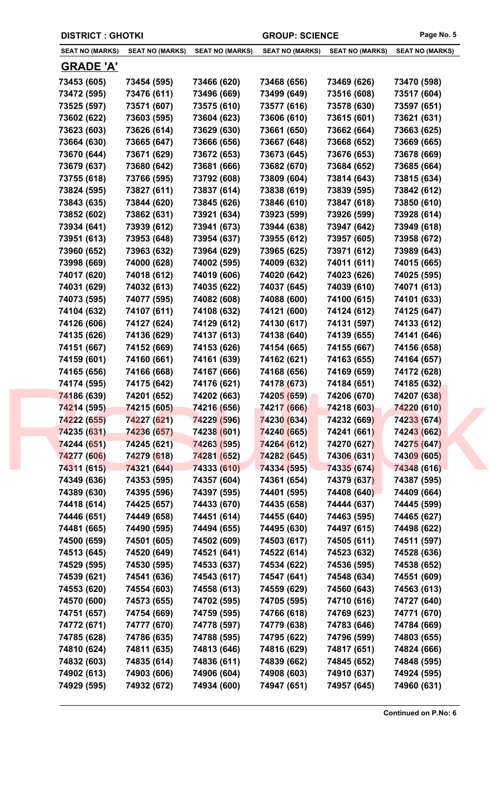| <b>DISTRICT : GHOTKI</b> |                        |                        | <b>GROUP: SCIENCE</b>  |                        | Page No. 5             |  |
|--------------------------|------------------------|------------------------|------------------------|------------------------|------------------------|--|
| <b>SEAT NO (MARKS)</b>   | <b>SEAT NO (MARKS)</b> | <b>SEAT NO (MARKS)</b> | <b>SEAT NO (MARKS)</b> | <b>SEAT NO (MARKS)</b> | <b>SEAT NO (MARKS)</b> |  |
| <u>GRADE 'A'</u>         |                        |                        |                        |                        |                        |  |
| 73453 (605)              | 73454 (595)            | 73466 (620)            | 73468 (656)            | 73469 (626)            | 73470 (598)            |  |
| 73472 (595)              | 73476 (611)            | 73496 (669)            | 73499 (649)            | 73516 (608)            | 73517 (604)            |  |
| 73525 (597)              | 73571 (607)            | 73575 (610)            | 73577 (616)            | 73578 (630)            | 73597 (651)            |  |
| 73602 (622)              | 73603 (595)            | 73604 (623)            | 73606 (610)            | 73615 (601)            | 73621 (631)            |  |
| 73623 (603)              | 73626 (614)            | 73629 (630)            | 73661 (650)            | 73662 (664)            | 73663 (625)            |  |
| 73664 (630)              | 73665 (647)            | 73666 (656)            | 73667 (648)            | 73668 (652)            | 73669 (665)            |  |
| 73670 (644)              | 73671 (629)            | 73672 (653)            | 73673 (645)            | 73676 (653)            | 73678 (669)            |  |
| 73679 (637)              | 73680 (642)            | 73681 (666)            | 73682 (670)            | 73684 (652)            | 73685 (664)            |  |
| 73755 (618)              | 73766 (595)            | 73792 (608)            | 73809 (604)            | 73814 (643)            | 73815 (634)            |  |
| 73824 (595)              | 73827 (611)            | 73837 (614)            | 73838 (619)            | 73839 (595)            | 73842 (612)            |  |
| 73843 (635)              | 73844 (620)            | 73845 (626)            | 73846 (610)            | 73847 (618)            | 73850 (610)            |  |
| 73852 (602)              | 73862 (631)            | 73921 (634)            | 73923 (599)            | 73926 (599)            | 73928 (614)            |  |
| 73934 (641)              | 73939 (612)            | 73941 (673)            | 73944 (638)            | 73947 (642)            | 73949 (618)            |  |
| 73951 (613)              | 73953 (648)            | 73954 (637)            | 73955 (612)            | 73957 (605)            | 73958 (672)            |  |
| 73960 (652)              | 73963 (632)            | 73964 (629)            | 73965 (625)            | 73971 (612)            | 73989 (643)            |  |
| 73998 (669)              | 74000 (628)            | 74002 (595)            | 74009 (632)            | 74011 (611)            | 74015 (665)            |  |
| 74017 (620)              | 74018 (612)            | 74019 (606)            | 74020 (642)            | 74023 (626)            | 74025 (595)            |  |
| 74031 (629)              | 74032 (613)            | 74035 (622)            | 74037 (645)            | 74039 (610)            | 74071 (613)            |  |
| 74073 (595)              | 74077 (595)            | 74082 (608)            | 74088 (600)            | 74100 (615)            | 74101 (633)            |  |
| 74104 (632)              | 74107 (611)            | 74108 (632)            | 74121 (600)            | 74124 (612)            | 74125 (647)            |  |
| 74126 (606)              | 74127 (624)            | 74129 (612)            | 74130 (617)            | 74131 (597)            | 74133 (612)            |  |
| 74135 (626)              | 74136 (629)            | 74137 (613)            | 74138 (640)            | 74139 (655)            | 74141 (646)            |  |
|                          |                        |                        |                        |                        |                        |  |
| 74151 (667)              | 74152 (669)            | 74153 (626)            | 74154 (665)            | 74155 (667)            | 74156 (658)            |  |
| 74159 (601)              | 74160 (661)            | 74161 (639)            | 74162 (621)            | 74163 (655)            | 74164 (657)            |  |
| 74165 (656)              | 74166 (668)            | 74167 (666)            | 74168 (656)            | 74169 (659)            | 74172 (628)            |  |
| 74174 (595)              | 74175 (642)            | 74176 (621)            | 74178 (673)            | 74184 (651)            | 74185 (632)            |  |
| 74186 (639)              | 74201 (652)            | 74202 (663)            | 74205 (659)            | 74206 (670)            | 74207 (638)            |  |
| 74214 (595)              | 74215 (605)            | 74216 (656)            | 74217 (666)            | 74218 (603)            | 74220 (610)            |  |
| 74222 (655)              | 74227 (621)            | 74229 (596)            | 74230 (634)            | 74232 (669)            | 74233 (674)            |  |
| 74235 (631)              | 74236 (657)            | 74238 (601)            | 74240 (665)            | 74241 (661)            | 74243 (662)            |  |
| 74244 (651)              | 74245 (621)            | 74263 (595)            | 74264 (612)            | 74270 (627)            | 74275 (647)            |  |
| 74277 (606)              | 74279 (618)            | 74281 (652)            | 74282 (645)            | 74306 (631)            | 74309 (605)            |  |
| 74311 (615)              | 74321 (644)            | 74333 (610)            | 74334 (595)            | 74335 (674)            | 74348 (616)            |  |
| 74349 (636)              | 74353 (595)            | 74357 (604)            | 74361 (654)            | 74379 (637)            | 74387 (595)            |  |
| 74389 (630)              | 74395 (596)            | 74397 (595)            | 74401 (595)            | 74408 (640)            | 74409 (664)            |  |
| 74418 (614)              | 74425 (657)            | 74433 (670)            | 74435 (658)            | 74444 (637)            | 74445 (599)            |  |
| 74446 (651)              | 74449 (658)            | 74451 (614)            | 74455 (640)            | 74463 (595)            | 74465 (627)            |  |
| 74481 (665)              | 74490 (595)            | 74494 (655)            | 74495 (630)            | 74497 (615)            | 74498 (622)            |  |
| 74500 (659)              | 74501 (605)            | 74502 (609)            | 74503 (617)            | 74505 (611)            | 74511 (597)            |  |
| 74513 (645)              | 74520 (649)            | 74521 (641)            | 74522 (614)            | 74523 (632)            | 74528 (636)            |  |
| 74529 (595)              | 74530 (595)            | 74533 (637)            | 74534 (622)            | 74536 (595)            | 74538 (652)            |  |
| 74539 (621)              | 74541 (636)            | 74543 (617)            | 74547 (641)            | 74548 (634)            | 74551 (609)            |  |
| 74553 (620)              | 74554 (603)            | 74558 (613)            | 74559 (629)            | 74560 (643)            | 74563 (613)            |  |
| 74570 (600)              | 74573 (655)            | 74702 (595)            | 74705 (595)            | 74710 (616)            | 74727 (640)            |  |
| 74751 (657)              | 74754 (669)            | 74759 (595)            | 74766 (618)            | 74769 (623)            | 74771 (670)            |  |
| 74772 (671)              | 74777 (670)            | 74778 (597)            | 74779 (638)            | 74783 (646)            | 74784 (669)            |  |
| 74785 (628)              | 74786 (635)            | 74788 (595)            | 74795 (622)            | 74796 (599)            | 74803 (655)            |  |
| 74810 (624)              | 74811 (635)            | 74813 (646)            | 74816 (629)            | 74817 (651)            | 74824 (666)            |  |
| 74832 (603)              | 74835 (614)            | 74836 (611)            | 74839 (662)            | 74845 (652)            | 74848 (595)            |  |
|                          |                        |                        |                        |                        |                        |  |
| 74902 (613)              | 74903 (606)            | 74906 (604)            | 74908 (603)            | 74910 (637)            | 74924 (595)            |  |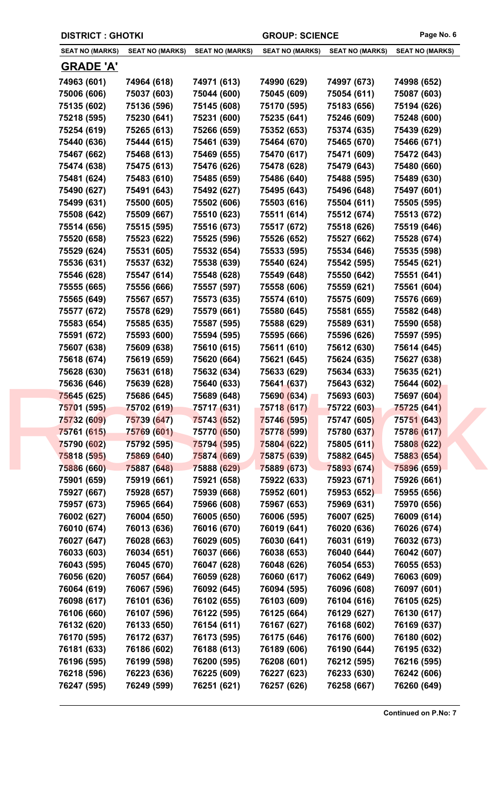| <b>DISTRICT : GHOTKI</b> |                        |                        |                        | Page No. 6<br><b>GROUP: SCIENCE</b> |                        |
|--------------------------|------------------------|------------------------|------------------------|-------------------------------------|------------------------|
| <b>SEAT NO (MARKS)</b>   | <b>SEAT NO (MARKS)</b> | <b>SEAT NO (MARKS)</b> | <b>SEAT NO (MARKS)</b> | <b>SEAT NO (MARKS)</b>              | <b>SEAT NO (MARKS)</b> |
| <b>GRADE 'A'</b>         |                        |                        |                        |                                     |                        |
| 74963 (601)              | 74964 (618)            | 74971 (613)            | 74990 (629)            | 74997 (673)                         | 74998 (652)            |
| 75006 (606)              | 75037 (603)            | 75044 (600)            | 75045 (609)            | 75054 (611)                         | 75087 (603)            |
| 75135 (602)              | 75136 (596)            | 75145 (608)            | 75170 (595)            | 75183 (656)                         | 75194 (626)            |
| 75218 (595)              | 75230 (641)            | 75231 (600)            | 75235 (641)            | 75246 (609)                         | 75248 (600)            |
| 75254 (619)              | 75265 (613)            | 75266 (659)            | 75352 (653)            | 75374 (635)                         | 75439 (629)            |
| 75440 (636)              | 75444 (615)            | 75461 (639)            | 75464 (670)            | 75465 (670)                         | 75466 (671)            |
| 75467 (662)              | 75468 (613)            | 75469 (655)            | 75470 (617)            | 75471 (609)                         | 75472 (643)            |
| 75474 (638)              | 75475 (613)            | 75476 (626)            | 75478 (628)            | 75479 (643)                         | 75480 (660)            |
| 75481 (624)              | 75483 (610)            | 75485 (659)            | 75486 (640)            | 75488 (595)                         | 75489 (630)            |
| 75490 (627)              | 75491 (643)            | 75492 (627)            | 75495 (643)            | 75496 (648)                         | 75497 (601)            |
| 75499 (631)              | 75500 (605)            | 75502 (606)            | 75503 (616)            | 75504 (611)                         | 75505 (595)            |
| 75508 (642)              | 75509 (667)            | 75510 (623)            | 75511 (614)            | 75512 (674)                         | 75513 (672)            |
| 75514 (656)              | 75515 (595)            | 75516 (673)            | 75517 (672)            | 75518 (626)                         | 75519 (646)            |
| 75520 (658)              | 75523 (622)            | 75525 (596)            | 75526 (652)            | 75527 (662)                         | 75528 (674)            |
| 75529 (624)              | 75531 (605)            | 75532 (654)            | 75533 (595)            | 75534 (646)                         | 75535 (598)            |
| 75536 (631)              | 75537 (632)            | 75538 (639)            | 75540 (624)            | 75542 (595)                         | 75545 (621)            |
| 75546 (628)              | 75547 (614)            | 75548 (628)            | 75549 (648)            | 75550 (642)                         | 75551 (641)            |
| 75555 (665)              | 75556 (666)            | 75557 (597)            | 75558 (606)            | 75559 (621)                         | 75561 (604)            |
| 75565 (649)              | 75567 (657)            | 75573 (635)            | 75574 (610)            | 75575 (609)                         | 75576 (669)            |
|                          |                        |                        |                        |                                     |                        |
| 75577 (672)              | 75578 (629)            | 75579 (661)            | 75580 (645)            | 75581 (655)                         | 75582 (648)            |
| 75583 (654)              | 75585 (635)            | 75587 (595)            | 75588 (629)            | 75589 (631)                         | 75590 (658)            |
| 75591 (672)              | 75593 (600)            | 75594 (595)            | 75595 (666)            | 75596 (626)                         | 75597 (595)            |
| 75607 (638)              | 75609 (638)            | 75610 (615)            | 75611 (610)            | 75612 (630)                         | 75614 (645)            |
| 75618 (674)              | 75619 (659)            | 75620 (664)            | 75621 (645)            | 75624 (635)                         | 75627 (638)            |
| 75628 (630)              | 75631 (618)            | 75632 (634)            | 75633 (629)            | 75634 (633)                         | 75635 (621)            |
| 75636 (646)              | 75639 (628)            | 75640 (633)            | 75641 (637)            | 75643 (632)                         | 75644 (602)            |
| 75645 (625)              | 75686 (645)            | 75689 (648)            | 75690 (634)            | 75693 (603)                         | 75697 (604)            |
| 75701 (595)              | 75702 (619)            | 75717 (631)            | 75718 (617)            | 75722 (603)                         | 75725 (641)            |
| 75732 (609)              | 75739 (647)            | 75743 (652)            | 75746 (595)            | 75747 (605)                         | 75751 (643)            |
| 75761 (615)              | 75769 (601)            | 75770 (650)            | 75778 (599)            | 75780 (637)                         | 75786 (617)            |
| 75790 (602)              | 75792 (595)            | 75794 (595)            | 75804 (622)            | 75805 (611)                         | 75808 (622)            |
| 75818 (595)              | 75869 (640)            | 75874 (669)            | 75875 (639)            | 75882 (645)                         | 75883 (654)            |
| 75886 (660)              | 75887 (648)            | 75888 (629)            | 75889 (673)            | 75893 (674)                         | 75896 (659)            |
| 75901 (659)              | 75919 (661)            | 75921 (658)            | 75922 (633)            | 75923 (671)                         | 75926 (661)            |
| 75927 (667)              | 75928 (657)            | 75939 (668)            | 75952 (601)            | 75953 (652)                         | 75955 (656)            |
| 75957 (673)              | 75965 (664)            | 75966 (608)            | 75967 (653)            | 75969 (631)                         | 75970 (656)            |
| 76002 (627)              | 76004 (650)            | 76005 (650)            | 76006 (595)            | 76007 (625)                         | 76009 (614)            |
| 76010 (674)              | 76013 (636)            | 76016 (670)            | 76019 (641)            | 76020 (636)                         | 76026 (674)            |
| 76027 (647)              | 76028 (663)            | 76029 (605)            | 76030 (641)            | 76031 (619)                         | 76032 (673)            |
| 76033 (603)              | 76034 (651)            | 76037 (666)            | 76038 (653)            | 76040 (644)                         | 76042 (607)            |
| 76043 (595)              | 76045 (670)            | 76047 (628)            | 76048 (626)            | 76054 (653)                         | 76055 (653)            |
| 76056 (620)              | 76057 (664)            | 76059 (628)            | 76060 (617)            | 76062 (649)                         | 76063 (609)            |
| 76064 (619)              | 76067 (596)            | 76092 (645)            | 76094 (595)            | 76096 (608)                         | 76097 (601)            |
| 76098 (617)              | 76101 (636)            | 76102 (655)            | 76103 (609)            | 76104 (616)                         | 76105 (625)            |
| 76106 (660)              | 76107 (596)            | 76122 (595)            | 76125 (664)            | 76129 (627)                         | 76130 (617)            |
| 76132 (620)              | 76133 (650)            | 76154 (611)            | 76167 (627)            | 76168 (602)                         | 76169 (637)            |
| 76170 (595)              | 76172 (637)            | 76173 (595)            | 76175 (646)            | 76176 (600)                         | 76180 (602)            |
| 76181 (633)              | 76186 (602)            | 76188 (613)            | 76189 (606)            | 76190 (644)                         | 76195 (632)            |
| 76196 (595)              | 76199 (598)            | 76200 (595)            | 76208 (601)            | 76212 (595)                         | 76216 (595)            |
| 76218 (596)              | 76223 (636)            | 76225 (609)            | 76227 (623)            | 76233 (630)                         | 76242 (606)            |
|                          |                        |                        |                        |                                     |                        |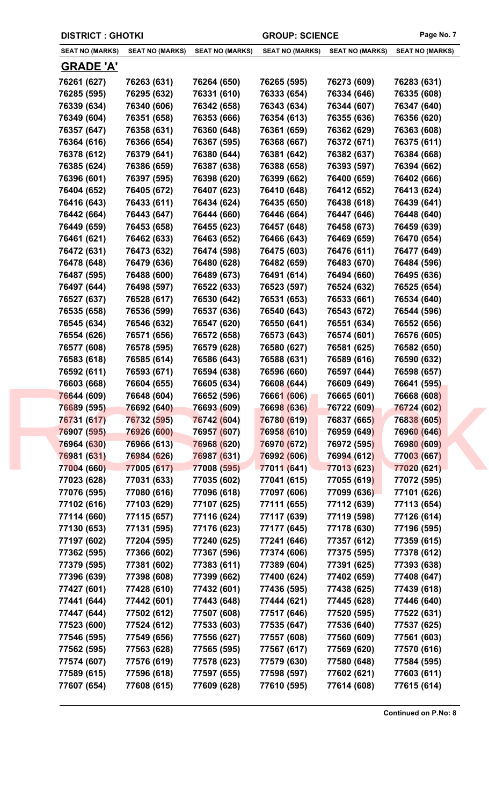| <b>DISTRICT : GHOTKI</b> |                        |                            | <b>GROUP: SCIENCE</b>  | Page No. 7             |                        |
|--------------------------|------------------------|----------------------------|------------------------|------------------------|------------------------|
| <b>SEAT NO (MARKS)</b>   | <b>SEAT NO (MARKS)</b> | <b>SEAT NO (MARKS)</b>     | <b>SEAT NO (MARKS)</b> | <b>SEAT NO (MARKS)</b> | <b>SEAT NO (MARKS)</b> |
| <b>GRADE 'A'</b>         |                        |                            |                        |                        |                        |
| 76261 (627)              | 76263 (631)            | 76264 (650)                | 76265 (595)            | 76273 (609)            | 76283 (631)            |
| 76285 (595)              | 76295 (632)            | 76331 (610)                | 76333 (654)            | 76334 (646)            | 76335 (608)            |
| 76339 (634)              | 76340 (606)            | 76342 (658)                | 76343 (634)            | 76344 (607)            | 76347 (640)            |
| 76349 (604)              | 76351 (658)            | 76353 (666)                | 76354 (613)            | 76355 (636)            | 76356 (620)            |
| 76357 (647)              | 76358 (631)            | 76360 (648)                | 76361 (659)            | 76362 (629)            | 76363 (608)            |
| 76364 (616)              | 76366 (654)            | 76367 (595)                | 76368 (667)            | 76372 (671)            | 76375 (611)            |
| 76378 (612)              | 76379 (641)            | 76380 (644)                | 76381 (642)            | 76382 (637)            | 76384 (668)            |
| 76385 (624)              | 76386 (659)            | 76387 (638)                | 76388 (658)            | 76393 (597)            | 76394 (662)            |
| 76396 (601)              | 76397 (595)            | 76398 (620)                | 76399 (662)            | 76400 (659)            | 76402 (666)            |
| 76404 (652)              | 76405 (672)            | 76407 (623)                | 76410 (648)            | 76412 (652)            | 76413 (624)            |
| 76416 (643)              | 76433 (611)            | 76434 (624)                | 76435 (650)            | 76438 (618)            | 76439 (641)            |
| 76442 (664)              | 76443 (647)            | 76444 (660)                | 76446 (664)            | 76447 (646)            | 76448 (640)            |
| 76449 (659)              | 76453 (658)            | 76455 (623)                | 76457 (648)            | 76458 (673)            | 76459 (639)            |
| 76461 (621)              | 76462 (633)            | 76463 (652)                | 76466 (643)            | 76469 (659)            | 76470 (654)            |
| 76472 (631)              | 76473 (632)            | 76474 (598)                | 76475 (603)            | 76476 (611)            | 76477 (649)            |
| 76478 (648)              | 76479 (636)            | 76480 (628)                | 76482 (659)            | 76483 (670)            | 76484 (596)            |
| 76487 (595)              | 76488 (600)            | 76489 (673)                | 76491 (614)            | 76494 (660)            | 76495 (636)            |
| 76497 (644)              | 76498 (597)            | 76522 (633)                | 76523 (597)            | 76524 (632)            | 76525 (654)            |
| 76527 (637)              | 76528 (617)            | 76530 (642)                | 76531 (653)            | 76533 (661)            | 76534 (640)            |
| 76535 (658)              | 76536 (599)            | 76537 (636)                | 76540 (643)            | 76543 (672)            | 76544 (596)            |
| 76545 (634)              | 76546 (632)            | 76547 (620)                | 76550 (641)            | 76551 (634)            | 76552 (656)            |
| 76554 (626)              | 76571 (656)            | 76572 (658)                | 76573 (643)            | 76574 (601)            | 76576 (605)            |
| 76577 (608)              | 76578 (595)            | 76579 (628)                | 76580 (627)            | 76581 (625)            | 76582 (650)            |
| 76583 (618)              | 76585 (614)            | 76586 (643)                | 76588 (631)            | 76589 (616)            | 76590 (632)            |
| 76592 (611)              | 76593 (671)            | 76594 (638)                | 76596 (660)            | 76597 (644)            | 76598 (657)            |
| 76603 (668)              | 76604 (655)            | 76605 (634)                | 76608 (644)            | 76609 (649)            | 76641 (595)            |
| 76644 (609)              | 76648 (604)            | 76652 (596)                | 76661 (606)            | 76665 (601)            | 76668 (608)            |
| 76689 (595)              | 76692 (640)            | 76693 (609)                | 76698 (636)            | 76722 (609)            | 76724 (602)            |
| 76731 (617)              | 76732 (595)            | 76742 (604)                | 76780 (619)            | 76837 (665)            | 76838 (605)            |
| 76907 (595)              | 76926 (600)            | 76957 (607)                | 76958 (610)            | 76959 (649)            | 76960 (646)            |
| 76964 (630)              | 76966 (613)            | 76968 (620)                | 76970 (672)            | 76972 (595)            | 76980 (609)            |
| 76981 (631)              | 76984 (626)            | 76987 (631)                | 76992 (606)            | 76994 (612)            | 77003 (667)            |
| 77004 (660)              | 77005 (617)            | 77008 (595)                | 77011 (641)            | 77013 (623)            | 77020 (621)            |
| 77023 (628)              | 77031 (633)            | 77035 (602)                | 77041 (615)            | 77055 (619)            | 77072 (595)            |
| 77076 (595)              | 77080 (616)            | 77096 (618)                | 77097 (606)            | 77099 (636)            | 77101 (626)            |
| 77102 (616)              |                        | 77107 (625)                | 77111 (655)            | 77112 (639)            | 77113 (654)            |
|                          | 77103 (629)            | 77116 (624)                |                        |                        |                        |
| 77114 (660)              | 77115 (657)            |                            | 77117 (639)            | 77119 (598)            | 77126 (614)            |
| 77130 (653)              | 77131 (595)            | 77176 (623)<br>77240 (625) | 77177 (645)            | 77178 (630)            | 77196 (595)            |
| 77197 (602)              | 77204 (595)            |                            | 77241 (646)            | 77357 (612)            | 77359 (615)            |
| 77362 (595)              | 77366 (602)            | 77367 (596)                | 77374 (606)            | 77375 (595)            | 77378 (612)            |
| 77379 (595)              | 77381 (602)            | 77383 (611)                | 77389 (604)            | 77391 (625)            | 77393 (638)            |
| 77396 (639)              | 77398 (608)            | 77399 (662)                | 77400 (624)            | 77402 (659)            | 77408 (647)            |
| 77427 (601)              | 77428 (610)            | 77432 (601)                | 77436 (595)            | 77438 (625)            | 77439 (618)            |
| 77441 (644)              | 77442 (601)            | 77443 (648)                | 77444 (621)            | 77445 (628)            | 77446 (640)            |
| 77447 (644)              | 77502 (612)            | 77507 (608)                | 77517 (646)            | 77520 (595)            | 77522 (631)            |
| 77523 (600)              | 77524 (612)            | 77533 (603)                | 77535 (647)            | 77536 (640)            | 77537 (625)            |
| 77546 (595)              | 77549 (656)            | 77556 (627)                | 77557 (608)            | 77560 (609)            | 77561 (603)            |
| 77562 (595)              | 77563 (628)            | 77565 (595)                | 77567 (617)            | 77569 (620)            | 77570 (616)            |
| 77574 (607)              | 77576 (619)            | 77578 (623)                | 77579 (630)            | 77580 (648)            | 77584 (595)            |
| 77589 (615)              | 77596 (618)            | 77597 (655)                | 77598 (597)            | 77602 (621)            | 77603 (611)            |
| 77607 (654)              | 77608 (615)            | 77609 (628)                | 77610 (595)            | 77614 (608)            | 77615 (614)            |
|                          |                        |                            |                        |                        |                        |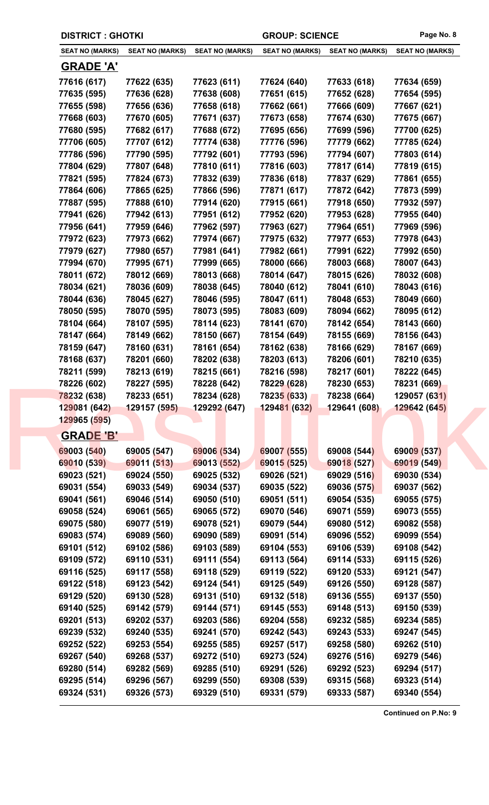| <b>DISTRICT: GHOTKI</b>    |                            |                            | <b>GROUP: SCIENCE</b>      |                            | Page No. 8                 |
|----------------------------|----------------------------|----------------------------|----------------------------|----------------------------|----------------------------|
| <b>SEAT NO (MARKS)</b>     | <b>SEAT NO (MARKS)</b>     | <b>SEAT NO (MARKS)</b>     | <b>SEAT NO (MARKS)</b>     | <b>SEAT NO (MARKS)</b>     | <b>SEAT NO (MARKS)</b>     |
| <b>GRADE 'A'</b>           |                            |                            |                            |                            |                            |
| 77616 (617)                | 77622 (635)                | 77623 (611)                | 77624 (640)                | 77633 (618)                | 77634 (659)                |
| 77635 (595)                | 77636 (628)                | 77638 (608)                | 77651 (615)                | 77652 (628)                | 77654 (595)                |
| 77655 (598)                | 77656 (636)                | 77658 (618)                | 77662 (661)                | 77666 (609)                | 77667 (621)                |
| 77668 (603)                | 77670 (605)                | 77671 (637)                | 77673 (658)                | 77674 (630)                | 77675 (667)                |
| 77680 (595)                | 77682 (617)                | 77688 (672)                | 77695 (656)                | 77699 (596)                | 77700 (625)                |
| 77706 (605)                | 77707 (612)                | 77774 (638)                | 77776 (596)                | 77779 (662)                | 77785 (624)                |
| 77786 (596)                | 77790 (595)                | 77792 (601)                | 77793 (596)                | 77794 (607)                | 77803 (614)                |
| 77804 (629)                | 77807 (648)                | 77810 (611)                | 77816 (603)                | 77817 (614)                | 77819 (615)                |
| 77821 (595)                | 77824 (673)                | 77832 (639)                | 77836 (618)                | 77837 (629)                | 77861 (655)                |
| 77864 (606)                | 77865 (625)                | 77866 (596)                | 77871 (617)                | 77872 (642)                | 77873 (599)                |
| 77887 (595)                | 77888 (610)                | 77914 (620)                | 77915 (661)                | 77918 (650)                | 77932 (597)                |
| 77941 (626)                | 77942 (613)                | 77951 (612)                | 77952 (620)                | 77953 (628)                | 77955 (640)                |
| 77956 (641)                | 77959 (646)                | 77962 (597)                | 77963 (627)                | 77964 (651)                | 77969 (596)                |
| 77972 (623)                | 77973 (662)                | 77974 (667)                | 77975 (632)                | 77977 (653)                | 77978 (643)                |
| 77979 (627)                | 77980 (657)                | 77981 (641)                | 77982 (661)                | 77991 (622)                | 77992 (650)                |
| 77994 (670)                | 77995 (671)                | 77999 (665)                | 78000 (666)                | 78003 (668)                | 78007 (643)                |
| 78011 (672)                | 78012 (669)                | 78013 (668)                | 78014 (647)                | 78015 (626)                | 78032 (608)                |
| 78034 (621)                | 78036 (609)                | 78038 (645)                | 78040 (612)                | 78041 (610)                | 78043 (616)                |
| 78044 (636)                | 78045 (627)                | 78046 (595)                | 78047 (611)                | 78048 (653)                | 78049 (660)                |
| 78050 (595)                | 78070 (595)                | 78073 (595)                | 78083 (609)                | 78094 (662)                | 78095 (612)                |
| 78104 (664)                | 78107 (595)                | 78114 (623)                | 78141 (670)                | 78142 (654)                | 78143 (660)                |
| 78147 (664)                | 78149 (662)                | 78150 (667)                | 78154 (649)                | 78155 (669)                | 78156 (643)                |
| 78159 (647)                | 78160 (631)                | 78161 (654)                | 78162 (638)                | 78166 (629)                | 78167 (669)                |
| 78168 (637)                | 78201 (660)                | 78202 (638)                | 78203 (613)                | 78206 (601)                | 78210 (635)                |
| 78211 (599)                | 78213 (619)                | 78215 (661)                | 78216 (598)                | 78217 (601)                | 78222 (645)                |
| 78226 (602)                | 78227 (595)                | 78228 (642)                | 78229 (628)                | 78230 (653)                | 78231 (669)                |
| 78232 (638)                | 78233 (651)                | 78234 (628)                | 78235 (633)                | 78238 (664)                | 129057 (631)               |
| 129081 (642)               | 129157 (595)               | 129292 (647)               | 129481 (632)               | 129641 (608)               | 129642 (645)               |
| 129965 (595)               |                            |                            |                            |                            |                            |
| <b>GRADE 'B'</b>           |                            |                            |                            |                            |                            |
| 69003 (540)                | 69005 (547)                | 69006 (534)                | 69007 (555)                | 69008 (544)                | 69009 (537)                |
| 69010 (539)                | 69011 (513)                | 69013 (552)                | 69015 (525)                | 69018 (527)                | 69019 (549)                |
| 69023 (521)                | 69024 (550)                | 69025 (532)                | 69026 (521)                | 69029 (516)                | 69030 (534)                |
| 69031 (554)                | 69033 (549)                | 69034 (537)                | 69035 (522)                | 69036 (575)                | 69037 (562)                |
| 69041 (561)                | 69046 (514)                | 69050 (510)                | 69051 (511)                | 69054 (535)                | 69055 (575)                |
| 69058 (524)                | 69061 (565)                | 69065 (572)                | 69070 (546)                | 69071 (559)                | 69073 (555)                |
| 69075 (580)                | 69077 (519)                | 69078 (521)                | 69079 (544)                | 69080 (512)                | 69082 (558)                |
| 69083 (574)                | 69089 (560)                | 69090 (589)                | 69091 (514)                | 69096 (552)                | 69099 (554)                |
| 69101 (512)                | 69102 (586)                | 69103 (589)                | 69104 (553)                | 69106 (539)                | 69108 (542)                |
| 69109 (572)                | 69110 (531)                | 69111 (554)                | 69113 (564)                | 69114 (533)                | 69115 (526)                |
| 69116 (525)                | 69117 (558)                | 69118 (529)                | 69119 (522)                | 69120 (533)                | 69121 (547)                |
| 69122 (518)                | 69123 (542)                | 69124 (541)                | 69125 (549)                | 69126 (550)                | 69128 (587)                |
| 69129 (520)                | 69130 (528)                | 69131 (510)                | 69132 (518)                | 69136 (555)                | 69137 (550)                |
| 69140 (525)                | 69142 (579)                | 69144 (571)                | 69145 (553)                | 69148 (513)                | 69150 (539)                |
|                            | 69202 (537)                | 69203 (586)                | 69204 (558)                | 69232 (585)                | 69234 (585)                |
|                            |                            |                            |                            |                            |                            |
| 69201 (513)                |                            |                            |                            |                            |                            |
| 69239 (532)                | 69240 (535)                | 69241 (570)                | 69242 (543)                | 69243 (533)                | 69247 (545)                |
| 69252 (522)                | 69253 (554)                | 69255 (585)                | 69257 (517)                | 69258 (580)                | 69262 (510)                |
| 69267 (540)                | 69268 (537)                | 69272 (510)                | 69273 (524)                | 69276 (516)                | 69279 (546)                |
| 69280 (514)<br>69295 (514) | 69282 (569)<br>69296 (567) | 69285 (510)<br>69299 (550) | 69291 (526)<br>69308 (539) | 69292 (523)<br>69315 (568) | 69294 (517)<br>69323 (514) |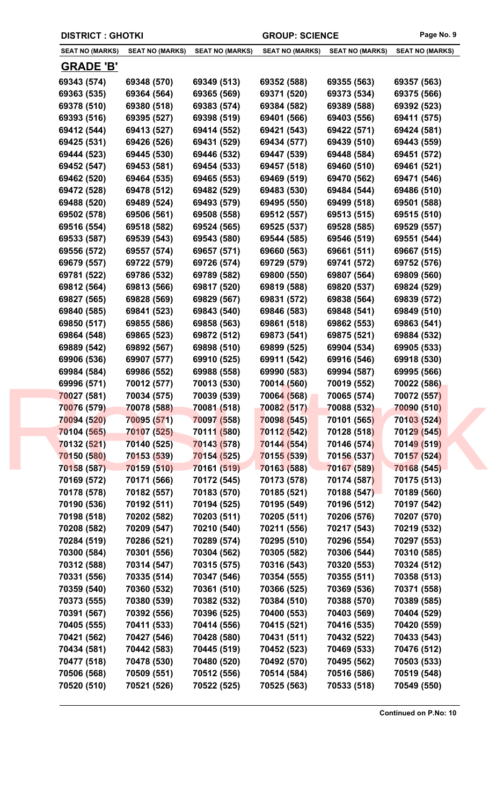| <b>DISTRICT : GHOTKI</b> |                        |                        | <b>GROUP: SCIENCE</b>  |                        | Page No. 9             |
|--------------------------|------------------------|------------------------|------------------------|------------------------|------------------------|
| <b>SEAT NO (MARKS)</b>   | <b>SEAT NO (MARKS)</b> | <b>SEAT NO (MARKS)</b> | <b>SEAT NO (MARKS)</b> | <b>SEAT NO (MARKS)</b> | <b>SEAT NO (MARKS)</b> |
| <u>GRADE 'B'</u>         |                        |                        |                        |                        |                        |
| 69343 (574)              | 69348 (570)            | 69349 (513)            | 69352 (588)            | 69355 (563)            | 69357 (563)            |
| 69363 (535)              | 69364 (564)            | 69365 (569)            | 69371 (520)            | 69373 (534)            | 69375 (566)            |
| 69378 (510)              | 69380 (518)            | 69383 (574)            | 69384 (582)            | 69389 (588)            | 69392 (523)            |
| 69393 (516)              | 69395 (527)            | 69398 (519)            | 69401 (566)            | 69403 (556)            | 69411 (575)            |
| 69412 (544)              | 69413 (527)            | 69414 (552)            | 69421 (543)            | 69422 (571)            | 69424 (581)            |
| 69425 (531)              | 69426 (526)            | 69431 (529)            | 69434 (577)            | 69439 (510)            | 69443 (559)            |
| 69444 (523)              | 69445 (530)            | 69446 (532)            | 69447 (539)            | 69448 (584)            | 69451 (572)            |
| 69452 (547)              | 69453 (581)            | 69454 (533)            | 69457 (518)            | 69460 (510)            | 69461 (521)            |
| 69462 (520)              | 69464 (535)            | 69465 (553)            | 69469 (519)            | 69470 (562)            | 69471 (546)            |
| 69472 (528)              | 69478 (512)            | 69482 (529)            | 69483 (530)            | 69484 (544)            | 69486 (510)            |
| 69488 (520)              | 69489 (524)            | 69493 (579)            | 69495 (550)            | 69499 (518)            | 69501 (588)            |
| 69502 (578)              | 69506 (561)            | 69508 (558)            | 69512 (557)            | 69513 (515)            | 69515 (510)            |
| 69516 (554)              | 69518 (582)            | 69524 (565)            | 69525 (537)            | 69528 (585)            | 69529 (557)            |
| 69533 (587)              | 69539 (543)            | 69543 (580)            | 69544 (585)            | 69546 (519)            | 69551 (544)            |
| 69556 (572)              | 69557 (574)            | 69657 (571)            | 69660 (563)            | 69661 (511)            | 69667 (515)            |
| 69679 (557)              | 69722 (579)            | 69726 (574)            | 69729 (579)            | 69741 (572)            | 69752 (576)            |
| 69781 (522)              | 69786 (532)            | 69789 (582)            | 69800 (550)            | 69807 (564)            | 69809 (560)            |
| 69812 (564)              | 69813 (566)            | 69817 (520)            | 69819 (588)            | 69820 (537)            | 69824 (529)            |
| 69827 (565)              | 69828 (569)            | 69829 (567)            | 69831 (572)            | 69838 (564)            | 69839 (572)            |
| 69840 (585)              | 69841 (523)            | 69843 (540)            | 69846 (583)            | 69848 (541)            | 69849 (510)            |
| 69850 (517)              | 69855 (586)            | 69858 (563)            | 69861 (518)            | 69862 (553)            | 69863 (541)            |
| 69864 (548)              | 69865 (523)            | 69872 (512)            | 69873 (541)            | 69875 (521)            | 69884 (532)            |
| 69889 (542)              | 69892 (567)            | 69898 (510)            | 69899 (525)            | 69904 (534)            | 69905 (533)            |
| 69906 (536)              | 69907 (577)            | 69910 (525)            | 69911 (542)            | 69916 (546)            | 69918 (530)            |
| 69984 (584)              | 69986 (552)            | 69988 (558)            | 69990 (583)            | 69994 (587)            | 69995 (566)            |
| 69996 (571)              | 70012 (577)            | 70013 (530)            | 70014 (560)            | 70019 (552)            | 70022 (586)            |
| 70027 (581)              | 70034 (575)            | 70039 (539)            | 70064 (568)            | 70065 (574)            | 70072 (557)            |
| 70076 (579)              | 70078 (588)            | 70081 (518)            | 70082 (517)            | 70088 (532)            | 70090 (510)            |
| 70094 (520)              | 70095 (571)            | 70097 (558)            | 70098 (545)            | 70101 (565)            | 70103 (524)            |
| 70104 (565)              | 70107 (525)            | 70111 (580)            | 70112 (542)            | 70128 (518)            | 70129 (545)            |
| 70132 (521)              | 70140 (525)            | 70143 (578)            | 70144 (554)            | 70146 (574)            | 70149 (519)            |
| 70150 (580)              | 70153 (539)            | 70154 (525)            | 70155 (539)            | 70156 (537)            | 70157 (524)            |
| 70158 (587)              | 70159 (510)            | 70161 (519)            | 70163 (588)            | 70167 (589)            | 70168 (545)            |
| 70169 (572)              | 70171 (566)            | 70172 (545)            | 70173 (578)            | 70174 (587)            | 70175 (513)            |
| 70178 (578)              | 70182 (557)            | 70183 (570)            | 70185 (521)            | 70188 (547)            | 70189 (560)            |
| 70190 (536)              | 70192 (511)            | 70194 (525)            | 70195 (549)            | 70196 (512)            | 70197 (542)            |
| 70198 (518)              | 70202 (582)            | 70203 (511)            | 70205 (511)            | 70206 (576)            | 70207 (570)            |
| 70208 (582)              | 70209 (547)            | 70210 (540)            | 70211 (556)            | 70217 (543)            | 70219 (532)            |
| 70284 (519)              | 70286 (521)            | 70289 (574)            | 70295 (510)            | 70296 (554)            | 70297 (553)            |
| 70300 (584)              | 70301 (556)            | 70304 (562)            | 70305 (582)            | 70306 (544)            | 70310 (585)            |
| 70312 (588)              | 70314 (547)            | 70315 (575)            | 70316 (543)            | 70320 (553)            | 70324 (512)            |
| 70331 (556)              | 70335 (514)            | 70347 (546)            | 70354 (555)            | 70355 (511)            | 70358 (513)            |
| 70359 (540)              | 70360 (532)            | 70361 (510)            | 70366 (525)            | 70369 (536)            | 70371 (558)            |
| 70373 (555)              | 70380 (539)            | 70382 (532)            | 70384 (510)            | 70388 (570)            | 70389 (585)            |
| 70391 (567)              |                        | 70396 (525)            | 70400 (553)            | 70403 (569)            |                        |
|                          | 70392 (556)            |                        |                        |                        | 70404 (529)            |
| 70405 (555)              | 70411 (533)            | 70414 (556)            | 70415 (521)            | 70416 (535)            | 70420 (559)            |
| 70421 (562)              | 70427 (546)            | 70428 (580)            | 70431 (511)            | 70432 (522)            | 70433 (543)            |
| 70434 (581)              | 70442 (583)            | 70445 (519)            | 70452 (523)            | 70469 (533)            | 70476 (512)            |
| 70477 (518)              | 70478 (530)            | 70480 (520)            | 70492 (570)            | 70495 (562)            | 70503 (533)            |
| 70506 (568)              | 70509 (551)            | 70512 (556)            | 70514 (584)            | 70516 (586)            | 70519 (548)            |
| 70520 (510)              | 70521 (526)            | 70522 (525)            | 70525 (563)            | 70533 (518)            | 70549 (550)            |
|                          |                        |                        |                        |                        |                        |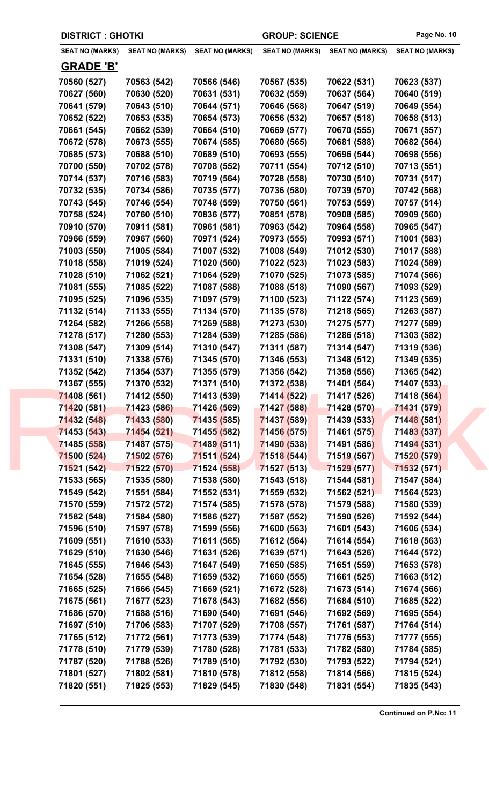| <b>DISTRICT: GHOTKI</b> |                        |                        | <b>GROUP: SCIENCE</b>  |                        | Page No. 10            |  |  |
|-------------------------|------------------------|------------------------|------------------------|------------------------|------------------------|--|--|
| <b>SEAT NO (MARKS)</b>  | <b>SEAT NO (MARKS)</b> | <b>SEAT NO (MARKS)</b> | <b>SEAT NO (MARKS)</b> | <b>SEAT NO (MARKS)</b> | <b>SEAT NO (MARKS)</b> |  |  |
| <b>GRADE 'B'</b>        |                        |                        |                        |                        |                        |  |  |
| 70560 (527)             | 70563 (542)            | 70566 (546)            | 70567 (535)            | 70622 (531)            | 70623 (537)            |  |  |
| 70627 (560)             | 70630 (520)            | 70631 (531)            | 70632 (559)            | 70637 (564)            | 70640 (519)            |  |  |
| 70641 (579)             | 70643 (510)            | 70644 (571)            | 70646 (568)            | 70647 (519)            | 70649 (554)            |  |  |
| 70652 (522)             | 70653 (535)            | 70654 (573)            | 70656 (532)            | 70657 (518)            | 70658 (513)            |  |  |
| 70661 (545)             | 70662 (539)            | 70664 (510)            | 70669 (577)            | 70670 (555)            | 70671 (557)            |  |  |
| 70672 (578)             | 70673 (555)            | 70674 (585)            | 70680 (565)            | 70681 (588)            | 70682 (564)            |  |  |
| 70685 (573)             | 70688 (510)            | 70689 (510)            | 70693 (555)            | 70696 (544)            | 70698 (556)            |  |  |
| 70700 (550)             | 70702 (578)            | 70708 (552)            | 70711 (554)            | 70712 (510)            | 70713 (551)            |  |  |
| 70714 (537)             | 70716 (583)            | 70719 (564)            | 70728 (558)            | 70730 (510)            | 70731 (517)            |  |  |
| 70732 (535)             | 70734 (586)            | 70735 (577)            | 70736 (580)            | 70739 (570)            | 70742 (568)            |  |  |
| 70743 (545)             | 70746 (554)            | 70748 (559)            | 70750 (561)            | 70753 (559)            | 70757 (514)            |  |  |
| 70758 (524)             | 70760 (510)            | 70836 (577)            | 70851 (578)            | 70908 (585)            | 70909 (560)            |  |  |
| 70910 (570)             | 70911 (581)            | 70961 (581)            | 70963 (542)            | 70964 (558)            | 70965 (547)            |  |  |
| 70966 (559)             | 70967 (560)            | 70971 (524)            | 70973 (555)            | 70993 (571)            | 71001 (583)            |  |  |
| 71003 (550)             | 71005 (584)            | 71007 (532)            | 71008 (549)            | 71012 (530)            | 71017 (588)            |  |  |
| 71018 (558)             | 71019 (524)            | 71020 (560)            | 71022 (523)            | 71023 (583)            | 71024 (589)            |  |  |
| 71028 (510)             | 71062 (521)            | 71064 (529)            | 71070 (525)            | 71073 (585)            | 71074 (566)            |  |  |
| 71081 (555)             | 71085 (522)            | 71087 (588)            | 71088 (518)            | 71090 (567)            | 71093 (529)            |  |  |
| 71095 (525)             | 71096 (535)            | 71097 (579)            | 71100 (523)            | 71122 (574)            | 71123 (569)            |  |  |
| 71132 (514)             | 71133 (555)            | 71134 (570)            | 71135 (578)            | 71218 (565)            | 71263 (587)            |  |  |
| 71264 (582)             | 71266 (558)            | 71269 (588)            | 71273 (530)            | 71275 (577)            | 71277 (589)            |  |  |
| 71278 (517)             | 71280 (553)            | 71284 (539)            | 71285 (586)            | 71286 (518)            | 71303 (582)            |  |  |
| 71308 (547)             | 71309 (514)            | 71310 (547)            | 71311 (587)            | 71314 (547)            | 71319 (536)            |  |  |
| 71331 (510)             | 71338 (576)            | 71345 (570)            | 71346 (553)            | 71348 (512)            | 71349 (535)            |  |  |
| 71352 (542)             | 71354 (537)            | 71355 (579)            | 71356 (542)            | 71358 (556)            | 71365 (542)            |  |  |
| 71367 (555)             | 71370 (532)            | 71371 (510)            | 71372 (538)            | 71401 (564)            | 71407 (533)            |  |  |
| 71408 (561)             | 71412 (550)            | 71413 (539)            | 71414 (522)            | 71417 (526)            | 71418 (564)            |  |  |
| 71420 (581)             | 71423 (586)            | 71426 (569)            | 71427 (588)            | 71428 (570)            | 71431 (579)            |  |  |
| 71432 (548)             | 71433 (580)            | 71435 (585)            | 71437 (589)            | 71439 (533)            | 71448 (581)            |  |  |
| 71453 (543)             | 71454 (521)            | 71455 (582)            | 71456 (575)            | 71461 (575)            | 71483 (537)            |  |  |
| 71485 (558)             | 71487 (575)            | 71489 (511)            | 71490 (538)            | 71491 (586)            | 71494 (531)            |  |  |
| 71500 (524)             | 71502 (576)            | 71511 (524)            | 71518 (544)            | 71519 (567)            | 71520 (579)            |  |  |
| 71521 (542)             | 71522 (570)            | 71524 (558)            | 71527 (513)            | 71529 (577)            | 71532 (571)            |  |  |
| 71533 (565)             | 71535 (580)            | 71538 (580)            | 71543 (518)            | 71544 (581)            | 71547 (584)            |  |  |
| 71549 (542)             | 71551 (584)            | 71552 (531)            | 71559 (532)            | 71562 (521)            | 71564 (523)            |  |  |
| 71570 (559)             | 71572 (572)            | 71574 (585)            | 71578 (578)            | 71579 (588)            | 71580 (539)            |  |  |
| 71582 (548)             | 71584 (580)            | 71586 (527)            | 71587 (552)            | 71590 (526)            | 71592 (544)            |  |  |
| 71596 (510)             | 71597 (578)            | 71599 (556)            | 71600 (563)            | 71601 (543)            | 71606 (534)            |  |  |
| 71609 (551)             | 71610 (533)            | 71611 (565)            | 71612 (564)            | 71614 (554)            | 71618 (563)            |  |  |
| 71629 (510)             | 71630 (546)            | 71631 (526)            | 71639 (571)            | 71643 (526)            | 71644 (572)            |  |  |
| 71645 (555)             | 71646 (543)            | 71647 (549)            | 71650 (585)            | 71651 (559)            | 71653 (578)            |  |  |
| 71654 (528)             | 71655 (548)            | 71659 (532)            | 71660 (555)            | 71661 (525)            | 71663 (512)            |  |  |
| 71665 (525)             | 71666 (545)            | 71669 (521)            | 71672 (528)            | 71673 (514)            | 71674 (566)            |  |  |
| 71675 (561)             | 71677 (523)            | 71678 (543)            | 71682 (556)            | 71684 (510)            | 71685 (522)            |  |  |
| 71686 (570)             | 71688 (516)            | 71690 (540)            | 71691 (546)            | 71692 (569)            | 71695 (554)            |  |  |
| 71697 (510)             | 71706 (583)            | 71707 (529)            | 71708 (557)            | 71761 (587)            | 71764 (514)            |  |  |
| 71765 (512)             | 71772 (561)            | 71773 (539)            | 71774 (548)            | 71776 (553)            | 71777 (555)            |  |  |
| 71778 (510)             | 71779 (539)            | 71780 (528)            | 71781 (533)            | 71782 (580)            | 71784 (585)            |  |  |
| 71787 (520)             | 71788 (526)            | 71789 (510)            | 71792 (530)            | 71793 (522)            | 71794 (521)            |  |  |
|                         | 71802 (581)            | 71810 (578)            | 71812 (558)            | 71814 (566)            | 71815 (524)            |  |  |
| 71801 (527)             |                        |                        |                        |                        |                        |  |  |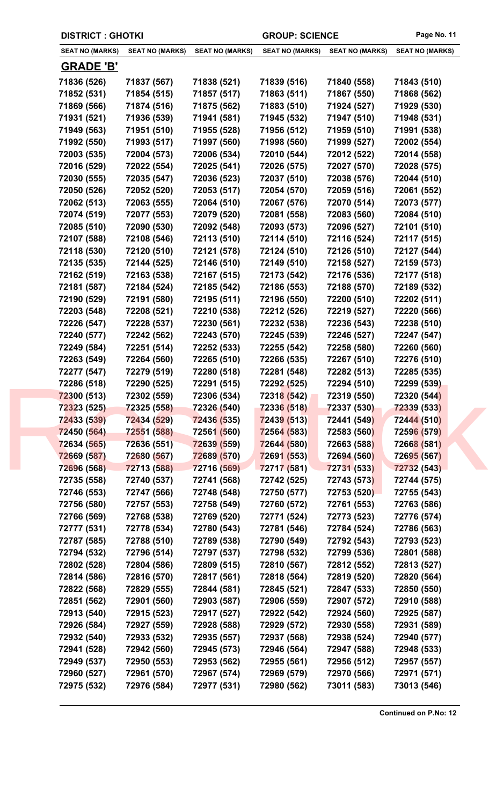| <b>DISTRICT : GHOTKI</b> |                            |                        | <b>GROUP: SCIENCE</b>      |                        | Page No. 11            |
|--------------------------|----------------------------|------------------------|----------------------------|------------------------|------------------------|
| <b>SEAT NO (MARKS)</b>   | <b>SEAT NO (MARKS)</b>     | <b>SEAT NO (MARKS)</b> | <b>SEAT NO (MARKS)</b>     | <b>SEAT NO (MARKS)</b> | <b>SEAT NO (MARKS)</b> |
| <b>GRADE 'B'</b>         |                            |                        |                            |                        |                        |
| 71836 (526)              | 71837 (567)                | 71838 (521)            | 71839 (516)                | 71840 (558)            | 71843 (510)            |
| 71852 (531)              | 71854 (515)                | 71857 (517)            | 71863 (511)                | 71867 (550)            | 71868 (562)            |
| 71869 (566)              | 71874 (516)                | 71875 (562)            | 71883 (510)                | 71924 (527)            | 71929 (530)            |
| 71931 (521)              | 71936 (539)                | 71941 (581)            | 71945 (532)                | 71947 (510)            | 71948 (531)            |
| 71949 (563)              | 71951 (510)                | 71955 (528)            | 71956 (512)                | 71959 (510)            | 71991 (538)            |
| 71992 (550)              | 71993 (517)                | 71997 (560)            | 71998 (560)                | 71999 (527)            | 72002 (554)            |
| 72003 (535)              | 72004 (573)                | 72006 (534)            | 72010 (544)                | 72012 (522)            | 72014 (558)            |
| 72016 (529)              | 72022 (554)                | 72025 (541)            | 72026 (575)                | 72027 (570)            | 72028 (575)            |
| 72030 (555)              | 72035 (547)                | 72036 (523)            | 72037 (510)                | 72038 (576)            | 72044 (510)            |
| 72050 (526)              | 72052 (520)                | 72053 (517)            | 72054 (570)                | 72059 (516)            | 72061 (552)            |
| 72062 (513)              | 72063 (555)                | 72064 (510)            | 72067 (576)                | 72070 (514)            | 72073 (577)            |
| 72074 (519)              | 72077 (553)                | 72079 (520)            | 72081 (558)                | 72083 (560)            | 72084 (510)            |
| 72085 (510)              | 72090 (530)                | 72092 (548)            | 72093 (573)                | 72096 (527)            | 72101 (510)            |
| 72107 (588)              | 72108 (546)                | 72113 (510)            | 72114 (510)                | 72116 (524)            | 72117 (515)            |
| 72118 (530)              | 72120 (510)                | 72121 (578)            | 72124 (510)                | 72126 (510)            | 72127 (544)            |
| 72135 (535)              | 72144 (525)                | 72146 (510)            | 72149 (510)                | 72158 (527)            | 72159 (573)            |
| 72162 (519)              | 72163 (538)                | 72167 (515)            | 72173 (542)                | 72176 (536)            | 72177 (518)            |
| 72181 (587)              | 72184 (524)                | 72185 (542)            | 72186 (553)                | 72188 (570)            | 72189 (532)            |
| 72190 (529)              | 72191 (580)                | 72195 (511)            | 72196 (550)                | 72200 (510)            | 72202 (511)            |
| 72203 (548)              | 72208 (521)                | 72210 (538)            | 72212 (526)                | 72219 (527)            | 72220 (566)            |
| 72226 (547)              | 72228 (537)                | 72230 (561)            | 72232 (538)                | 72236 (543)            | 72238 (510)            |
| 72240 (577)              | 72242 (562)                | 72243 (570)            | 72245 (539)                | 72246 (527)            | 72247 (547)            |
| 72249 (584)              | 72251 (514)                | 72252 (533)            | 72255 (542)                | 72258 (580)            | 72260 (560)            |
| 72263 (549)              | 72264 (560)                | 72265 (510)            | 72266 (535)                | 72267 (510)            | 72276 (510)            |
| 72277 (547)              | 72279 (519)                | 72280 (518)            | 72281 (548)                | 72282 (513)            | 72285 (535)            |
| 72286 (518)              | 72290 (525)                | 72291 (515)            | 72292 (525)                | 72294 (510)            | 72299 (539)            |
| 72300 (513)              | 72302 (559)                | 72306 (534)            | 72318 (542)                | 72319 (550)            | 72320 (544)            |
| 72323 (525)              | 72325 (558)                | 72326 (540)            | 72336 (518)                | 72337 (530)            | 72339 (533)            |
| 72433 (539)              | 72434 (529)                | 72436 (535)            | 72439 (513)                | 72441 (549)            | 72444 (510)            |
| 72450 (564)              | 72551 (588)                | <b>72561 (560)</b>     | 72564 (583)                | 72583 (560)            | 72596 (579)            |
| 72634 (565)              | 72636 (551)                | 72639 (559)            | 72644 (580)                | 72663 (588)            | 72668 (581)            |
| 72669 (587)              |                            | 72689 (570)            |                            |                        |                        |
|                          | 72680 (567)                |                        | 72691 (553)                | 72694 (560)            | 72695 (567)            |
| 72696 (568)              | 72713 (588)                | 72716 (569)            | 72717 (581)                | 72731 (533)            | 72732 (543)            |
| 72735 (558)              | 72740 (537)                | 72741 (568)            | 72742 (525)                | 72743 (573)            | 72744 (575)            |
| 72746 (553)              | 72747 (566)                | 72748 (548)            | 72750 (577)                | 72753 (520)            | 72755 (543)            |
| 72756 (580)              | 72757 (553)                | 72758 (549)            | 72760 (572)                | 72761 (553)            | 72763 (586)            |
| 72766 (569)              | 72768 (538)                | 72769 (520)            | 72771 (524)                | 72773 (523)            | 72776 (574)            |
| 72777 (531)              | 72778 (534)                | 72780 (543)            | 72781 (546)                | 72784 (524)            | 72786 (563)            |
| 72787 (585)              | 72788 (510)                | 72789 (538)            | 72790 (549)                | 72792 (543)            | 72793 (523)            |
| 72794 (532)              | 72796 (514)                | 72797 (537)            | 72798 (532)                | 72799 (536)            | 72801 (588)            |
| 72802 (528)              | 72804 (586)                | 72809 (515)            | 72810 (567)                | 72812 (552)            | 72813 (527)            |
| 72814 (586)              | 72816 (570)                | 72817 (561)            | 72818 (564)                | 72819 (520)            | 72820 (564)            |
| 72822 (568)              | 72829 (555)                | 72844 (581)            | 72845 (521)                | 72847 (533)            | 72850 (550)            |
| 72851 (562)              | 72901 (560)                | 72903 (587)            | 72906 (559)                | 72907 (572)            | 72910 (588)            |
| 72913 (540)              | 72915 (523)                | 72917 (527)            | 72922 (542)                | 72924 (560)            | 72925 (587)            |
| 72926 (584)              | 72927 (559)                | 72928 (588)            | 72929 (572)                | 72930 (558)            | 72931 (589)            |
| 72932 (540)              | 72933 (532)                | 72935 (557)            | 72937 (568)                | 72938 (524)            | 72940 (577)            |
| 72941 (528)              | 72942 (560)                | 72945 (573)            | 72946 (564)                | 72947 (588)            | 72948 (533)            |
| 72949 (537)              | 72950 (553)                | 72953 (562)            | 72955 (561)                | 72956 (512)            | 72957 (557)            |
|                          |                            |                        |                            | 72970 (566)            | 72971 (571)            |
| 72960 (527)              | 72961 (570)<br>72976 (584) | 72967 (574)            | 72969 (579)<br>72980 (562) | 73011 (583)            |                        |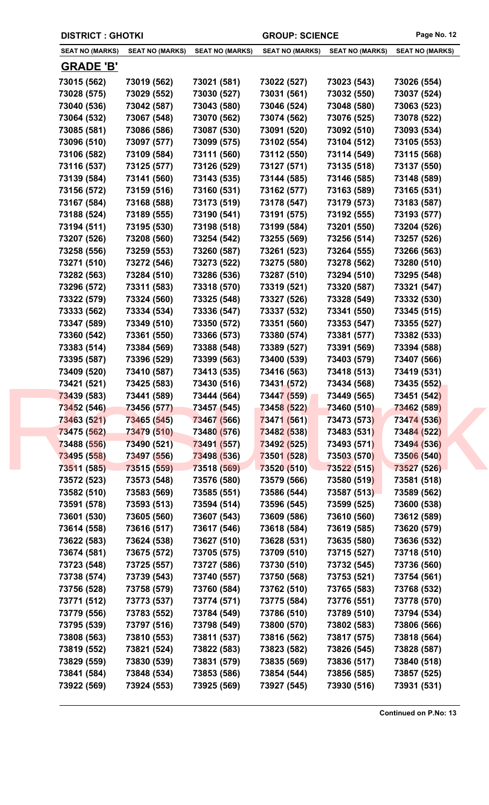| <b>DISTRICT : GHOTKI</b> |                        |                        | <b>GROUP: SCIENCE</b>  |                        | Page No. 12            |
|--------------------------|------------------------|------------------------|------------------------|------------------------|------------------------|
| <b>SEAT NO (MARKS)</b>   | <b>SEAT NO (MARKS)</b> | <b>SEAT NO (MARKS)</b> | <b>SEAT NO (MARKS)</b> | <b>SEAT NO (MARKS)</b> | <b>SEAT NO (MARKS)</b> |
| <u>GRADE 'B'</u>         |                        |                        |                        |                        |                        |
| 73015 (562)              | 73019 (562)            | 73021 (581)            | 73022 (527)            | 73023 (543)            | 73026 (554)            |
| 73028 (575)              | 73029 (552)            | 73030 (527)            | 73031 (561)            | 73032 (550)            | 73037 (524)            |
| 73040 (536)              | 73042 (587)            | 73043 (580)            | 73046 (524)            | 73048 (580)            | 73063 (523)            |
| 73064 (532)              | 73067 (548)            | 73070 (562)            | 73074 (562)            | 73076 (525)            | 73078 (522)            |
| 73085 (581)              | 73086 (586)            | 73087 (530)            | 73091 (520)            | 73092 (510)            | 73093 (534)            |
| 73096 (510)              | 73097 (577)            | 73099 (575)            | 73102 (554)            | 73104 (512)            | 73105 (553)            |
| 73106 (582)              | 73109 (584)            | 73111 (560)            | 73112 (550)            | 73114 (549)            | 73115 (568)            |
| 73116 (537)              | 73125 (577)            | 73126 (529)            | 73127 (571)            | 73135 (518)            | 73137 (550)            |
| 73139 (584)              | 73141 (560)            | 73143 (535)            | 73144 (585)            | 73146 (585)            | 73148 (589)            |
| 73156 (572)              | 73159 (516)            | 73160 (531)            | 73162 (577)            | 73163 (589)            | 73165 (531)            |
| 73167 (584)              | 73168 (588)            | 73173 (519)            | 73178 (547)            | 73179 (573)            | 73183 (587)            |
| 73188 (524)              | 73189 (555)            | 73190 (541)            | 73191 (575)            | 73192 (555)            | 73193 (577)            |
| 73194 (511)              | 73195 (530)            | 73198 (518)            | 73199 (584)            | 73201 (550)            | 73204 (526)            |
| 73207 (526)              | 73208 (560)            | 73254 (542)            | 73255 (569)            | 73256 (514)            | 73257 (526)            |
| 73258 (556)              | 73259 (553)            | 73260 (587)            | 73261 (523)            | 73264 (555)            | 73266 (563)            |
| 73271 (510)              | 73272 (546)            | 73273 (522)            | 73275 (580)            | 73278 (562)            | 73280 (510)            |
| 73282 (563)              | 73284 (510)            | 73286 (536)            | 73287 (510)            | 73294 (510)            | 73295 (548)            |
| 73296 (572)              | 73311 (583)            | 73318 (570)            | 73319 (521)            | 73320 (587)            | 73321 (547)            |
| 73322 (579)              | 73324 (560)            | 73325 (548)            | 73327 (526)            | 73328 (549)            | 73332 (530)            |
| 73333 (562)              | 73334 (534)            | 73336 (547)            | 73337 (532)            | 73341 (550)            | 73345 (515)            |
| 73347 (589)              | 73349 (510)            | 73350 (572)            | 73351 (560)            | 73353 (547)            | 73355 (527)            |
| 73360 (542)              | 73361 (550)            | 73366 (573)            | 73380 (574)            | 73381 (577)            | 73382 (533)            |
|                          |                        |                        |                        |                        |                        |
| 73383 (514)              | 73384 (569)            | 73388 (548)            | 73389 (527)            | 73391 (569)            | 73394 (588)            |
| 73395 (587)              | 73396 (529)            | 73399 (563)            | 73400 (539)            | 73403 (579)            | 73407 (566)            |
| 73409 (520)              | 73410 (587)            | 73413 (535)            | 73416 (563)            | 73418 (513)            | 73419 (531)            |
| 73421 (521)              | 73425 (583)            | 73430 (516)            | 73431 (572)            | 73434 (568)            | 73435 (552)            |
| 73439 (583)              | 73441 (589)            | 73444 (564)            | 73447 (559)            | 73449 (565)            | 73451 (542)            |
| 73452 (546)              | 73456 (577)            | 73457 (545)            | 73458 (522)            | 73460 (510)            | 73462 (589)            |
| 73463 (521)              | 73465 (545)            | 73467 (566)            | 73471 (561)            | 73473 (573)            | 73474 (536)            |
| 73475 (562)              | 73479 (510)            | 73480 (576)            | 73482 (538)            | 73483 (531)            | 73484 (522)            |
| 73488 (556)              | 73490 (521)            | 73491 (557)            | 73492 (525)            | 73493 (571)            | 73494 (536)            |
| 73495 (558)              | 73497 (556)            | 73498 (536)            | 73501 (528)            | 73503 (570)            | 73506 (540)            |
| 73511 (585)              | 73515 (559)            | 73518 (569)            | 73520 (510)            | 73522 (515)            | 73527 (526)            |
| 73572 (523)              | 73573 (548)            | 73576 (580)            | 73579 (566)            | 73580 (519)            | 73581 (518)            |
| 73582 (510)              | 73583 (569)            | 73585 (551)            | 73586 (544)            | 73587 (513)            | 73589 (562)            |
| 73591 (578)              | 73593 (513)            | 73594 (514)            | 73596 (545)            | 73599 (525)            | 73600 (538)            |
| 73601 (530)              | 73605 (560)            | 73607 (543)            | 73609 (586)            | 73610 (560)            | 73612 (589)            |
| 73614 (558)              | 73616 (517)            | 73617 (546)            | 73618 (584)            | 73619 (585)            | 73620 (579)            |
| 73622 (583)              | 73624 (538)            | 73627 (510)            | 73628 (531)            | 73635 (580)            | 73636 (532)            |
| 73674 (581)              | 73675 (572)            | 73705 (575)            | 73709 (510)            | 73715 (527)            | 73718 (510)            |
| 73723 (548)              | 73725 (557)            | 73727 (586)            | 73730 (510)            | 73732 (545)            | 73736 (560)            |
| 73738 (574)              | 73739 (543)            | 73740 (557)            | 73750 (568)            | 73753 (521)            | 73754 (561)            |
| 73756 (528)              | 73758 (579)            | 73760 (584)            | 73762 (510)            | 73765 (583)            | 73768 (532)            |
| 73771 (512)              | 73773 (537)            | 73774 (571)            | 73775 (584)            | 73776 (551)            | 73778 (570)            |
| 73779 (556)              | 73783 (552)            | 73784 (549)            | 73786 (510)            | 73789 (510)            | 73794 (534)            |
| 73795 (539)              | 73797 (516)            | 73798 (549)            | 73800 (570)            | 73802 (583)            | 73806 (566)            |
| 73808 (563)              | 73810 (553)            | 73811 (537)            | 73816 (562)            | 73817 (575)            | 73818 (564)            |
| 73819 (552)              | 73821 (524)            | 73822 (583)            | 73823 (582)            | 73826 (545)            | 73828 (587)            |
| 73829 (559)              | 73830 (539)            | 73831 (579)            | 73835 (569)            | 73836 (517)            | 73840 (518)            |
|                          |                        |                        |                        |                        |                        |
| 73841 (584)              | 73848 (534)            | 73853 (586)            | 73854 (544)            | 73856 (585)            | 73857 (525)            |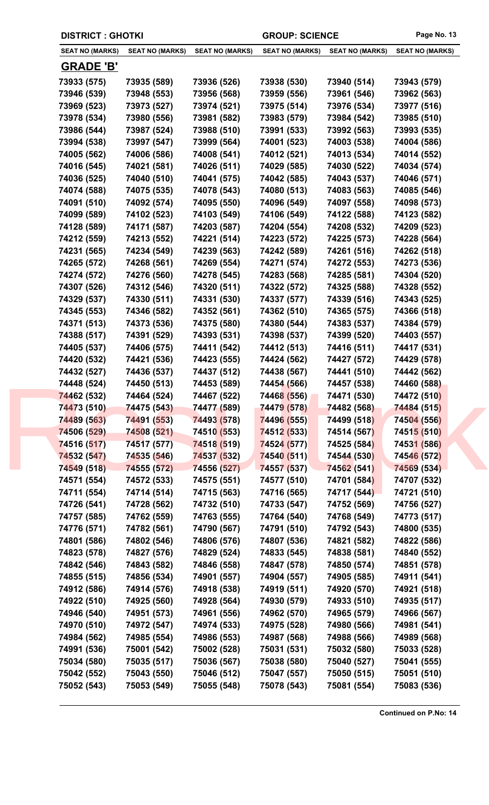| <b>DISTRICT : GHOTKI</b>   |                            |                            | <b>GROUP: SCIENCE</b>      |                            | Page No. 13                |
|----------------------------|----------------------------|----------------------------|----------------------------|----------------------------|----------------------------|
| <b>SEAT NO (MARKS)</b>     | <b>SEAT NO (MARKS)</b>     | <b>SEAT NO (MARKS)</b>     | <b>SEAT NO (MARKS)</b>     | <b>SEAT NO (MARKS)</b>     | <b>SEAT NO (MARKS)</b>     |
| <b>GRADE 'B'</b>           |                            |                            |                            |                            |                            |
| 73933 (575)                | 73935 (589)                | 73936 (526)                | 73938 (530)                | 73940 (514)                | 73943 (579)                |
| 73946 (539)                | 73948 (553)                | 73956 (568)                | 73959 (556)                | 73961 (546)                | 73962 (563)                |
| 73969 (523)                | 73973 (527)                | 73974 (521)                | 73975 (514)                | 73976 (534)                | 73977 (516)                |
| 73978 (534)                | 73980 (556)                | 73981 (582)                | 73983 (579)                | 73984 (542)                | 73985 (510)                |
| 73986 (544)                | 73987 (524)                | 73988 (510)                | 73991 (533)                | 73992 (563)                | 73993 (535)                |
| 73994 (538)                | 73997 (547)                | 73999 (564)                | 74001 (523)                | 74003 (538)                | 74004 (586)                |
| 74005 (562)                | 74006 (586)                | 74008 (541)                | 74012 (521)                | 74013 (534)                | 74014 (552)                |
| 74016 (545)                | 74021 (581)                | 74026 (511)                | 74029 (585)                | 74030 (522)                | 74034 (574)                |
| 74036 (525)                | 74040 (510)                | 74041 (575)                | 74042 (585)                | 74043 (537)                | 74046 (571)                |
| 74074 (588)                | 74075 (535)                | 74078 (543)                | 74080 (513)                | 74083 (563)                | 74085 (546)                |
| 74091 (510)                | 74092 (574)                | 74095 (550)                | 74096 (549)                | 74097 (558)                | 74098 (573)                |
| 74099 (589)                | 74102 (523)                | 74103 (549)                | 74106 (549)                | 74122 (588)                | 74123 (582)                |
| 74128 (589)                | 74171 (587)                | 74203 (587)                | 74204 (554)                | 74208 (532)                | 74209 (523)                |
| 74212 (559)                | 74213 (552)                | 74221 (514)                | 74223 (572)                | 74225 (573)                | 74228 (564)                |
| 74231 (565)                | 74234 (549)                | 74239 (563)                | 74242 (589)                | 74261 (516)                | 74262 (518)                |
| 74265 (572)                | 74268 (561)                | 74269 (554)                | 74271 (574)                | 74272 (553)                | 74273 (536)                |
| 74274 (572)                | 74276 (560)                | 74278 (545)                | 74283 (568)                | 74285 (581)                | 74304 (520)                |
| 74307 (526)                | 74312 (546)                | 74320 (511)                | 74322 (572)                | 74325 (588)                | 74328 (552)                |
| 74329 (537)                | 74330 (511)                | 74331 (530)                | 74337 (577)                | 74339 (516)                | 74343 (525)                |
| 74345 (553)                | 74346 (582)                | 74352 (561)                | 74362 (510)                | 74365 (575)                | 74366 (518)                |
| 74371 (513)                | 74373 (536)                | 74375 (580)                | 74380 (544)                | 74383 (537)                | 74384 (579)                |
| 74388 (517)                | 74391 (529)                | 74393 (531)                | 74398 (537)                | 74399 (520)                | 74403 (557)                |
| 74405 (537)                | 74406 (575)                | 74411 (542)                | 74412 (513)                | 74416 (511)                | 74417 (531)                |
| 74420 (532)                | 74421 (536)                | 74423 (555)                | 74424 (562)                | 74427 (572)                | 74429 (578)                |
| 74432 (527)                | 74436 (537)                | 74437 (512)                | 74438 (567)                | 74441 (510)                | 74442 (562)                |
| 74448 (524)                | 74450 (513)                | 74453 (589)                | 74454 (566)                | 74457 (538)                | 74460 (588)                |
| 74462 (532)                | 74464 (524)                | 74467 (522)                | 74468 (556)                | 74471 (530)                | 74472 (510)                |
| 74473 (510)                | 74475 (543)                | 74477 (589)                | 74479 (578)                | 74482 (568)                | 74484 (515)                |
| 74489 (563)                | 74491 (553)                | 74493 (578)                | 74496 (555)                | 74499 (518)                | 74504 (556)                |
| 74506 (529)                | 74508 (521)                | 74510 (553)                | 74512 (533)                | 74514 (567)                | 74515 (510)                |
| 74516 (517)                | 74517 (577)                | 74518 (519)                | 74524 (577)                | 74525 (584)                | 74531 (586)                |
| 74532 (547)                | 74535 (546)                | 74537 (532)                | 74540 (511)                | 74544 (530)                | 74546 (572)                |
| 74549 (518)                | 74555 (572)                | 74556 (527)                | 74557 (537)                | 74562 (541)                | 74569 (534)                |
| 74571 (554)                | 74572 (533)                | 74575 (551)                | 74577 (510)                | 74701 (584)                | 74707 (532)                |
| 74711 (554)                | 74714 (514)                | 74715 (563)                | 74716 (565)                | 74717 (544)                | 74721 (510)                |
| 74726 (541)                | 74728 (562)                | 74732 (510)                | 74733 (547)                | 74752 (569)                | 74756 (527)                |
| 74757 (585)                | 74762 (559)                | 74763 (555)                | 74764 (540)                | 74768 (549)                | 74773 (517)                |
| 74776 (571)                | 74782 (561)                | 74790 (567)                | 74791 (510)                | 74792 (543)                | 74800 (535)                |
| 74801 (586)                | 74802 (546)                | 74806 (576)                | 74807 (536)                | 74821 (582)                | 74822 (586)                |
| 74823 (578)                | 74827 (576)                | 74829 (524)                | 74833 (545)                | 74838 (581)                | 74840 (552)                |
|                            |                            |                            |                            |                            |                            |
| 74842 (546)                | 74843 (582)                | 74846 (558)                | 74847 (578)                | 74850 (574)                | 74851 (578)                |
| 74855 (515)                | 74856 (534)                | 74901 (557)                | 74904 (557)                | 74905 (585)                | 74911 (541)                |
| 74912 (586)                | 74914 (576)                | 74918 (538)                | 74919 (511)                | 74920 (570)                | 74921 (518)                |
| 74922 (510)                | 74925 (560)                | 74928 (564)                | 74930 (579)                | 74933 (510)                | 74935 (517)                |
| 74946 (540)                | 74951 (573)                | 74961 (556)                | 74962 (570)                | 74965 (579)                | 74966 (567)                |
| 74970 (510)                | 74972 (547)                | 74974 (533)                | 74975 (528)                | 74980 (566)                | 74981 (541)                |
| 74984 (562)                | 74985 (554)                | 74986 (553)                | 74987 (568)                | 74988 (566)                | 74989 (568)                |
|                            |                            |                            | 75031 (531)                | 75032 (580)                | 75033 (528)                |
| 74991 (536)                | 75001 (542)                | 75002 (528)                |                            |                            |                            |
| 75034 (580)                | 75035 (517)                | 75036 (567)                | 75038 (580)                | 75040 (527)                | 75041 (555)                |
| 75042 (552)<br>75052 (543) | 75043 (550)<br>75053 (549) | 75046 (512)<br>75055 (548) | 75047 (557)<br>75078 (543) | 75050 (515)<br>75081 (554) | 75051 (510)<br>75083 (536) |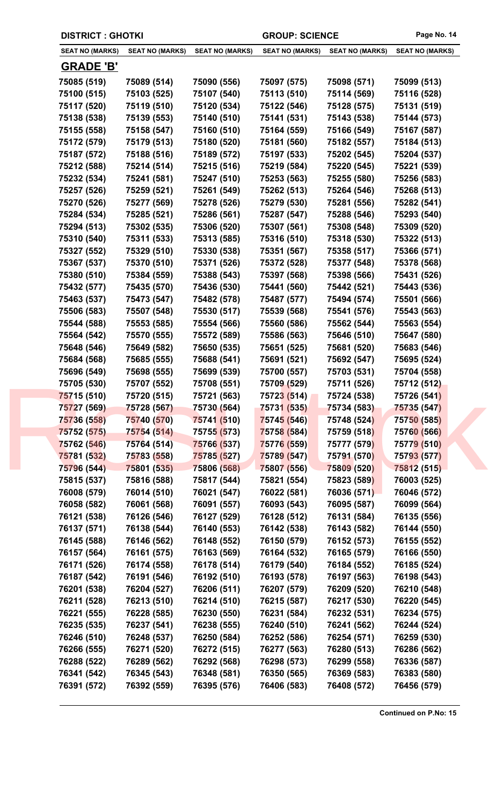| <b>DISTRICT: GHOTKI</b> |                        |                        | <b>GROUP: SCIENCE</b>  |                        | Page No. 14            |
|-------------------------|------------------------|------------------------|------------------------|------------------------|------------------------|
| <b>SEAT NO (MARKS)</b>  | <b>SEAT NO (MARKS)</b> | <b>SEAT NO (MARKS)</b> | <b>SEAT NO (MARKS)</b> | <b>SEAT NO (MARKS)</b> | <b>SEAT NO (MARKS)</b> |
| <b>GRADE 'B'</b>        |                        |                        |                        |                        |                        |
| 75085 (519)             | 75089 (514)            | 75090 (556)            | 75097 (575)            | 75098 (571)            | 75099 (513)            |
| 75100 (515)             | 75103 (525)            | 75107 (540)            | 75113 (510)            | 75114 (569)            | 75116 (528)            |
| 75117 (520)             | 75119 (510)            | 75120 (534)            | 75122 (546)            | 75128 (575)            | 75131 (519)            |
| 75138 (538)             | 75139 (553)            | 75140 (510)            | 75141 (531)            | 75143 (538)            | 75144 (573)            |
| 75155 (558)             | 75158 (547)            | 75160 (510)            | 75164 (559)            | 75166 (549)            | 75167 (587)            |
| 75172 (579)             | 75179 (513)            | 75180 (520)            | 75181 (560)            | 75182 (557)            | 75184 (513)            |
| 75187 (572)             | 75188 (516)            | 75189 (572)            | 75197 (533)            | 75202 (545)            | 75204 (537)            |
| 75212 (588)             | 75214 (514)            | 75215 (516)            | 75219 (584)            | 75220 (545)            | 75221 (539)            |
| 75232 (534)             | 75241 (581)            | 75247 (510)            | 75253 (563)            | 75255 (580)            | 75256 (583)            |
| 75257 (526)             | 75259 (521)            | 75261 (549)            | 75262 (513)            | 75264 (546)            | 75268 (513)            |
| 75270 (526)             | 75277 (569)            | 75278 (526)            | 75279 (530)            | 75281 (556)            | 75282 (541)            |
| 75284 (534)             | 75285 (521)            | 75286 (561)            | 75287 (547)            | 75288 (546)            | 75293 (540)            |
| 75294 (513)             | 75302 (535)            | 75306 (520)            | 75307 (561)            | 75308 (548)            | 75309 (520)            |
| 75310 (540)             | 75311 (533)            | 75313 (585)            | 75316 (510)            | 75318 (530)            | 75322 (513)            |
| 75327 (552)             | 75329 (510)            | 75330 (538)            | 75351 (567)            | 75358 (517)            | 75366 (571)            |
| 75367 (537)             | 75370 (510)            | 75371 (526)            | 75372 (528)            | 75377 (548)            | 75378 (568)            |
| 75380 (510)             | 75384 (559)            | 75388 (543)            | 75397 (568)            | 75398 (566)            | 75431 (526)            |
| 75432 (577)             | 75435 (570)            | 75436 (530)            | 75441 (560)            | 75442 (521)            | 75443 (536)            |
| 75463 (537)             | 75473 (547)            | 75482 (578)            | 75487 (577)            | 75494 (574)            | 75501 (566)            |
| 75506 (583)             | 75507 (548)            | 75530 (517)            | 75539 (568)            | 75541 (576)            | 75543 (563)            |
| 75544 (588)             | 75553 (585)            | 75554 (566)            | 75560 (586)            | 75562 (544)            | 75563 (554)            |
| 75564 (542)             | 75570 (555)            | 75572 (589)            | 75586 (563)            | 75646 (510)            | 75647 (580)            |
| 75648 (546)             | 75649 (582)            | 75650 (535)            | 75651 (525)            | 75681 (520)            | 75683 (546)            |
| 75684 (568)             | 75685 (555)            | 75688 (541)            | 75691 (521)            | 75692 (547)            | 75695 (524)            |
| 75696 (549)             | 75698 (555)            | 75699 (539)            | 75700 (557)            | 75703 (531)            | 75704 (558)            |
| 75705 (530)             | 75707 (552)            | 75708 (551)            | 75709 (529)            | 75711 (526)            | 75712 (512)            |
| 75715 (510)             | 75720 (515)            | 75721 (563)            | 75723 (514)            | 75724 (538)            | 75726 (541)            |
| 75727 (569)             | 75728 (567)            | 75730 (564)            | 75731 (535)            | 75734 (583)            | 75735 (547)            |
| 75736 (558)             | 75740 (570)            | 75741 (510)            | 75745 (546)            | 75748 (524)            | 75750 (585)            |
| 75752 (575)             | 75754 (514)            | 75755 (573)            | 75758 (584)            | 75759 (518)            | 75760 (566)            |
| 75762 (546)             | 75764 (514)            | 75766 (537)            | 75776 (559)            | 75777 (579)            | 75779 (510)            |
| 75781 (532)             | 75783 (558)            | 75785 (527)            | 75789 (547)            | 75791 (570)            | 75793 (577)            |
| 75796 (544)             | 75801 (535)            | 75806 (568)            | 75807 (556)            | 75809 (520)            | 75812 (515)            |
| 75815 (537)             | 75816 (588)            | 75817 (544)            | 75821 (554)            | 75823 (589)            | 76003 (525)            |
| 76008 (579)             | 76014 (510)            | 76021 (547)            | 76022 (581)            | 76036 (571)            | 76046 (572)            |
| 76058 (582)             | 76061 (568)            | 76091 (557)            | 76093 (543)            | 76095 (587)            | 76099 (564)            |
| 76121 (538)             | 76126 (546)            | 76127 (529)            | 76128 (512)            | 76131 (584)            | 76135 (556)            |
| 76137 (571)             | 76138 (544)            | 76140 (553)            | 76142 (538)            | 76143 (582)            | 76144 (550)            |
| 76145 (588)             | 76146 (562)            | 76148 (552)            | 76150 (579)            | 76152 (573)            | 76155 (552)            |
| 76157 (564)             | 76161 (575)            | 76163 (569)            | 76164 (532)            | 76165 (579)            | 76166 (550)            |
| 76171 (526)             | 76174 (558)            | 76178 (514)            | 76179 (540)            | 76184 (552)            | 76185 (524)            |
| 76187 (542)             | 76191 (546)            | 76192 (510)            | 76193 (578)            | 76197 (563)            | 76198 (543)            |
| 76201 (538)             | 76204 (527)            | 76206 (511)            | 76207 (579)            | 76209 (520)            | 76210 (548)            |
| 76211 (528)             | 76213 (510)            | 76214 (510)            | 76215 (587)            | 76217 (530)            | 76220 (545)            |
| 76221 (555)             | 76228 (585)            | 76230 (550)            | 76231 (584)            | 76232 (531)            | 76234 (575)            |
| 76235 (535)             | 76237 (541)            | 76238 (555)            | 76240 (510)            | 76241 (562)            | 76244 (524)            |
| 76246 (510)             | 76248 (537)            | 76250 (584)            | 76252 (586)            | 76254 (571)            | 76259 (530)            |
| 76266 (555)             | 76271 (520)            | 76272 (515)            | 76277 (563)            | 76280 (513)            | 76286 (562)            |
| 76288 (522)             | 76289 (562)            | 76292 (568)            | 76298 (573)            | 76299 (558)            | 76336 (587)            |
| 76341 (542)             | 76345 (543)            | 76348 (581)            | 76350 (565)            | 76369 (583)            | 76383 (580)            |
| 76391 (572)             | 76392 (559)            | 76395 (576)            | 76406 (583)            | 76408 (572)            | 76456 (579)            |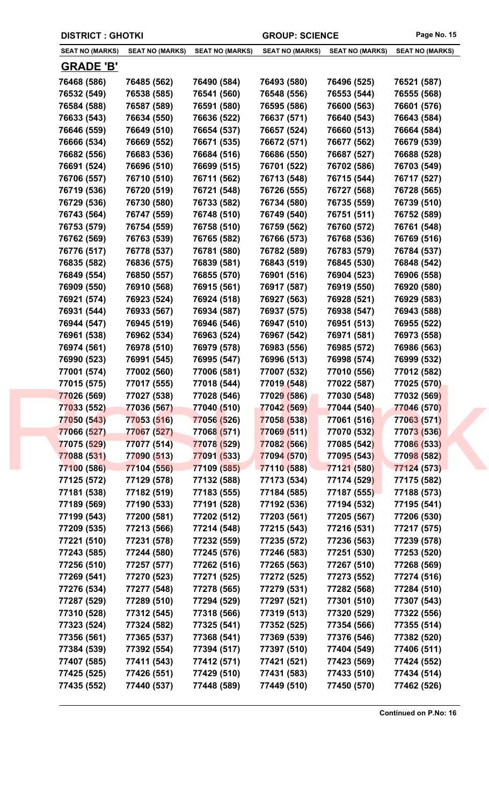| <b>DISTRICT : GHOTKI</b> |                        |                        | <b>GROUP: SCIENCE</b>  |                        | Page No. 15            |
|--------------------------|------------------------|------------------------|------------------------|------------------------|------------------------|
| <b>SEAT NO (MARKS)</b>   | <b>SEAT NO (MARKS)</b> | <b>SEAT NO (MARKS)</b> | <b>SEAT NO (MARKS)</b> | <b>SEAT NO (MARKS)</b> | <b>SEAT NO (MARKS)</b> |
| <b>GRADE 'B'</b>         |                        |                        |                        |                        |                        |
| 76468 (586)              | 76485 (562)            | 76490 (584)            | 76493 (580)            | 76496 (525)            | 76521 (587)            |
| 76532 (549)              | 76538 (585)            | 76541 (560)            | 76548 (556)            | 76553 (544)            | 76555 (568)            |
| 76584 (588)              | 76587 (589)            | 76591 (580)            | 76595 (586)            | 76600 (563)            | 76601 (576)            |
| 76633 (543)              | 76634 (550)            | 76636 (522)            | 76637 (571)            | 76640 (543)            | 76643 (584)            |
| 76646 (559)              | 76649 (510)            | 76654 (537)            | 76657 (524)            | 76660 (513)            | 76664 (584)            |
| 76666 (534)              | 76669 (552)            | 76671 (535)            | 76672 (571)            | 76677 (562)            | 76679 (539)            |
| 76682 (556)              | 76683 (536)            | 76684 (516)            | 76686 (550)            | 76687 (527)            | 76688 (528)            |
| 76691 (524)              | 76696 (510)            | 76699 (515)            | 76701 (522)            | 76702 (586)            | 76703 (549)            |
| 76706 (557)              | 76710 (510)            | 76711 (562)            | 76713 (548)            | 76715 (544)            | 76717 (527)            |
| 76719 (536)              | 76720 (519)            | 76721 (548)            | 76726 (555)            | 76727 (568)            | 76728 (565)            |
| 76729 (536)              | 76730 (580)            | 76733 (582)            | 76734 (580)            | 76735 (559)            | 76739 (510)            |
| 76743 (564)              | 76747 (559)            | 76748 (510)            | 76749 (540)            | 76751 (511)            | 76752 (589)            |
| 76753 (579)              | 76754 (559)            | 76758 (510)            | 76759 (562)            | 76760 (572)            | 76761 (548)            |
| 76762 (569)              | 76763 (539)            | 76765 (582)            | 76766 (573)            | 76768 (536)            | 76769 (516)            |
| 76776 (517)              | 76778 (537)            | 76781 (580)            | 76782 (589)            | 76783 (579)            | 76784 (537)            |
| 76835 (582)              | 76836 (575)            | 76839 (581)            | 76843 (519)            | 76845 (530)            | 76848 (542)            |
| 76849 (554)              | 76850 (557)            | 76855 (570)            | 76901 (516)            | 76904 (523)            | 76906 (558)            |
| 76909 (550)              | 76910 (568)            | 76915 (561)            | 76917 (587)            | 76919 (550)            | 76920 (580)            |
| 76921 (574)              | 76923 (524)            | 76924 (518)            | 76927 (563)            | 76928 (521)            | 76929 (583)            |
| 76931 (544)              | 76933 (567)            | 76934 (587)            | 76937 (575)            | 76938 (547)            | 76943 (588)            |
| 76944 (547)              | 76945 (519)            | 76946 (546)            | 76947 (510)            | 76951 (513)            | 76955 (522)            |
| 76961 (538)              | 76962 (534)            | 76963 (524)            | 76967 (542)            | 76971 (581)            | 76973 (558)            |
| 76974 (561)              | 76978 (510)            | 76979 (578)            | 76983 (556)            | 76985 (572)            | 76986 (563)            |
| 76990 (523)              | 76991 (545)            | 76995 (547)            | 76996 (513)            | 76998 (574)            | 76999 (532)            |
| 77001 (574)              | 77002 (560)            | 77006 (581)            | 77007 (532)            | 77010 (556)            | 77012 (582)            |
| 77015 (575)              | 77017 (555)            | 77018 (544)            | 77019 (548)            | 77022 (587)            | 77025 (570)            |
| 77026 (569)              | 77027 (538)            | 77028 (546)            | 77029 (586)            | 77030 (548)            | 77032 (569)            |
| 77033 (552)              | 77036 (567)            | 77040 (510)            | 77042 (569)            | 77044 (540)            | 77046 (570)            |
| 77050 (543)              | 77053 (516)            | 77056 (526)            | 77058 (538)            | 77061 (516)            | 77063 (571)            |
| 77066 (527)              | 77067 (527)            | 77068 (571)            | 77069 (511)            | 77070 (532)            | 77073 (536)            |
| 77075 (529)              | 77077 (514)            | 77078 (529)            | 77082 (566)            | 77085 (542)            | 77086 (533)            |
| 77088 (531)              | 77090 (513)            | 77091 (533)            | 77094 (570)            | 77095 (543)            | 77098 (582)            |
| 77100 (586)              | 77104 (556)            | 77109 (585)            | 77110 (588)            | 77121 (580)            | 77124 (573)            |
| 77125 (572)              | 77129 (578)            | 77132 (588)            | 77173 (534)            | 77174 (529)            | 77175 (582)            |
| 77181 (538)              | 77182 (519)            | 77183 (555)            | 77184 (585)            | 77187 (555)            | 77188 (573)            |
| 77189 (569)              | 77190 (533)            | 77191 (528)            | 77192 (536)            | 77194 (532)            | 77195 (541)            |
| 77199 (543)              | 77200 (581)            | 77202 (512)            | 77203 (561)            | 77205 (567)            | 77206 (530)            |
| 77209 (535)              | 77213 (566)            | 77214 (548)            | 77215 (543)            | 77216 (531)            | 77217 (575)            |
| 77221 (510)              | 77231 (578)            | 77232 (559)            | 77235 (572)            | 77236 (563)            | 77239 (578)            |
| 77243 (585)              | 77244 (580)            | 77245 (576)            | 77246 (583)            | 77251 (530)            | 77253 (520)            |
| 77256 (510)              | 77257 (577)            | 77262 (516)            | 77265 (563)            | 77267 (510)            | 77268 (569)            |
| 77269 (541)              | 77270 (523)            | 77271 (525)            | 77272 (525)            | 77273 (552)            | 77274 (516)            |
| 77276 (534)              | 77277 (548)            | 77278 (565)            | 77279 (531)            | 77282 (568)            | 77284 (510)            |
| 77287 (529)              | 77289 (510)            | 77294 (529)            | 77297 (521)            | 77301 (510)            | 77307 (543)            |
| 77310 (528)              | 77312 (545)            | 77318 (566)            | 77319 (513)            | 77320 (529)            | 77322 (556)            |
| 77323 (524)              | 77324 (582)            | 77325 (541)            | 77352 (525)            | 77354 (566)            | 77355 (514)            |
| 77356 (561)              | 77365 (537)            | 77368 (541)            | 77369 (539)            | 77376 (546)            | 77382 (520)            |
| 77384 (539)              | 77392 (554)            | 77394 (517)            | 77397 (510)            | 77404 (549)            | 77406 (511)            |
| 77407 (585)              | 77411 (543)            | 77412 (571)            | 77421 (521)            | 77423 (569)            | 77424 (552)            |
| 77425 (525)              | 77426 (551)            | 77429 (510)            | 77431 (583)            | 77433 (510)            | 77434 (514)            |
|                          |                        |                        |                        |                        |                        |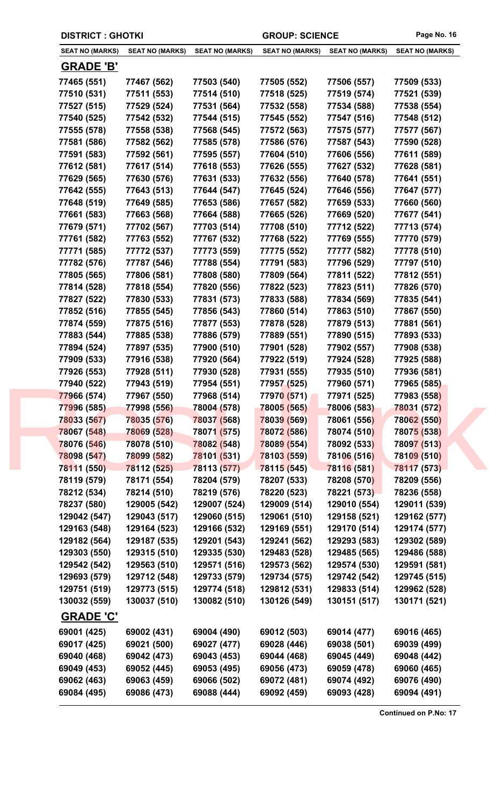| <b>DISTRICT : GHOTKI</b> |                        |                        | <b>GROUP: SCIENCE</b>  |                        | Page No. 16            |
|--------------------------|------------------------|------------------------|------------------------|------------------------|------------------------|
| <b>SEAT NO (MARKS)</b>   | <b>SEAT NO (MARKS)</b> | <b>SEAT NO (MARKS)</b> | <b>SEAT NO (MARKS)</b> | <b>SEAT NO (MARKS)</b> | <b>SEAT NO (MARKS)</b> |
| <b>GRADE 'B'</b>         |                        |                        |                        |                        |                        |
| 77465 (551)              | 77467 (562)            | 77503 (540)            | 77505 (552)            | 77506 (557)            | 77509 (533)            |
| 77510 (531)              | 77511 (553)            | 77514 (510)            | 77518 (525)            | 77519 (574)            | 77521 (539)            |
| 77527 (515)              | 77529 (524)            | 77531 (564)            | 77532 (558)            | 77534 (588)            | 77538 (554)            |
| 77540 (525)              | 77542 (532)            | 77544 (515)            | 77545 (552)            | 77547 (516)            | 77548 (512)            |
| 77555 (578)              | 77558 (538)            | 77568 (545)            | 77572 (563)            | 77575 (577)            | 77577 (567)            |
| 77581 (586)              | 77582 (562)            | 77585 (578)            | 77586 (576)            | 77587 (543)            | 77590 (528)            |
| 77591 (583)              | 77592 (561)            | 77595 (557)            | 77604 (510)            | 77606 (556)            | 77611 (589)            |
| 77612 (581)              | 77617 (514)            | 77618 (553)            | 77626 (555)            | 77627 (532)            | 77628 (581)            |
| 77629 (565)              | 77630 (576)            | 77631 (533)            | 77632 (556)            | 77640 (578)            | 77641 (551)            |
| 77642 (555)              | 77643 (513)            | 77644 (547)            | 77645 (524)            | 77646 (556)            | 77647 (577)            |
| 77648 (519)              | 77649 (585)            | 77653 (586)            | 77657 (582)            | 77659 (533)            | 77660 (560)            |
| 77661 (583)              | 77663 (568)            | 77664 (588)            | 77665 (526)            | 77669 (520)            | 77677 (541)            |
| 77679 (571)              | 77702 (567)            | 77703 (514)            | 77708 (510)            | 77712 (522)            | 77713 (574)            |
| 77761 (582)              | 77763 (552)            | 77767 (532)            | 77768 (522)            | 77769 (555)            | 77770 (579)            |
| 77771 (585)              | 77772 (537)            | 77773 (559)            | 77775 (552)            | 77777 (582)            | 77778 (510)            |
| 77782 (576)              | 77787 (546)            | 77788 (554)            | 77791 (583)            | 77796 (529)            | 77797 (510)            |
| 77805 (565)              | 77806 (581)            | 77808 (580)            | 77809 (564)            | 77811 (522)            | 77812 (551)            |
| 77814 (528)              | 77818 (554)            | 77820 (556)            | 77822 (523)            | 77823 (511)            | 77826 (570)            |
| 77827 (522)              | 77830 (533)            | 77831 (573)            | 77833 (588)            | 77834 (569)            | 77835 (541)            |
| 77852 (516)              | 77855 (545)            | 77856 (543)            | 77860 (514)            | 77863 (510)            | 77867 (550)            |
| 77874 (559)              | 77875 (516)            | 77877 (553)            | 77878 (528)            | 77879 (513)            | 77881 (561)            |
| 77883 (544)              | 77885 (538)            | 77886 (579)            | 77889 (551)            | 77890 (515)            | 77893 (533)            |
| 77894 (524)              | 77897 (535)            | 77900 (510)            | 77901 (528)            | 77902 (557)            | 77908 (538)            |
| 77909 (533)              | 77916 (538)            | 77920 (564)            | 77922 (519)            | 77924 (528)            | 77925 (588)            |
| 77926 (553)              | 77928 (511)            | 77930 (528)            | 77931 (555)            | 77935 (510)            | 77936 (581)            |
| 77940 (522)              | 77943 (519)            | 77954 (551)            | 77957 (525)            | 77960 (571)            | 77965 (585)            |
| 77966 (574)              | 77967 (550)            | 77968 (514)            | 77970 (571)            | 77971 (525)            | 77983 (558)            |
| 77996 (585)              | 77998 (556)            | 78004 (578)            | 78005 (565)            | 78006 (583)            | 78031 (572)            |
| 78033 (567)              | 78035 (576)            | 78037 (568)            | 78039 (569)            | 78061 (556)            | 78062 (550)            |
| 78067 (548)              | 78069 (528)            | 78071 (575)            | 78072 (586)            | 78074 (510)            | 78075 (538)            |
| 78076 (546)              | 78078 (510)            | 78082 (548)            | 78089 (554)            | 78092 (533)            | 78097 (513)            |
| 78098 (547)              | 78099 (582)            | 78101 (531)            | 78103 (559)            | 78106 (516)            | 78109 (510)            |
| 78111 (550)              | 78112 (525)            | 78113 (577)            | 78115 (545)            | 78116 (581)            | 78117 (573)            |
| 78119 (579)              | 78171 (554)            | 78204 (579)            | 78207 (533)            | 78208 (570)            | 78209 (556)            |
| 78212 (534)              | 78214 (510)            | 78219 (576)            | 78220 (523)            | 78221 (573)            | 78236 (558)            |
| 78237 (580)              | 129005 (542)           | 129007 (524)           | 129009 (514)           | 129010 (554)           | 129011 (539)           |
| 129042 (547)             | 129043 (517)           | 129060 (515)           | 129061 (510)           | 129158 (521)           | 129162 (577)           |
| 129163 (548)             | 129164 (523)           | 129166 (532)           | 129169 (551)           | 129170 (514)           | 129174 (577)           |
| 129182 (564)             | 129187 (535)           | 129201 (543)           | 129241 (562)           | 129293 (583)           | 129302 (589)           |
| 129303 (550)             | 129315 (510)           | 129335 (530)           | 129483 (528)           | 129485 (565)           | 129486 (588)           |
| 129542 (542)             | 129563 (510)           | 129571 (516)           | 129573 (562)           | 129574 (530)           | 129591 (581)           |
| 129693 (579)             | 129712 (548)           | 129733 (579)           | 129734 (575)           | 129742 (542)           | 129745 (515)           |
| 129751 (519)             | 129773 (515)           | 129774 (518)           | 129812 (531)           | 129833 (514)           | 129962 (528)           |
| 130032 (559)             | 130037 (510)           | 130082 (510)           | 130126 (549)           | 130151 (517)           | 130171 (521)           |
| <b>GRADE 'C'</b>         |                        |                        |                        |                        |                        |
| 69001 (425)              | 69002 (431)            | 69004 (490)            | 69012 (503)            | 69014 (477)            | 69016 (465)            |
| 69017 (425)              | 69021 (500)            | 69027 (477)            | 69028 (446)            | 69038 (501)            | 69039 (499)            |
| 69040 (468)              | 69042 (473)            | 69043 (453)            | 69044 (468)            | 69045 (449)            | 69048 (442)            |
| 69049 (453)              | 69052 (445)            | 69053 (495)            | 69056 (473)            | 69059 (478)            | 69060 (465)            |
| 69062 (463)              | 69063 (459)            | 69066 (502)            | 69072 (481)            | 69074 (492)            | 69076 (490)            |
| 69084 (495)              | 69086 (473)            | 69088 (444)            | 69092 (459)            | 69093 (428)            | 69094 (491)            |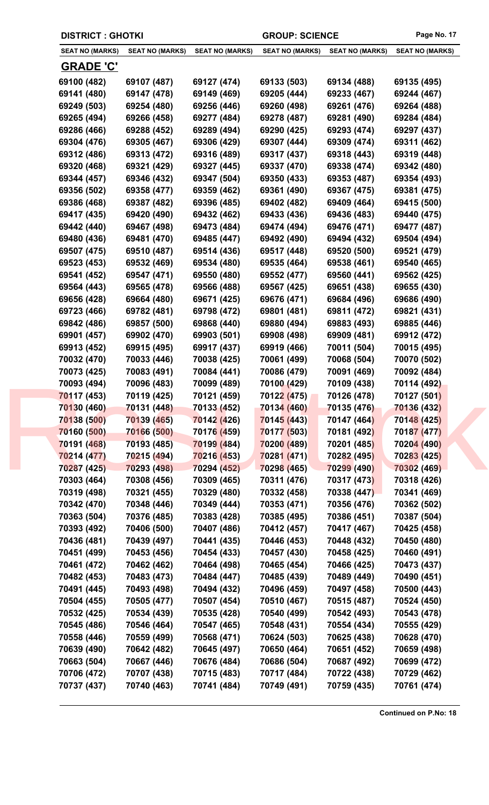| <b>DISTRICT : GHOTKI</b>                                                |                                                                         |                                                                         | <b>GROUP: SCIENCE</b>                                                   |                                                                         | Page No. 17                                                             |
|-------------------------------------------------------------------------|-------------------------------------------------------------------------|-------------------------------------------------------------------------|-------------------------------------------------------------------------|-------------------------------------------------------------------------|-------------------------------------------------------------------------|
| <b>SEAT NO (MARKS)</b>                                                  | <b>SEAT NO (MARKS)</b>                                                  | <b>SEAT NO (MARKS)</b>                                                  | <b>SEAT NO (MARKS)</b>                                                  | <b>SEAT NO (MARKS)</b>                                                  | <b>SEAT NO (MARKS)</b>                                                  |
| <u>GRADE 'C'</u>                                                        |                                                                         |                                                                         |                                                                         |                                                                         |                                                                         |
| 69100 (482)                                                             | 69107 (487)                                                             | 69127 (474)                                                             | 69133 (503)                                                             | 69134 (488)                                                             | 69135 (495)                                                             |
| 69141 (480)                                                             | 69147 (478)                                                             | 69149 (469)                                                             | 69205 (444)                                                             | 69233 (467)                                                             | 69244 (467)                                                             |
| 69249 (503)                                                             | 69254 (480)                                                             | 69256 (446)                                                             | 69260 (498)                                                             | 69261 (476)                                                             | 69264 (488)                                                             |
| 69265 (494)                                                             | 69266 (458)                                                             | 69277 (484)                                                             | 69278 (487)                                                             | 69281 (490)                                                             | 69284 (484)                                                             |
| 69286 (466)                                                             | 69288 (452)                                                             | 69289 (494)                                                             | 69290 (425)                                                             | 69293 (474)                                                             | 69297 (437)                                                             |
| 69304 (476)                                                             | 69305 (467)                                                             | 69306 (429)                                                             | 69307 (444)                                                             | 69309 (474)                                                             | 69311 (462)                                                             |
| 69312 (486)                                                             | 69313 (472)                                                             | 69316 (489)                                                             | 69317 (437)                                                             | 69318 (443)                                                             | 69319 (448)                                                             |
| 69320 (468)                                                             | 69321 (429)                                                             | 69327 (445)                                                             | 69337 (470)                                                             | 69338 (474)                                                             | 69342 (480)                                                             |
| 69344 (457)                                                             | 69346 (432)                                                             | 69347 (504)                                                             | 69350 (433)                                                             | 69353 (487)                                                             | 69354 (493)                                                             |
| 69356 (502)                                                             | 69358 (477)                                                             | 69359 (462)                                                             | 69361 (490)                                                             | 69367 (475)                                                             | 69381 (475)                                                             |
| 69386 (468)                                                             | 69387 (482)                                                             | 69396 (485)                                                             | 69402 (482)                                                             | 69409 (464)                                                             | 69415 (500)                                                             |
| 69417 (435)                                                             | 69420 (490)                                                             | 69432 (462)                                                             | 69433 (436)                                                             | 69436 (483)                                                             | 69440 (475)                                                             |
| 69442 (440)                                                             | 69467 (498)                                                             | 69473 (484)                                                             | 69474 (494)                                                             | 69476 (471)                                                             | 69477 (487)                                                             |
| 69480 (436)                                                             | 69481 (470)                                                             | 69485 (447)                                                             | 69492 (490)                                                             | 69494 (432)                                                             | 69504 (494)                                                             |
| 69507 (475)                                                             | 69510 (487)                                                             | 69514 (436)                                                             | 69517 (448)                                                             | 69520 (500)                                                             | 69521 (479)                                                             |
| 69523 (453)                                                             | 69532 (469)                                                             | 69534 (480)                                                             | 69535 (464)                                                             | 69538 (461)                                                             | 69540 (465)                                                             |
| 69541 (452)                                                             | 69547 (471)                                                             | 69550 (480)                                                             | 69552 (477)                                                             | 69560 (441)                                                             | 69562 (425)                                                             |
| 69564 (443)                                                             | 69565 (478)                                                             | 69566 (488)                                                             | 69567 (425)                                                             | 69651 (438)                                                             | 69655 (430)                                                             |
| 69656 (428)                                                             | 69664 (480)                                                             | 69671 (425)                                                             | 69676 (471)                                                             | 69684 (496)                                                             | 69686 (490)                                                             |
| 69723 (466)                                                             | 69782 (481)                                                             | 69798 (472)                                                             | 69801 (481)                                                             | 69811 (472)                                                             | 69821 (431)                                                             |
| 69842 (486)                                                             | 69857 (500)                                                             | 69868 (440)                                                             | 69880 (494)                                                             | 69883 (493)                                                             | 69885 (446)                                                             |
| 69901 (457)                                                             | 69902 (470)                                                             | 69903 (501)                                                             | 69908 (498)                                                             | 69909 (481)                                                             | 69912 (472)                                                             |
| 69913 (452)                                                             | 69915 (495)                                                             | 69917 (437)                                                             | 69919 (466)                                                             | 70011 (504)                                                             | 70015 (495)                                                             |
| 70032 (470)                                                             | 70033 (446)                                                             | 70038 (425)                                                             | 70061 (499)                                                             | 70068 (504)                                                             | 70070 (502)                                                             |
| 70073 (425)                                                             | 70083 (491)                                                             | 70084 (441)                                                             | 70086 (479)                                                             | 70091 (469)                                                             | 70092 (484)                                                             |
| 70093 (494)                                                             | 70096 (483)                                                             | 70099 (489)                                                             | 70100 (429)                                                             | 70109 (438)                                                             | 70114 (492)                                                             |
| 70117 (453)                                                             | 70119 (425)                                                             | 70121 (459)                                                             | 70122 (475)                                                             | 70126 (478)                                                             | 70127 (501)                                                             |
| 70130 (460)                                                             | 70131 (448)                                                             | 70133 (452)                                                             | 70134 (460)                                                             | 70135 (476)                                                             | 70136 (432)                                                             |
| 70138 (500)                                                             | 70139 (465)                                                             | 70142 (426)                                                             | 70145 (443)                                                             | 70147 (464)                                                             | 70148 (425)                                                             |
| 70160 (500)                                                             | 70166 (500)                                                             | 70176 (459)                                                             | 70177 (503)                                                             | 70181 (492)                                                             | 70187 (477)                                                             |
| 70191 (468)                                                             | 70193 (485)                                                             | 70199 (484)                                                             | 70200 (489)                                                             | 70201 (485)                                                             | 70204 (490)                                                             |
| 70214 (477)                                                             | 70215 (494)                                                             | 70216 (453)                                                             | 70281 (471)                                                             | 70282 (495)                                                             | 70283 (425)                                                             |
| 70287 (425)                                                             | 70293 (498)                                                             | 70294 (452)                                                             | 70298 (465)                                                             | 70299 (490)                                                             | 70302 (469)                                                             |
| 70303 (464)                                                             | 70308 (456)                                                             | 70309 (465)                                                             | 70311 (476)                                                             | 70317 (473)                                                             | 70318 (426)                                                             |
| 70319 (498)                                                             | 70321 (455)                                                             | 70329 (480)                                                             | 70332 (458)                                                             | 70338 (447)                                                             | 70341 (469)                                                             |
| 70342 (470)                                                             | 70348 (446)                                                             | 70349 (444)                                                             | 70353 (471)                                                             | 70356 (476)                                                             | 70362 (502)                                                             |
| 70363 (504)                                                             | 70376 (485)                                                             | 70383 (428)                                                             | 70385 (495)                                                             | 70386 (451)                                                             | 70387 (504)                                                             |
| 70393 (492)                                                             | 70406 (500)                                                             | 70407 (486)                                                             | 70412 (457)                                                             | 70417 (467)                                                             | 70425 (458)                                                             |
| 70436 (481)                                                             | 70439 (497)                                                             | 70441 (435)                                                             | 70446 (453)                                                             | 70448 (432)                                                             | 70450 (480)                                                             |
| 70451 (499)                                                             | 70453 (456)                                                             | 70454 (433)                                                             | 70457 (430)                                                             | 70458 (425)                                                             | 70460 (491)                                                             |
| 70461 (472)                                                             | 70462 (462)                                                             | 70464 (498)                                                             | 70465 (454)                                                             | 70466 (425)                                                             | 70473 (437)                                                             |
| 70482 (453)                                                             | 70483 (473)                                                             | 70484 (447)                                                             | 70485 (439)                                                             | 70489 (449)                                                             | 70490 (451)                                                             |
| 70491 (445)                                                             | 70493 (498)                                                             | 70494 (432)                                                             | 70496 (459)                                                             | 70497 (458)                                                             | 70500 (443)                                                             |
| 70504 (455)                                                             | 70505 (477)                                                             | 70507 (454)                                                             | 70510 (467)                                                             | 70515 (487)                                                             | 70524 (450)                                                             |
| 70532 (425)                                                             | 70534 (439)                                                             | 70535 (428)                                                             | 70540 (499)                                                             | 70542 (493)                                                             | 70543 (478)                                                             |
| 70545 (486)                                                             | 70546 (464)                                                             | 70547 (465)                                                             | 70548 (431)                                                             | 70554 (434)                                                             | 70555 (429)                                                             |
|                                                                         |                                                                         |                                                                         |                                                                         |                                                                         |                                                                         |
|                                                                         |                                                                         |                                                                         |                                                                         |                                                                         |                                                                         |
|                                                                         |                                                                         |                                                                         |                                                                         |                                                                         |                                                                         |
|                                                                         |                                                                         |                                                                         |                                                                         |                                                                         |                                                                         |
|                                                                         |                                                                         |                                                                         |                                                                         |                                                                         |                                                                         |
| 70558 (446)<br>70639 (490)<br>70663 (504)<br>70706 (472)<br>70737 (437) | 70559 (499)<br>70642 (482)<br>70667 (446)<br>70707 (438)<br>70740 (463) | 70568 (471)<br>70645 (497)<br>70676 (484)<br>70715 (483)<br>70741 (484) | 70624 (503)<br>70650 (464)<br>70686 (504)<br>70717 (484)<br>70749 (491) | 70625 (438)<br>70651 (452)<br>70687 (492)<br>70722 (438)<br>70759 (435) | 70628 (470)<br>70659 (498)<br>70699 (472)<br>70729 (462)<br>70761 (474) |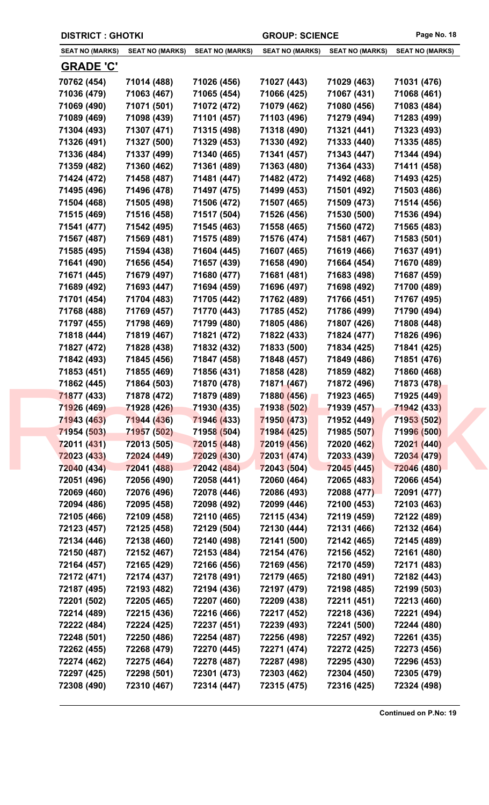| <b>DISTRICT : GHOTKI</b> |                        |                        | <b>GROUP: SCIENCE</b>  |                        | Page No. 18            |
|--------------------------|------------------------|------------------------|------------------------|------------------------|------------------------|
| <b>SEAT NO (MARKS)</b>   | <b>SEAT NO (MARKS)</b> | <b>SEAT NO (MARKS)</b> | <b>SEAT NO (MARKS)</b> | <b>SEAT NO (MARKS)</b> | <b>SEAT NO (MARKS)</b> |
| <b>GRADE 'C'</b>         |                        |                        |                        |                        |                        |
| 70762 (454)              | 71014 (488)            | 71026 (456)            | 71027 (443)            | 71029 (463)            | 71031 (476)            |
| 71036 (479)              | 71063 (467)            | 71065 (454)            | 71066 (425)            | 71067 (431)            | 71068 (461)            |
| 71069 (490)              | 71071 (501)            | 71072 (472)            | 71079 (462)            | 71080 (456)            | 71083 (484)            |
| 71089 (469)              | 71098 (439)            | 71101 (457)            | 71103 (496)            | 71279 (494)            | 71283 (499)            |
| 71304 (493)              | 71307 (471)            | 71315 (498)            | 71318 (490)            | 71321 (441)            | 71323 (493)            |
| 71326 (491)              | 71327 (500)            | 71329 (453)            | 71330 (492)            | 71333 (440)            | 71335 (485)            |
| 71336 (484)              | 71337 (499)            | 71340 (465)            | 71341 (457)            | 71343 (447)            | 71344 (494)            |
| 71359 (482)              | 71360 (462)            | 71361 (489)            | 71363 (480)            | 71364 (433)            | 71411 (458)            |
| 71424 (472)              | 71458 (487)            | 71481 (447)            | 71482 (472)            | 71492 (468)            | 71493 (425)            |
| 71495 (496)              | 71496 (478)            | 71497 (475)            | 71499 (453)            | 71501 (492)            | 71503 (486)            |
| 71504 (468)              | 71505 (498)            | 71506 (472)            | 71507 (465)            | 71509 (473)            | 71514 (456)            |
| 71515 (469)              | 71516 (458)            | 71517 (504)            | 71526 (456)            | 71530 (500)            | 71536 (494)            |
| 71541 (477)              | 71542 (495)            | 71545 (463)            | 71558 (465)            | 71560 (472)            | 71565 (483)            |
| 71567 (487)              | 71569 (481)            | 71575 (489)            | 71576 (474)            | 71581 (467)            | 71583 (501)            |
| 71585 (495)              | 71594 (438)            | 71604 (445)            | 71607 (465)            | 71619 (466)            | 71637 (491)            |
| 71641 (490)              | 71656 (454)            | 71657 (439)            | 71658 (490)            | 71664 (454)            | 71670 (489)            |
| 71671 (445)              | 71679 (497)            | 71680 (477)            | 71681 (481)            | 71683 (498)            | 71687 (459)            |
| 71689 (492)              | 71693 (447)            | 71694 (459)            | 71696 (497)            | 71698 (492)            | 71700 (489)            |
| 71701 (454)              | 71704 (483)            | 71705 (442)            | 71762 (489)            | 71766 (451)            | 71767 (495)            |
| 71768 (488)              | 71769 (457)            | 71770 (443)            | 71785 (452)            | 71786 (499)            | 71790 (494)            |
| 71797 (455)              | 71798 (469)            | 71799 (480)            | 71805 (486)            | 71807 (426)            | 71808 (448)            |
| 71818 (444)              | 71819 (467)            | 71821 (472)            | 71822 (433)            | 71824 (477)            | 71826 (496)            |
| 71827 (472)              | 71828 (438)            | 71832 (432)            | 71833 (500)            | 71834 (425)            | 71841 (425)            |
| 71842 (493)              | 71845 (456)            | 71847 (458)            | 71848 (457)            | 71849 (486)            | 71851 (476)            |
| 71853 (451)              | 71855 (469)            | 71856 (431)            | 71858 (428)            | 71859 (482)            | 71860 (468)            |
| 71862 (445)              | 71864 (503)            | 71870 (478)            | 71871 (467)            | 71872 (496)            | 71873 (478)            |
| 71877 (433)              | 71878 (472)            | 71879 (489)            | 71880 (456)            | 71923 (465)            | 71925 (449)            |
| 71926 (469)              | 71928 (426)            | 71930 (435)            | 71938 (502)            | 71939 (457)            | 71942 (433)            |
| 71943 (463)              | 71944 (436)            | 71946 (433)            | 71950 (473)            | 71952 (449)            | 71953 (502)            |
| 71954 (503)              | 71957 (502)            | 71958 (504)            | 71984 (425)            | 71985 (507)            | 71996 (500)            |
| 72011 (431)              | 72013 (505)            | 72015 (448)            | 72019 (456)            | 72020 (462)            | 72021 (440)            |
| 72023 (433)              | 72024 (449)            | 72029 (430)            | 72031 (474)            | 72033 (439)            | 72034 (479)            |
| 72040 (434)              | 72041 (488)            | 72042 (484)            | 72043 (504)            | 72045 (445)            | 72046 (480)            |
| 72051 (496)              | 72056 (490)            | 72058 (441)            | 72060 (464)            | 72065 (483)            | 72066 (454)            |
| 72069 (460)              | 72076 (496)            | 72078 (446)            | 72086 (493)            | 72088 (477)            | 72091 (477)            |
| 72094 (486)              | 72095 (458)            | 72098 (492)            | 72099 (446)            | 72100 (453)            | 72103 (463)            |
| 72105 (466)              | 72109 (458)            | 72110 (465)            | 72115 (434)            | 72119 (459)            | 72122 (489)            |
| 72123 (457)              | 72125 (458)            | 72129 (504)            | 72130 (444)            | 72131 (466)            | 72132 (464)            |
| 72134 (446)              | 72138 (460)            | 72140 (498)            | 72141 (500)            | 72142 (465)            | 72145 (489)            |
| 72150 (487)              | 72152 (467)            | 72153 (484)            | 72154 (476)            | 72156 (452)            | 72161 (480)            |
| 72164 (457)              | 72165 (429)            | 72166 (456)            | 72169 (456)            | 72170 (459)            | 72171 (483)            |
| 72172 (471)              | 72174 (437)            | 72178 (491)            | 72179 (465)            | 72180 (491)            | 72182 (443)            |
| 72187 (495)              | 72193 (482)            | 72194 (436)            | 72197 (479)            | 72198 (485)            | 72199 (503)            |
| 72201 (502)              | 72205 (465)            | 72207 (460)            | 72209 (438)            | 72211 (451)            | 72213 (460)            |
| 72214 (489)              | 72215 (436)            | 72216 (466)            | 72217 (452)            | 72218 (436)            | 72221 (494)            |
| 72222 (484)              | 72224 (425)            | 72237 (451)            | 72239 (493)            | 72241 (500)            | 72244 (480)            |
| 72248 (501)              | 72250 (486)            | 72254 (487)            | 72256 (498)            | 72257 (492)            | 72261 (435)            |
| 72262 (455)              | 72268 (479)            | 72270 (445)            | 72271 (474)            | 72272 (425)            | 72273 (456)            |
| 72274 (462)              | 72275 (464)            | 72278 (487)            | 72287 (498)            | 72295 (430)            | 72296 (453)            |
|                          |                        |                        |                        |                        |                        |
| 72297 (425)              | 72298 (501)            | 72301 (473)            | 72303 (462)            | 72304 (450)            | 72305 (479)            |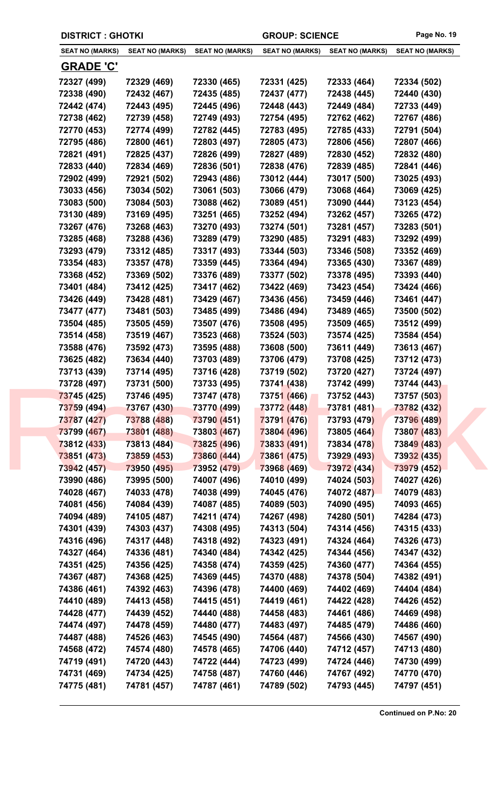| <b>SEAT NO (MARKS)</b><br><b>GRADE 'C'</b><br>72327 (499)<br>72338 (490)<br>72442 (474)<br>72738 (462)<br>72770 (453)<br>72795 (486)<br>72821 (491)<br>72833 (440)<br>72902 (499)<br>73033 (456)<br>73083 (500)<br>73130 (489)<br>73267 (476)<br>73285 (468)<br>73293 (479) | <b>SEAT NO (MARKS)</b><br>72329 (469)<br>72432 (467)<br>72443 (495)<br>72739 (458)<br>72774 (499)<br>72800 (461)<br>72825 (437)<br>72834 (469)<br>72921 (502)<br>73034 (502)<br>73084 (503)                                                                                                                                                                                         | <b>SEAT NO (MARKS)</b><br>72330 (465)<br>72435 (485)<br>72445 (496)<br>72749 (493)<br>72782 (445)<br>72803 (497)<br>72826 (499)<br>72836 (501)<br>72943 (486)                                                                                                                                                                                                                       | <b>SEAT NO (MARKS)</b><br>72331 (425)<br>72437 (477)<br>72448 (443)<br>72754 (495)<br>72783 (495)<br>72805 (473)<br>72827 (489)<br>72838 (476)                                                                                                                                                                                                                                      | <b>SEAT NO (MARKS)</b><br>72333 (464)<br>72438 (445)<br>72449 (484)<br>72762 (462)<br>72785 (433)<br>72806 (456)<br>72830 (452)                                                                                                                                                                                                                                                            | <b>SEAT NO (MARKS)</b><br>72334 (502)<br>72440 (430)<br>72733 (449)<br>72767 (486)<br>72791 (504)<br>72807 (466)                                                                                                                                                                                                                                                                           |
|-----------------------------------------------------------------------------------------------------------------------------------------------------------------------------------------------------------------------------------------------------------------------------|-------------------------------------------------------------------------------------------------------------------------------------------------------------------------------------------------------------------------------------------------------------------------------------------------------------------------------------------------------------------------------------|-------------------------------------------------------------------------------------------------------------------------------------------------------------------------------------------------------------------------------------------------------------------------------------------------------------------------------------------------------------------------------------|-------------------------------------------------------------------------------------------------------------------------------------------------------------------------------------------------------------------------------------------------------------------------------------------------------------------------------------------------------------------------------------|--------------------------------------------------------------------------------------------------------------------------------------------------------------------------------------------------------------------------------------------------------------------------------------------------------------------------------------------------------------------------------------------|--------------------------------------------------------------------------------------------------------------------------------------------------------------------------------------------------------------------------------------------------------------------------------------------------------------------------------------------------------------------------------------------|
|                                                                                                                                                                                                                                                                             |                                                                                                                                                                                                                                                                                                                                                                                     |                                                                                                                                                                                                                                                                                                                                                                                     |                                                                                                                                                                                                                                                                                                                                                                                     |                                                                                                                                                                                                                                                                                                                                                                                            |                                                                                                                                                                                                                                                                                                                                                                                            |
|                                                                                                                                                                                                                                                                             |                                                                                                                                                                                                                                                                                                                                                                                     |                                                                                                                                                                                                                                                                                                                                                                                     |                                                                                                                                                                                                                                                                                                                                                                                     |                                                                                                                                                                                                                                                                                                                                                                                            |                                                                                                                                                                                                                                                                                                                                                                                            |
|                                                                                                                                                                                                                                                                             |                                                                                                                                                                                                                                                                                                                                                                                     |                                                                                                                                                                                                                                                                                                                                                                                     |                                                                                                                                                                                                                                                                                                                                                                                     |                                                                                                                                                                                                                                                                                                                                                                                            |                                                                                                                                                                                                                                                                                                                                                                                            |
|                                                                                                                                                                                                                                                                             |                                                                                                                                                                                                                                                                                                                                                                                     |                                                                                                                                                                                                                                                                                                                                                                                     |                                                                                                                                                                                                                                                                                                                                                                                     |                                                                                                                                                                                                                                                                                                                                                                                            |                                                                                                                                                                                                                                                                                                                                                                                            |
|                                                                                                                                                                                                                                                                             |                                                                                                                                                                                                                                                                                                                                                                                     |                                                                                                                                                                                                                                                                                                                                                                                     |                                                                                                                                                                                                                                                                                                                                                                                     |                                                                                                                                                                                                                                                                                                                                                                                            |                                                                                                                                                                                                                                                                                                                                                                                            |
|                                                                                                                                                                                                                                                                             |                                                                                                                                                                                                                                                                                                                                                                                     |                                                                                                                                                                                                                                                                                                                                                                                     |                                                                                                                                                                                                                                                                                                                                                                                     |                                                                                                                                                                                                                                                                                                                                                                                            |                                                                                                                                                                                                                                                                                                                                                                                            |
|                                                                                                                                                                                                                                                                             |                                                                                                                                                                                                                                                                                                                                                                                     |                                                                                                                                                                                                                                                                                                                                                                                     |                                                                                                                                                                                                                                                                                                                                                                                     |                                                                                                                                                                                                                                                                                                                                                                                            |                                                                                                                                                                                                                                                                                                                                                                                            |
|                                                                                                                                                                                                                                                                             |                                                                                                                                                                                                                                                                                                                                                                                     |                                                                                                                                                                                                                                                                                                                                                                                     |                                                                                                                                                                                                                                                                                                                                                                                     |                                                                                                                                                                                                                                                                                                                                                                                            |                                                                                                                                                                                                                                                                                                                                                                                            |
|                                                                                                                                                                                                                                                                             |                                                                                                                                                                                                                                                                                                                                                                                     |                                                                                                                                                                                                                                                                                                                                                                                     |                                                                                                                                                                                                                                                                                                                                                                                     |                                                                                                                                                                                                                                                                                                                                                                                            | 72832 (480)                                                                                                                                                                                                                                                                                                                                                                                |
|                                                                                                                                                                                                                                                                             |                                                                                                                                                                                                                                                                                                                                                                                     |                                                                                                                                                                                                                                                                                                                                                                                     |                                                                                                                                                                                                                                                                                                                                                                                     | 72839 (485)                                                                                                                                                                                                                                                                                                                                                                                | 72841 (446)                                                                                                                                                                                                                                                                                                                                                                                |
|                                                                                                                                                                                                                                                                             |                                                                                                                                                                                                                                                                                                                                                                                     |                                                                                                                                                                                                                                                                                                                                                                                     | 73012 (444)                                                                                                                                                                                                                                                                                                                                                                         | 73017 (500)                                                                                                                                                                                                                                                                                                                                                                                | 73025 (493)                                                                                                                                                                                                                                                                                                                                                                                |
|                                                                                                                                                                                                                                                                             |                                                                                                                                                                                                                                                                                                                                                                                     | 73061 (503)                                                                                                                                                                                                                                                                                                                                                                         | 73066 (479)                                                                                                                                                                                                                                                                                                                                                                         | 73068 (464)                                                                                                                                                                                                                                                                                                                                                                                | 73069 (425)                                                                                                                                                                                                                                                                                                                                                                                |
|                                                                                                                                                                                                                                                                             |                                                                                                                                                                                                                                                                                                                                                                                     | 73088 (462)                                                                                                                                                                                                                                                                                                                                                                         | 73089 (451)                                                                                                                                                                                                                                                                                                                                                                         | 73090 (444)                                                                                                                                                                                                                                                                                                                                                                                | 73123 (454)                                                                                                                                                                                                                                                                                                                                                                                |
|                                                                                                                                                                                                                                                                             | 73169 (495)                                                                                                                                                                                                                                                                                                                                                                         | 73251 (465)                                                                                                                                                                                                                                                                                                                                                                         | 73252 (494)                                                                                                                                                                                                                                                                                                                                                                         | 73262 (457)                                                                                                                                                                                                                                                                                                                                                                                | 73265 (472)                                                                                                                                                                                                                                                                                                                                                                                |
|                                                                                                                                                                                                                                                                             | 73268 (463)                                                                                                                                                                                                                                                                                                                                                                         | 73270 (493)                                                                                                                                                                                                                                                                                                                                                                         | 73274 (501)                                                                                                                                                                                                                                                                                                                                                                         | 73281 (457)                                                                                                                                                                                                                                                                                                                                                                                | 73283 (501)                                                                                                                                                                                                                                                                                                                                                                                |
|                                                                                                                                                                                                                                                                             | 73288 (436)                                                                                                                                                                                                                                                                                                                                                                         | 73289 (479)                                                                                                                                                                                                                                                                                                                                                                         | 73290 (485)                                                                                                                                                                                                                                                                                                                                                                         | 73291 (483)                                                                                                                                                                                                                                                                                                                                                                                | 73292 (499)                                                                                                                                                                                                                                                                                                                                                                                |
|                                                                                                                                                                                                                                                                             | 73312 (485)                                                                                                                                                                                                                                                                                                                                                                         | 73317 (493)                                                                                                                                                                                                                                                                                                                                                                         | 73344 (503)                                                                                                                                                                                                                                                                                                                                                                         | 73346 (508)                                                                                                                                                                                                                                                                                                                                                                                | 73352 (469)                                                                                                                                                                                                                                                                                                                                                                                |
| 73354 (483)                                                                                                                                                                                                                                                                 | 73357 (478)                                                                                                                                                                                                                                                                                                                                                                         | 73359 (445)                                                                                                                                                                                                                                                                                                                                                                         | 73364 (494)                                                                                                                                                                                                                                                                                                                                                                         | 73365 (430)                                                                                                                                                                                                                                                                                                                                                                                | 73367 (489)                                                                                                                                                                                                                                                                                                                                                                                |
| 73368 (452)                                                                                                                                                                                                                                                                 | 73369 (502)                                                                                                                                                                                                                                                                                                                                                                         | 73376 (489)                                                                                                                                                                                                                                                                                                                                                                         | 73377 (502)                                                                                                                                                                                                                                                                                                                                                                         | 73378 (495)                                                                                                                                                                                                                                                                                                                                                                                | 73393 (440)                                                                                                                                                                                                                                                                                                                                                                                |
| 73401 (484)                                                                                                                                                                                                                                                                 | 73412 (425)                                                                                                                                                                                                                                                                                                                                                                         | 73417 (462)                                                                                                                                                                                                                                                                                                                                                                         | 73422 (469)                                                                                                                                                                                                                                                                                                                                                                         | 73423 (454)                                                                                                                                                                                                                                                                                                                                                                                | 73424 (466)                                                                                                                                                                                                                                                                                                                                                                                |
| 73426 (449)                                                                                                                                                                                                                                                                 | 73428 (481)                                                                                                                                                                                                                                                                                                                                                                         | 73429 (467)                                                                                                                                                                                                                                                                                                                                                                         | 73436 (456)                                                                                                                                                                                                                                                                                                                                                                         | 73459 (446)                                                                                                                                                                                                                                                                                                                                                                                | 73461 (447)                                                                                                                                                                                                                                                                                                                                                                                |
| 73477 (477)                                                                                                                                                                                                                                                                 | 73481 (503)                                                                                                                                                                                                                                                                                                                                                                         | 73485 (499)                                                                                                                                                                                                                                                                                                                                                                         | 73486 (494)                                                                                                                                                                                                                                                                                                                                                                         | 73489 (465)                                                                                                                                                                                                                                                                                                                                                                                | 73500 (502)                                                                                                                                                                                                                                                                                                                                                                                |
| 73504 (485)                                                                                                                                                                                                                                                                 | 73505 (459)                                                                                                                                                                                                                                                                                                                                                                         | 73507 (476)                                                                                                                                                                                                                                                                                                                                                                         | 73508 (495)                                                                                                                                                                                                                                                                                                                                                                         | 73509 (465)                                                                                                                                                                                                                                                                                                                                                                                | 73512 (499)                                                                                                                                                                                                                                                                                                                                                                                |
| 73514 (458)                                                                                                                                                                                                                                                                 | 73519 (467)                                                                                                                                                                                                                                                                                                                                                                         | 73523 (468)                                                                                                                                                                                                                                                                                                                                                                         | 73524 (503)                                                                                                                                                                                                                                                                                                                                                                         | 73574 (425)                                                                                                                                                                                                                                                                                                                                                                                | 73584 (454)                                                                                                                                                                                                                                                                                                                                                                                |
|                                                                                                                                                                                                                                                                             |                                                                                                                                                                                                                                                                                                                                                                                     |                                                                                                                                                                                                                                                                                                                                                                                     |                                                                                                                                                                                                                                                                                                                                                                                     |                                                                                                                                                                                                                                                                                                                                                                                            | 73613 (467)                                                                                                                                                                                                                                                                                                                                                                                |
|                                                                                                                                                                                                                                                                             |                                                                                                                                                                                                                                                                                                                                                                                     |                                                                                                                                                                                                                                                                                                                                                                                     |                                                                                                                                                                                                                                                                                                                                                                                     |                                                                                                                                                                                                                                                                                                                                                                                            | 73712 (473)                                                                                                                                                                                                                                                                                                                                                                                |
|                                                                                                                                                                                                                                                                             |                                                                                                                                                                                                                                                                                                                                                                                     |                                                                                                                                                                                                                                                                                                                                                                                     |                                                                                                                                                                                                                                                                                                                                                                                     |                                                                                                                                                                                                                                                                                                                                                                                            | 73724 (497)                                                                                                                                                                                                                                                                                                                                                                                |
|                                                                                                                                                                                                                                                                             |                                                                                                                                                                                                                                                                                                                                                                                     |                                                                                                                                                                                                                                                                                                                                                                                     |                                                                                                                                                                                                                                                                                                                                                                                     |                                                                                                                                                                                                                                                                                                                                                                                            | 73744 (443)                                                                                                                                                                                                                                                                                                                                                                                |
|                                                                                                                                                                                                                                                                             |                                                                                                                                                                                                                                                                                                                                                                                     |                                                                                                                                                                                                                                                                                                                                                                                     |                                                                                                                                                                                                                                                                                                                                                                                     |                                                                                                                                                                                                                                                                                                                                                                                            | 73757 (503)                                                                                                                                                                                                                                                                                                                                                                                |
|                                                                                                                                                                                                                                                                             |                                                                                                                                                                                                                                                                                                                                                                                     |                                                                                                                                                                                                                                                                                                                                                                                     |                                                                                                                                                                                                                                                                                                                                                                                     |                                                                                                                                                                                                                                                                                                                                                                                            | 73782 (432)                                                                                                                                                                                                                                                                                                                                                                                |
|                                                                                                                                                                                                                                                                             |                                                                                                                                                                                                                                                                                                                                                                                     |                                                                                                                                                                                                                                                                                                                                                                                     |                                                                                                                                                                                                                                                                                                                                                                                     |                                                                                                                                                                                                                                                                                                                                                                                            | 73796 (489)                                                                                                                                                                                                                                                                                                                                                                                |
|                                                                                                                                                                                                                                                                             |                                                                                                                                                                                                                                                                                                                                                                                     |                                                                                                                                                                                                                                                                                                                                                                                     |                                                                                                                                                                                                                                                                                                                                                                                     |                                                                                                                                                                                                                                                                                                                                                                                            | 73807 (483)                                                                                                                                                                                                                                                                                                                                                                                |
|                                                                                                                                                                                                                                                                             |                                                                                                                                                                                                                                                                                                                                                                                     |                                                                                                                                                                                                                                                                                                                                                                                     |                                                                                                                                                                                                                                                                                                                                                                                     |                                                                                                                                                                                                                                                                                                                                                                                            | 73849 (483)                                                                                                                                                                                                                                                                                                                                                                                |
|                                                                                                                                                                                                                                                                             |                                                                                                                                                                                                                                                                                                                                                                                     |                                                                                                                                                                                                                                                                                                                                                                                     |                                                                                                                                                                                                                                                                                                                                                                                     |                                                                                                                                                                                                                                                                                                                                                                                            | 73932 (435)                                                                                                                                                                                                                                                                                                                                                                                |
|                                                                                                                                                                                                                                                                             |                                                                                                                                                                                                                                                                                                                                                                                     |                                                                                                                                                                                                                                                                                                                                                                                     |                                                                                                                                                                                                                                                                                                                                                                                     |                                                                                                                                                                                                                                                                                                                                                                                            | 73979 (452)                                                                                                                                                                                                                                                                                                                                                                                |
|                                                                                                                                                                                                                                                                             |                                                                                                                                                                                                                                                                                                                                                                                     |                                                                                                                                                                                                                                                                                                                                                                                     |                                                                                                                                                                                                                                                                                                                                                                                     |                                                                                                                                                                                                                                                                                                                                                                                            | 74027 (426)                                                                                                                                                                                                                                                                                                                                                                                |
|                                                                                                                                                                                                                                                                             |                                                                                                                                                                                                                                                                                                                                                                                     |                                                                                                                                                                                                                                                                                                                                                                                     |                                                                                                                                                                                                                                                                                                                                                                                     |                                                                                                                                                                                                                                                                                                                                                                                            | 74079 (483)                                                                                                                                                                                                                                                                                                                                                                                |
|                                                                                                                                                                                                                                                                             |                                                                                                                                                                                                                                                                                                                                                                                     |                                                                                                                                                                                                                                                                                                                                                                                     |                                                                                                                                                                                                                                                                                                                                                                                     |                                                                                                                                                                                                                                                                                                                                                                                            | 74093 (465)                                                                                                                                                                                                                                                                                                                                                                                |
|                                                                                                                                                                                                                                                                             |                                                                                                                                                                                                                                                                                                                                                                                     |                                                                                                                                                                                                                                                                                                                                                                                     |                                                                                                                                                                                                                                                                                                                                                                                     |                                                                                                                                                                                                                                                                                                                                                                                            | 74284 (473)                                                                                                                                                                                                                                                                                                                                                                                |
|                                                                                                                                                                                                                                                                             |                                                                                                                                                                                                                                                                                                                                                                                     |                                                                                                                                                                                                                                                                                                                                                                                     |                                                                                                                                                                                                                                                                                                                                                                                     |                                                                                                                                                                                                                                                                                                                                                                                            | 74315 (433)                                                                                                                                                                                                                                                                                                                                                                                |
|                                                                                                                                                                                                                                                                             |                                                                                                                                                                                                                                                                                                                                                                                     |                                                                                                                                                                                                                                                                                                                                                                                     |                                                                                                                                                                                                                                                                                                                                                                                     |                                                                                                                                                                                                                                                                                                                                                                                            | 74326 (473)                                                                                                                                                                                                                                                                                                                                                                                |
|                                                                                                                                                                                                                                                                             |                                                                                                                                                                                                                                                                                                                                                                                     |                                                                                                                                                                                                                                                                                                                                                                                     |                                                                                                                                                                                                                                                                                                                                                                                     |                                                                                                                                                                                                                                                                                                                                                                                            | 74347 (432)                                                                                                                                                                                                                                                                                                                                                                                |
|                                                                                                                                                                                                                                                                             |                                                                                                                                                                                                                                                                                                                                                                                     |                                                                                                                                                                                                                                                                                                                                                                                     |                                                                                                                                                                                                                                                                                                                                                                                     |                                                                                                                                                                                                                                                                                                                                                                                            | 74364 (455)                                                                                                                                                                                                                                                                                                                                                                                |
|                                                                                                                                                                                                                                                                             |                                                                                                                                                                                                                                                                                                                                                                                     |                                                                                                                                                                                                                                                                                                                                                                                     |                                                                                                                                                                                                                                                                                                                                                                                     |                                                                                                                                                                                                                                                                                                                                                                                            | 74382 (491)                                                                                                                                                                                                                                                                                                                                                                                |
|                                                                                                                                                                                                                                                                             |                                                                                                                                                                                                                                                                                                                                                                                     |                                                                                                                                                                                                                                                                                                                                                                                     |                                                                                                                                                                                                                                                                                                                                                                                     |                                                                                                                                                                                                                                                                                                                                                                                            |                                                                                                                                                                                                                                                                                                                                                                                            |
|                                                                                                                                                                                                                                                                             |                                                                                                                                                                                                                                                                                                                                                                                     |                                                                                                                                                                                                                                                                                                                                                                                     |                                                                                                                                                                                                                                                                                                                                                                                     |                                                                                                                                                                                                                                                                                                                                                                                            | 74404 (484)                                                                                                                                                                                                                                                                                                                                                                                |
|                                                                                                                                                                                                                                                                             |                                                                                                                                                                                                                                                                                                                                                                                     |                                                                                                                                                                                                                                                                                                                                                                                     |                                                                                                                                                                                                                                                                                                                                                                                     |                                                                                                                                                                                                                                                                                                                                                                                            | 74426 (452)                                                                                                                                                                                                                                                                                                                                                                                |
|                                                                                                                                                                                                                                                                             |                                                                                                                                                                                                                                                                                                                                                                                     |                                                                                                                                                                                                                                                                                                                                                                                     |                                                                                                                                                                                                                                                                                                                                                                                     |                                                                                                                                                                                                                                                                                                                                                                                            | 74469 (498)                                                                                                                                                                                                                                                                                                                                                                                |
|                                                                                                                                                                                                                                                                             |                                                                                                                                                                                                                                                                                                                                                                                     |                                                                                                                                                                                                                                                                                                                                                                                     |                                                                                                                                                                                                                                                                                                                                                                                     |                                                                                                                                                                                                                                                                                                                                                                                            | 74486 (460)                                                                                                                                                                                                                                                                                                                                                                                |
|                                                                                                                                                                                                                                                                             |                                                                                                                                                                                                                                                                                                                                                                                     |                                                                                                                                                                                                                                                                                                                                                                                     |                                                                                                                                                                                                                                                                                                                                                                                     |                                                                                                                                                                                                                                                                                                                                                                                            | 74567 (490)                                                                                                                                                                                                                                                                                                                                                                                |
|                                                                                                                                                                                                                                                                             |                                                                                                                                                                                                                                                                                                                                                                                     |                                                                                                                                                                                                                                                                                                                                                                                     |                                                                                                                                                                                                                                                                                                                                                                                     |                                                                                                                                                                                                                                                                                                                                                                                            |                                                                                                                                                                                                                                                                                                                                                                                            |
| 74568 (472)                                                                                                                                                                                                                                                                 | 74574 (480)                                                                                                                                                                                                                                                                                                                                                                         | 74578 (465)                                                                                                                                                                                                                                                                                                                                                                         | 74706 (440)                                                                                                                                                                                                                                                                                                                                                                         | 74712 (457)                                                                                                                                                                                                                                                                                                                                                                                | 74713 (480)                                                                                                                                                                                                                                                                                                                                                                                |
| 74719 (491)<br>74731 (469)                                                                                                                                                                                                                                                  | 74720 (443)<br>74734 (425)                                                                                                                                                                                                                                                                                                                                                          | 74722 (444)<br>74758 (487)                                                                                                                                                                                                                                                                                                                                                          | 74723 (499)<br>74760 (446)                                                                                                                                                                                                                                                                                                                                                          | 74724 (446)<br>74767 (492)                                                                                                                                                                                                                                                                                                                                                                 | 74730 (499)<br>74770 (470)                                                                                                                                                                                                                                                                                                                                                                 |
|                                                                                                                                                                                                                                                                             | 73588 (476)<br>73625 (482)<br>73713 (439)<br>73728 (497)<br>73745 (425)<br>73759 (494)<br>73787 (427)<br>73799 (467)<br>73812 (433)<br>73851 (473)<br>73942 (457)<br>73990 (486)<br>74028 (467)<br>74081 (456)<br>74094 (489)<br>74301 (439)<br>74316 (496)<br>74327 (464)<br>74351 (425)<br>74367 (487)<br>74386 (461)<br>74410 (489)<br>74428 (477)<br>74474 (497)<br>74487 (488) | 73592 (473)<br>73634 (440)<br>73714 (495)<br>73731 (500)<br>73746 (495)<br>73767 (430)<br>73788 (488)<br>73801 (488)<br>73813 (484)<br>73859 (453)<br>73950 (495)<br>73995 (500)<br>74033 (478)<br>74084 (439)<br>74105 (487)<br>74303 (437)<br>74317 (448)<br>74336 (481)<br>74356 (425)<br>74368 (425)<br>74392 (463)<br>74413 (458)<br>74439 (452)<br>74478 (459)<br>74526 (463) | 73595 (488)<br>73703 (489)<br>73716 (428)<br>73733 (495)<br>73747 (478)<br>73770 (499)<br>73790 (451)<br>73803 (467)<br>73825 (496)<br>73860 (444)<br>73952 (479)<br>74007 (496)<br>74038 (499)<br>74087 (485)<br>74211 (474)<br>74308 (495)<br>74318 (492)<br>74340 (484)<br>74358 (474)<br>74369 (445)<br>74396 (478)<br>74415 (451)<br>74440 (488)<br>74480 (477)<br>74545 (490) | 73608 (500)<br>73706 (479)<br>73719 (502)<br>73741 (438)<br>73751 (466)<br><b>73772 (448)</b><br>73791 (476)<br>73804 (496)<br>73833 (491)<br>73861 (475)<br>73968 (469)<br>74010 (499)<br>74045 (476)<br>74089 (503)<br>74267 (498)<br>74313 (504)<br>74323 (491)<br>74342 (425)<br>74359 (425)<br>74370 (488)<br>74400 (469)<br>74419 (461)<br>74458 (483)<br>74483 (497)<br>74564 (487) | 73611 (449)<br>73708 (425)<br>73720 (427)<br>73742 (499)<br>73752 (443)<br>73781 (481)<br>73793 (479)<br>73805 (464)<br>73834 (478)<br><b>73929 (493)</b><br>73972 (434)<br>74024 (503)<br>74072 (487)<br>74090 (495)<br>74280 (501)<br>74314 (456)<br>74324 (464)<br>74344 (456)<br>74360 (477)<br>74378 (504)<br>74402 (469)<br>74422 (428)<br>74461 (486)<br>74485 (479)<br>74566 (430) |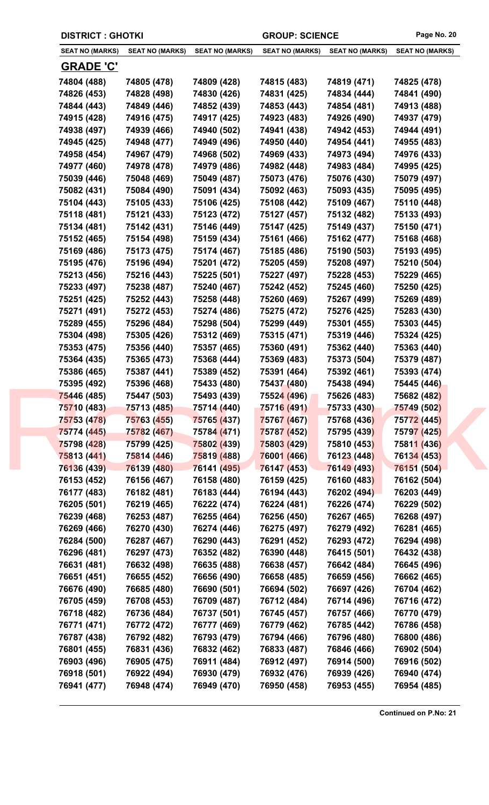| <b>DISTRICT : GHOTKI</b>   |                            |                            | <b>GROUP: SCIENCE</b>      |                            | Page No. 20                |
|----------------------------|----------------------------|----------------------------|----------------------------|----------------------------|----------------------------|
| <b>SEAT NO (MARKS)</b>     | <b>SEAT NO (MARKS)</b>     | <b>SEAT NO (MARKS)</b>     | <b>SEAT NO (MARKS)</b>     | <b>SEAT NO (MARKS)</b>     | <b>SEAT NO (MARKS)</b>     |
| <b>GRADE 'C'</b>           |                            |                            |                            |                            |                            |
| 74804 (488)                | 74805 (478)                | 74809 (428)                | 74815 (483)                | 74819 (471)                | 74825 (478)                |
| 74826 (453)                | 74828 (498)                | 74830 (426)                | 74831 (425)                | 74834 (444)                | 74841 (490)                |
| 74844 (443)                | 74849 (446)                | 74852 (439)                | 74853 (443)                | 74854 (481)                | 74913 (488)                |
| 74915 (428)                | 74916 (475)                | 74917 (425)                | 74923 (483)                | 74926 (490)                | 74937 (479)                |
| 74938 (497)                | 74939 (466)                | 74940 (502)                | 74941 (438)                | 74942 (453)                | 74944 (491)                |
| 74945 (425)                | 74948 (477)                | 74949 (496)                | 74950 (440)                | 74954 (441)                | 74955 (483)                |
| 74958 (454)                | 74967 (479)                | 74968 (502)                | 74969 (433)                | 74973 (494)                | 74976 (433)                |
| 74977 (460)                | 74978 (478)                | 74979 (486)                | 74982 (448)                | 74983 (484)                | 74995 (425)                |
| 75039 (446)                | 75048 (469)                | 75049 (487)                | 75073 (476)                | 75076 (430)                | 75079 (497)                |
| 75082 (431)                | 75084 (490)                | 75091 (434)                | 75092 (463)                | 75093 (435)                | 75095 (495)                |
| 75104 (443)                | 75105 (433)                | 75106 (425)                | 75108 (442)                | 75109 (467)                | 75110 (448)                |
| 75118 (481)                | 75121 (433)                | 75123 (472)                | 75127 (457)                | 75132 (482)                | 75133 (493)                |
| 75134 (481)                | 75142 (431)                | 75146 (449)                | 75147 (425)                | 75149 (437)                | 75150 (471)                |
| 75152 (465)                | 75154 (498)                | 75159 (434)                | 75161 (466)                | 75162 (477)                | 75168 (468)                |
| 75169 (486)                | 75173 (475)                | 75174 (467)                | 75185 (486)                | 75190 (503)                | 75193 (495)                |
| 75195 (476)                | 75196 (494)                | 75201 (472)                | 75205 (459)                | 75208 (497)                | 75210 (504)                |
| 75213 (456)                | 75216 (443)                | 75225 (501)                | 75227 (497)                | 75228 (453)                | 75229 (465)                |
| 75233 (497)                | 75238 (487)                | 75240 (467)                | 75242 (452)                | 75245 (460)                | 75250 (425)                |
| 75251 (425)                | 75252 (443)                | 75258 (448)                | 75260 (469)                | 75267 (499)                | 75269 (489)                |
| 75271 (491)                | 75272 (453)                | 75274 (486)                | 75275 (472)                | 75276 (425)                | 75283 (430)                |
| 75289 (455)                | 75296 (484)                | 75298 (504)                | 75299 (449)                | 75301 (455)                | 75303 (445)                |
| 75304 (498)                | 75305 (426)                | 75312 (469)                | 75315 (471)                | 75319 (446)                | 75324 (425)                |
| 75353 (475)                | 75356 (440)                | 75357 (465)                | 75360 (491)                | 75362 (440)                | 75363 (440)                |
| 75364 (435)                | 75365 (473)                | 75368 (444)                | 75369 (483)                | 75373 (504)                | 75379 (487)                |
| 75386 (465)                | 75387 (441)                | 75389 (452)                | 75391 (464)                | 75392 (461)                | 75393 (474)                |
| 75395 (492)                | 75396 (468)                | 75433 (480)                | 75437 (480)                | 75438 (494)                | 75445 (446)                |
| 75446 (485)                | 75447 (503)                | 75493 (439)                | 75524 (496)                | 75626 (483)                | 75682 (482)                |
| 75710 (483)                | 75713 (485)                | 75714 (440)                | 75716 (491)                | 75733 (430)                | 75749 (502)                |
| 75753 (478)                | 75763 (455)                | 75765 (437)                | 75767 (467)                | 75768 (436)                | 75772 (445)                |
| 75774 (445)                | 75782 (467)                | 75784 (471)                | 75787 (452)                | 75795 (439)                | 75797 (425)                |
| 75798 (428)                | 75799 (425)                | 75802 (439)                | 75803 (429)                | 75810 (453)                | 75811 (436)                |
| 75813 (441)                | 75814 (446)                | 75819 (488)                | 76001 (466)                | 76123 (448)                | 76134 (453)                |
| 76136 (439)                | 76139 (480)                | 76141 (495)                | 76147 (453)                | 76149 (493)                | 76151 (504)                |
| 76153 (452)                | 76156 (467)                | 76158 (480)                | 76159 (425)                | 76160 (483)                | 76162 (504)                |
| 76177 (483)                | 76182 (481)                | 76183 (444)                | 76194 (443)                | 76202 (494)                | 76203 (449)                |
| 76205 (501)                | 76219 (465)                | 76222 (474)                | 76224 (481)                | 76226 (474)                | 76229 (502)                |
| 76239 (468)                | 76253 (487)                | 76255 (464)                | 76256 (450)                | 76267 (465)                | 76268 (497)                |
| 76269 (466)                | 76270 (430)                | 76274 (446)                | 76275 (497)                | 76279 (492)                | 76281 (465)                |
| 76284 (500)                | 76287 (467)                | 76290 (443)                | 76291 (452)                | 76293 (472)                | 76294 (498)                |
| 76296 (481)                | 76297 (473)                | 76352 (482)                | 76390 (448)                | 76415 (501)                | 76432 (438)                |
| 76631 (481)                | 76632 (498)                | 76635 (488)                | 76638 (457)                | 76642 (484)                | 76645 (496)                |
| 76651 (451)                | 76655 (452)                | 76656 (490)                | 76658 (485)                | 76659 (456)                | 76662 (465)                |
| 76676 (490)                | 76685 (480)                | 76690 (501)                | 76694 (502)                | 76697 (426)                | 76704 (462)                |
| 76705 (459)                | 76708 (453)                | 76709 (487)                | 76712 (484)                | 76714 (496)                | 76716 (472)                |
| 76718 (482)                | 76736 (484)                | 76737 (501)                | 76745 (457)                | 76757 (466)                | 76770 (479)                |
| 76771 (471)                | 76772 (472)                | 76777 (469)                | 76779 (462)                | 76785 (442)                | 76786 (458)                |
| 76787 (438)                | 76792 (482)                | 76793 (479)                | 76794 (466)                | 76796 (480)                | 76800 (486)                |
|                            | 76831 (436)                |                            |                            | 76846 (466)                |                            |
| 76801 (455)                |                            | 76832 (462)                | 76833 (487)                |                            | 76902 (504)                |
| 76903 (496)                | 76905 (475)                | 76911 (484)                | 76912 (497)                | 76914 (500)                | 76916 (502)                |
| 76918 (501)<br>76941 (477) | 76922 (494)<br>76948 (474) | 76930 (479)<br>76949 (470) | 76932 (476)<br>76950 (458) | 76939 (426)<br>76953 (455) | 76940 (474)<br>76954 (485) |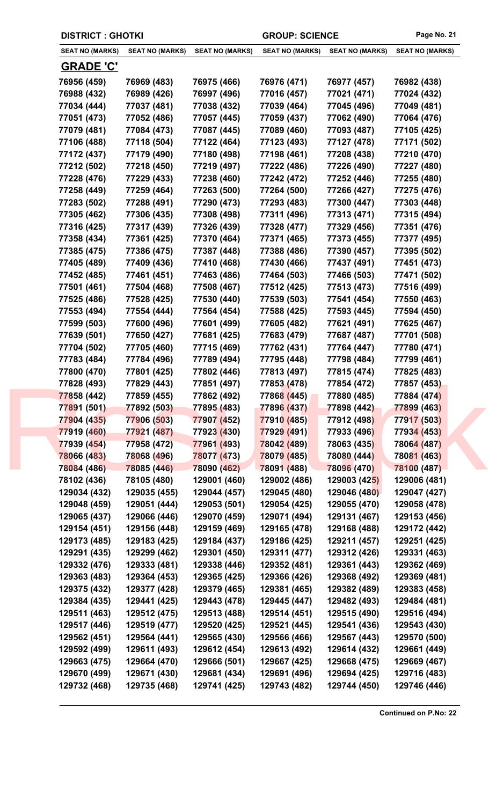| <b>DISTRICT : GHOTKI</b> |                        |                        | <b>GROUP: SCIENCE</b>  |                        | Page No. 21            |
|--------------------------|------------------------|------------------------|------------------------|------------------------|------------------------|
| <b>SEAT NO (MARKS)</b>   | <b>SEAT NO (MARKS)</b> | <b>SEAT NO (MARKS)</b> | <b>SEAT NO (MARKS)</b> | <b>SEAT NO (MARKS)</b> | <b>SEAT NO (MARKS)</b> |
| <b>GRADE 'C'</b>         |                        |                        |                        |                        |                        |
| 76956 (459)              | 76969 (483)            | 76975 (466)            | 76976 (471)            | 76977 (457)            | 76982 (438)            |
| 76988 (432)              | 76989 (426)            | 76997 (496)            | 77016 (457)            | 77021 (471)            | 77024 (432)            |
| 77034 (444)              | 77037 (481)            | 77038 (432)            | 77039 (464)            | 77045 (496)            | 77049 (481)            |
| 77051 (473)              | 77052 (486)            | 77057 (445)            | 77059 (437)            | 77062 (490)            | 77064 (476)            |
| 77079 (481)              | 77084 (473)            | 77087 (445)            | 77089 (460)            | 77093 (487)            | 77105 (425)            |
| 77106 (488)              | 77118 (504)            | 77122 (464)            | 77123 (493)            | 77127 (478)            | 77171 (502)            |
| 77172 (437)              | 77179 (490)            | 77180 (498)            | 77198 (461)            | 77208 (438)            | 77210 (470)            |
| 77212 (502)              | 77218 (450)            | 77219 (497)            | 77222 (486)            | 77226 (490)            | 77227 (480)            |
| 77228 (476)              | 77229 (433)            | 77238 (460)            | 77242 (472)            | 77252 (446)            | 77255 (480)            |
| 77258 (449)              | 77259 (464)            | 77263 (500)            | 77264 (500)            | 77266 (427)            | 77275 (476)            |
| 77283 (502)              | 77288 (491)            | 77290 (473)            | 77293 (483)            | 77300 (447)            | 77303 (448)            |
| 77305 (462)              | 77306 (435)            | 77308 (498)            | 77311 (496)            | 77313 (471)            | 77315 (494)            |
| 77316 (425)              | 77317 (439)            | 77326 (439)            | 77328 (477)            | 77329 (456)            | 77351 (476)            |
| 77358 (434)              | 77361 (425)            | 77370 (464)            | 77371 (465)            | 77373 (455)            | 77377 (495)            |
| 77385 (475)              | 77386 (475)            | 77387 (448)            | 77388 (486)            | 77390 (457)            | 77395 (502)            |
| 77405 (489)              | 77409 (436)            | 77410 (468)            | 77430 (466)            | 77437 (491)            | 77451 (473)            |
| 77452 (485)              | 77461 (451)            | 77463 (486)            | 77464 (503)            | 77466 (503)            | 77471 (502)            |
| 77501 (461)              | 77504 (468)            | 77508 (467)            | 77512 (425)            | 77513 (473)            | 77516 (499)            |
| 77525 (486)              | 77528 (425)            | 77530 (440)            | 77539 (503)            | 77541 (454)            | 77550 (463)            |
| 77553 (494)              | 77554 (444)            | 77564 (454)            | 77588 (425)            | 77593 (445)            | 77594 (450)            |
| 77599 (503)              | 77600 (496)            | 77601 (499)            | 77605 (482)            | 77621 (491)            | 77625 (467)            |
| 77639 (501)              | 77650 (427)            | 77681 (425)            | 77683 (479)            | 77687 (487)            | 77701 (508)            |
| 77704 (502)              | 77705 (460)            | 77715 (469)            | 77762 (431)            | 77764 (447)            | 77780 (471)            |
| 77783 (484)              | 77784 (496)            | 77789 (494)            | 77795 (448)            | 77798 (484)            | 77799 (461)            |
| 77800 (470)              | 77801 (425)            | 77802 (446)            | 77813 (497)            | 77815 (474)            | 77825 (483)            |
| 77828 (493)              | 77829 (443)            | 77851 (497)            | 77853 (478)            | 77854 (472)            | 77857 (453)            |
| 77858 (442)              | 77859 (455)            | 77862 (492)            | 77868 (445)            | 77880 (485)            | 77884 (474)            |
| 77891 (501)              | 77892 (503)            | 77895 (483)            | 77896 (437)            | 77898 (442)            | 77899 (463)            |
| 77904 (435)              | 77906 (503)            | 77907 (452)            | 77910 (485)            | 77912 (498)            | 77917 (503)            |
| 77919 (460)              | 77921 (487)            | 77923 (430)            | 77929 (491)            | 77933 (496)            | 77934 (453)            |
| 77939 (454)              | 77958 (472)            | 77961 (493)            | 78042 (489)            | 78063 (435)            | 78064 (487)            |
| 78066 (483)              | 78068 (496)            | 78077 (473)            | 78079 (485)            | 78080 (444)            | 78081 (463)            |
| 78084 (486)              | 78085 (446)            | 78090 (462)            | 78091 (488)            | 78096 (470)            | 78100 (487)            |
| 78102 (436)              | 78105 (480)            | 129001 (460)           | 129002 (486)           | 129003 (425)           | 129006 (481)           |
| 129034 (432)             | 129035 (455)           | 129044 (457)           | 129045 (480)           | 129046 (480)           | 129047 (427)           |
| 129048 (459)             | 129051 (444)           | 129053 (501)           | 129054 (425)           | 129055 (470)           | 129058 (478)           |
| 129065 (437)             | 129066 (446)           | 129070 (459)           | 129071 (494)           | 129131 (467)           | 129153 (456)           |
| 129154 (451)             | 129156 (448)           | 129159 (469)           | 129165 (478)           | 129168 (488)           | 129172 (442)           |
| 129173 (485)             | 129183 (425)           | 129184 (437)           | 129186 (425)           | 129211 (457)           | 129251 (425)           |
| 129291 (435)             | 129299 (462)           | 129301 (450)           | 129311 (477)           | 129312 (426)           | 129331 (463)           |
| 129332 (476)             | 129333 (481)           | 129338 (446)           | 129352 (481)           | 129361 (443)           | 129362 (469)           |
| 129363 (483)             | 129364 (453)           | 129365 (425)           | 129366 (426)           | 129368 (492)           | 129369 (481)           |
| 129375 (432)             | 129377 (428)           | 129379 (465)           | 129381 (465)           | 129382 (489)           | 129383 (458)           |
| 129384 (435)             | 129441 (425)           | 129443 (478)           | 129445 (447)           | 129482 (493)           | 129484 (481)           |
| 129511 (463)             | 129512 (475)           | 129513 (488)           | 129514 (451)           | 129515 (490)           | 129516 (494)           |
| 129517 (446)             | 129519 (477)           | 129520 (425)           | 129521 (445)           | 129541 (436)           | 129543 (430)           |
| 129562 (451)             | 129564 (441)           | 129565 (430)           | 129566 (466)           | 129567 (443)           | 129570 (500)           |
| 129592 (499)             | 129611 (493)           | 129612 (454)           | 129613 (492)           | 129614 (432)           | 129661 (449)           |
| 129663 (475)             | 129664 (470)           | 129666 (501)           | 129667 (425)           | 129668 (475)           | 129669 (467)           |
| 129670 (499)             | 129671 (430)           | 129681 (434)           | 129691 (496)           | 129694 (425)           | 129716 (483)           |
| 129732 (468)             | 129735 (468)           | 129741 (425)           | 129743 (482)           | 129744 (450)           | 129746 (446)           |
|                          |                        |                        |                        |                        |                        |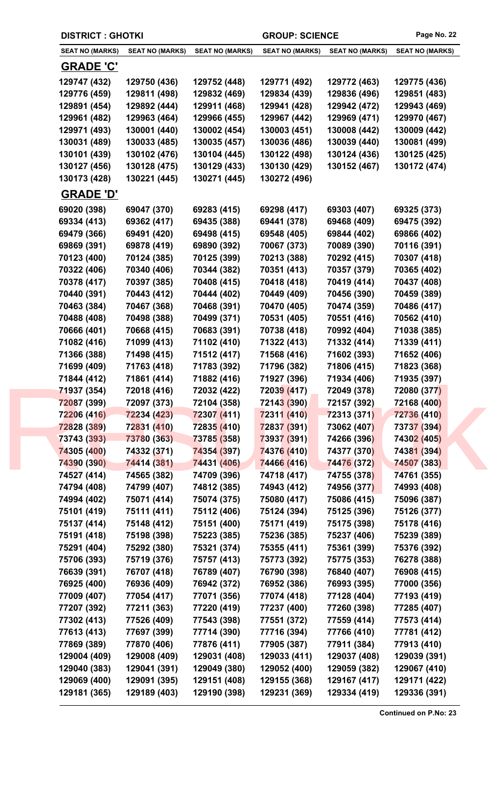| <b>DISTRICT : GHOTKI</b> |                            |                        | <b>GROUP: SCIENCE</b>  |                        | Page No. 22            |
|--------------------------|----------------------------|------------------------|------------------------|------------------------|------------------------|
| <b>SEAT NO (MARKS)</b>   | <b>SEAT NO (MARKS)</b>     | <b>SEAT NO (MARKS)</b> | <b>SEAT NO (MARKS)</b> | <b>SEAT NO (MARKS)</b> | <b>SEAT NO (MARKS)</b> |
| <b>GRADE 'C'</b>         |                            |                        |                        |                        |                        |
| 129747 (432)             | 129750 (436)               | 129752 (448)           | 129771 (492)           | 129772 (463)           | 129775 (436)           |
| 129776 (459)             | 129811 (498)               | 129832 (469)           | 129834 (439)           | 129836 (496)           | 129851 (483)           |
| 129891 (454)             | 129892 (444)               | 129911 (468)           | 129941 (428)           | 129942 (472)           | 129943 (469)           |
| 129961 (482)             | 129963 (464)               | 129966 (455)           | 129967 (442)           | 129969 (471)           | 129970 (467)           |
| 129971 (493)             | 130001 (440)               | 130002 (454)           | 130003 (451)           | 130008 (442)           | 130009 (442)           |
| 130031 (489)             | 130033 (485)               | 130035 (457)           | 130036 (486)           | 130039 (440)           | 130081 (499)           |
| 130101 (439)             | 130102 (476)               | 130104 (445)           | 130122 (498)           | 130124 (436)           | 130125 (425)           |
| 130127 (456)             | 130128 (475)               | 130129 (433)           | 130130 (429)           | 130152 (467)           | 130172 (474)           |
| 130173 (428)             | 130221 (445)               | 130271 (445)           | 130272 (496)           |                        |                        |
| <b>GRADE 'D'</b>         |                            |                        |                        |                        |                        |
| 69020 (398)              | 69047 (370)                | 69283 (415)            | 69298 (417)            | 69303 (407)            | 69325 (373)            |
| 69334 (413)              | 69362 (417)                | 69435 (388)            | 69441 (378)            | 69468 (409)            | 69475 (392)            |
| 69479 (366)              | 69491 (420)                | 69498 (415)            | 69548 (405)            | 69844 (402)            | 69866 (402)            |
| 69869 (391)              | 69878 (419)                | 69890 (392)            | 70067 (373)            | 70089 (390)            | 70116 (391)            |
| 70123 (400)              | 70124 (385)                | 70125 (399)            | 70213 (388)            | 70292 (415)            | 70307 (418)            |
| 70322 (406)              | 70340 (406)                | 70344 (382)            | 70351 (413)            | 70357 (379)            | 70365 (402)            |
| 70378 (417)              | 70397 (385)                | 70408 (415)            | 70418 (418)            | 70419 (414)            | 70437 (408)            |
| 70440 (391)              | 70443 (412)                | 70444 (402)            | 70449 (409)            | 70456 (390)            | 70459 (389)            |
| 70463 (384)              | 70467 (368)                | 70468 (391)            | 70470 (405)            | 70474 (359)            | 70486 (417)            |
| 70488 (408)              | 70498 (388)                | 70499 (371)            | 70531 (405)            | 70551 (416)            | 70562 (410)            |
| 70666 (401)              | 70668 (415)                | 70683 (391)            | 70738 (418)            | 70992 (404)            | 71038 (385)            |
| 71082 (416)              | 71099 (413)                | 71102 (410)            | 71322 (413)            | 71332 (414)            | 71339 (411)            |
| 71366 (388)              | 71498 (415)                | 71512 (417)            | 71568 (416)            | 71602 (393)            | 71652 (406)            |
| 71699 (409)              | 71763 (418)                | 71783 (392)            | 71796 (382)            | 71806 (415)            | 71823 (368)            |
| 71844 (412)              | 71861 (414)                | 71882 (416)            | 71927 (396)            | 71934 (406)            | 71935 (397)            |
| 71937 (354)              | 72018 (416)                | 72032 (422)            | 72039 (417)            | 72049 (378)            | 72080 (377)            |
| 72087 (399)              | 72097 (373)                | 72104 (358)            | 72143 (390)            | 72157 (392)            | 72168 (400)            |
| 72206 (416)              | 72234 (423)                | 72307 (411)            | 72311 (410)            | 72313 (371)            | 72736 (410)            |
| 72828 (389)              | 72831 (410)                | 72835 (410)            | 72837 (391)            | 73062 (407)            | 73737 (394)            |
| 73743 (393)              |                            | 73785 (358)            | 73937 (391)            |                        | 74302 (405)            |
|                          | 73780 (363)<br>74332 (371) | 74354 (397)            |                        | 74266 (396)            |                        |
| 74305 (400)              |                            |                        | 74376 (410)            | 74377 (370)            | 74381 (394)            |
| 74390 (390)              | 74414 (381)                | 74431 (406)            | 74466 (416)            | 74476 (372)            | 74507 (383)            |
| 74527 (414)              | 74565 (382)                | 74709 (396)            | 74718 (417)            | 74755 (378)            | 74761 (355)            |
| 74794 (408)              | 74799 (407)                | 74812 (385)            | 74943 (412)            | 74956 (377)            | 74993 (408)            |
| 74994 (402)              | 75071 (414)                | 75074 (375)            | 75080 (417)            | 75086 (415)            | 75096 (387)            |
| 75101 (419)              | 75111 (411)                | 75112 (406)            | 75124 (394)            | 75125 (396)            | 75126 (377)            |
| 75137 (414)              | 75148 (412)                | 75151 (400)            | 75171 (419)            | 75175 (398)            | 75178 (416)            |
| 75191 (418)              | 75198 (398)                | 75223 (385)            | 75236 (385)            | 75237 (406)            | 75239 (389)            |
| 75291 (404)              | 75292 (380)                | 75321 (374)            | 75355 (411)            | 75361 (399)            | 75376 (392)            |
| 75706 (393)              | 75719 (376)                | 75757 (413)            | 75773 (392)            | 75775 (353)            | 76278 (388)            |
| 76639 (391)              | 76707 (418)                | 76789 (407)            | 76790 (398)            | 76840 (407)            | 76908 (415)            |
| 76925 (400)              | 76936 (409)                | 76942 (372)            | 76952 (386)            | 76993 (395)            | 77000 (356)            |
| 77009 (407)              | 77054 (417)                | 77071 (356)            | 77074 (418)            | 77128 (404)            | 77193 (419)            |
| 77207 (392)              | 77211 (363)                | 77220 (419)            | 77237 (400)            | 77260 (398)            | 77285 (407)            |
| 77302 (413)              | 77526 (409)                | 77543 (398)            | 77551 (372)            | 77559 (414)            | 77573 (414)            |
| 77613 (413)              | 77697 (399)                | 77714 (390)            | 77716 (394)            | 77766 (410)            | 77781 (412)            |
| 77869 (389)              | 77870 (406)                | 77876 (411)            | 77905 (387)            | 77911 (384)            | 77913 (410)            |
| 129004 (409)             | 129008 (409)               | 129031 (408)           | 129033 (411)           | 129037 (408)           | 129039 (391)           |
| 129040 (383)             | 129041 (391)               | 129049 (380)           | 129052 (400)           | 129059 (382)           | 129067 (410)           |
|                          |                            |                        |                        |                        |                        |
| 129069 (400)             | 129091 (395)               | 129151 (408)           | 129155 (368)           | 129167 (417)           | 129171 (422)           |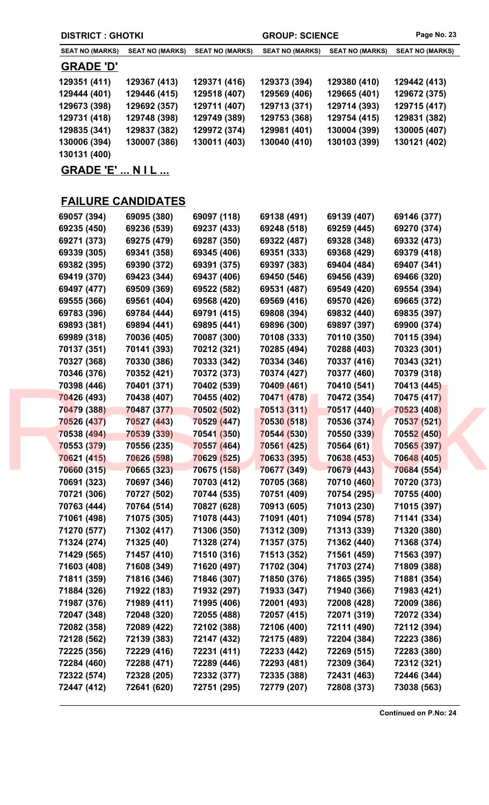| <b>DISTRICT: GHOTKI</b>  |                        |                        |                        | <b>GROUP: SCIENCE</b>  |                        |  |
|--------------------------|------------------------|------------------------|------------------------|------------------------|------------------------|--|
| <b>SEAT NO (MARKS)</b>   | <b>SEAT NO (MARKS)</b> | <b>SEAT NO (MARKS)</b> | <b>SEAT NO (MARKS)</b> | <b>SEAT NO (MARKS)</b> | <b>SEAT NO (MARKS)</b> |  |
| <b>GRADE 'D'</b>         |                        |                        |                        |                        |                        |  |
| 129351 (411)             | 129367 (413)           | 129371 (416)           | 129373 (394)           | 129380 (410)           | 129442 (413)           |  |
| 129444 (401)             | 129446 (415)           | 129518 (407)           | 129569 (406)           | 129665 (401)           | 129672 (375)           |  |
| 129673 (398)             | 129692 (357)           | 129711 (407)           | 129713 (371)           | 129714 (393)           | 129715 (417)           |  |
| 129731 (418)             | 129748 (398)           | 129749 (389)           | 129753 (368)           | 129754 (415)           | 129831 (382)           |  |
| 129835 (341)             | 129837 (382)           | 129972 (374)           | 129981 (401)           | 130004 (399)           | 130005 (407)           |  |
| 130006 (394)             | 130007 (386)           | 130011 (403)           | 130040 (410)           | 130103 (399)           | 130121 (402)           |  |
| 130131 (400)             |                        |                        |                        |                        |                        |  |
| <b>GRADE 'E'  N I L </b> |                        |                        |                        |                        |                        |  |

## **FAILURE CANDIDATES**

| 69057 (394) | 69095 (380) | 69097 (118) | 69138 (491) | 69139 (407) | 69146 (377) |  |
|-------------|-------------|-------------|-------------|-------------|-------------|--|
| 69235 (450) | 69236 (539) | 69237 (433) | 69248 (518) | 69259 (445) | 69270 (374) |  |
| 69271 (373) | 69275 (479) | 69287 (350) | 69322 (487) | 69328 (348) | 69332 (473) |  |
| 69339 (305) | 69341 (358) | 69345 (406) | 69351 (333) | 69368 (429) | 69379 (418) |  |
| 69382 (395) | 69390 (372) | 69391 (375) | 69397 (383) | 69404 (484) | 69407 (341) |  |
| 69419 (370) | 69423 (344) | 69437 (406) | 69450 (546) | 69456 (439) | 69466 (320) |  |
| 69497 (477) | 69509 (369) | 69522 (582) | 69531 (487) | 69549 (420) | 69554 (394) |  |
| 69555 (366) | 69561 (404) | 69568 (420) | 69569 (416) | 69570 (426) | 69665 (372) |  |
| 69783 (396) | 69784 (444) | 69791 (415) | 69808 (394) | 69832 (440) | 69835 (397) |  |
| 69893 (381) | 69894 (441) | 69895 (441) | 69896 (300) | 69897 (397) | 69900 (374) |  |
| 69989 (318) | 70036 (405) | 70087 (300) | 70108 (333) | 70110 (350) | 70115 (394) |  |
| 70137 (351) | 70141 (393) | 70212 (321) | 70285 (494) | 70288 (403) | 70323 (301) |  |
| 70327 (368) | 70330 (386) | 70333 (342) | 70334 (346) | 70337 (416) | 70343 (321) |  |
| 70346 (376) | 70352 (421) | 70372 (373) | 70374 (427) | 70377 (460) | 70379 (318) |  |
| 70398 (446) | 70401 (371) | 70402 (539) | 70409 (461) | 70410 (541) | 70413 (445) |  |
| 70426 (493) | 70438 (407) | 70455 (402) | 70471 (478) | 70472 (354) | 70475 (417) |  |
| 70479 (388) | 70487 (377) | 70502 (502) | 70513 (311) | 70517 (440) | 70523 (408) |  |
| 70526 (437) | 70527 (443) | 70529 (447) | 70530 (518) | 70536 (374) | 70537 (521) |  |
| 70538 (494) | 70539 (339) | 70541 (350) | 70544 (530) | 70550 (339) | 70552 (450) |  |
| 70553 (379) | 70556 (235) | 70557 (464) | 70561 (425) | 70564 (61)  | 70565 (397) |  |
| 70621 (415) | 70626 (598) | 70629 (525) | 70633 (395) | 70638 (453) | 70648 (405) |  |
| 70660 (315) | 70665 (323) | 70675 (158) | 70677 (349) | 70679 (443) | 70684 (554) |  |
| 70691 (323) | 70697 (346) | 70703 (412) | 70705 (368) | 70710 (460) | 70720 (373) |  |
| 70721 (306) | 70727 (502) | 70744 (535) | 70751 (409) | 70754 (295) | 70755 (400) |  |
| 70763 (444) | 70764 (514) | 70827 (628) | 70913 (605) | 71013 (230) | 71015 (397) |  |
| 71061 (498) | 71075 (305) | 71078 (443) | 71091 (401) | 71094 (578) | 71141 (334) |  |
| 71270 (577) | 71302 (417) | 71306 (350) | 71312 (309) | 71313 (339) | 71320 (380) |  |
| 71324 (274) | 71325 (40)  | 71328 (274) | 71357 (375) | 71362 (440) | 71368 (374) |  |
| 71429 (565) | 71457 (410) | 71510 (316) | 71513 (352) | 71561 (459) | 71563 (397) |  |
| 71603 (408) | 71608 (349) | 71620 (497) | 71702 (304) | 71703 (274) | 71809 (388) |  |
| 71811 (359) | 71816 (346) | 71846 (307) | 71850 (376) | 71865 (395) | 71881 (354) |  |
| 71884 (326) | 71922 (183) | 71932 (297) | 71933 (347) | 71940 (366) | 71983 (421) |  |
| 71987 (376) | 71989 (411) | 71995 (406) | 72001 (493) | 72008 (428) | 72009 (386) |  |
| 72047 (348) | 72048 (320) | 72055 (488) | 72057 (415) | 72071 (319) | 72072 (334) |  |
| 72082 (358) | 72089 (422) | 72102 (388) | 72106 (400) | 72111 (490) | 72112 (394) |  |
| 72128 (562) | 72139 (383) | 72147 (432) | 72175 (489) | 72204 (384) | 72223 (386) |  |
| 72225 (356) | 72229 (416) | 72231 (411) | 72233 (442) | 72269 (515) | 72283 (380) |  |
| 72284 (460) | 72288 (471) | 72289 (446) | 72293 (481) | 72309 (364) | 72312 (321) |  |
| 72322 (574) | 72328 (205) | 72332 (377) | 72335 (388) | 72431 (463) | 72446 (344) |  |
| 72447 (412) | 72641 (620) | 72751 (295) | 72779 (207) | 72808 (373) | 73038 (563) |  |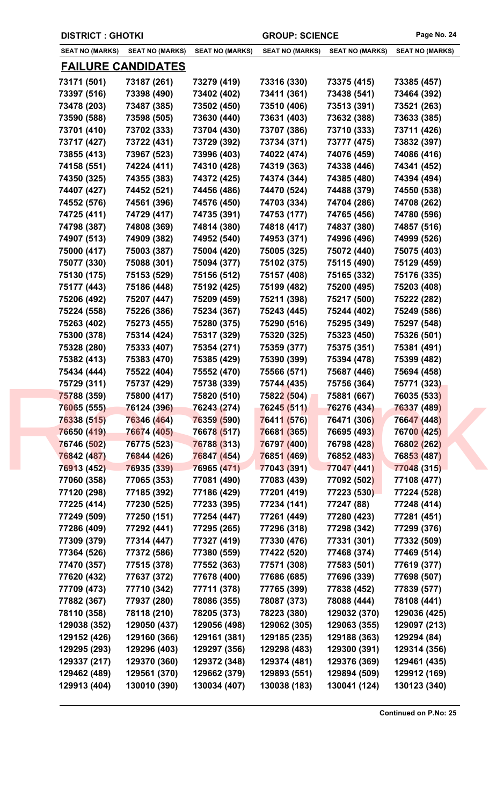| <b>DISTRICT : GHOTKI</b>   |                            | <b>GROUP: SCIENCE</b>      |                            |                            | Page No. 24                |  |
|----------------------------|----------------------------|----------------------------|----------------------------|----------------------------|----------------------------|--|
| <b>SEAT NO (MARKS)</b>     | <b>SEAT NO (MARKS)</b>     | <b>SEAT NO (MARKS)</b>     | <b>SEAT NO (MARKS)</b>     | <b>SEAT NO (MARKS)</b>     | <b>SEAT NO (MARKS)</b>     |  |
|                            | <b>FAILURE CANDIDATES</b>  |                            |                            |                            |                            |  |
| 73171 (501)                | 73187 (261)                | 73279 (419)                | 73316 (330)                | 73375 (415)                | 73385 (457)                |  |
| 73397 (516)                | 73398 (490)                | 73402 (402)                | 73411 (361)                | 73438 (541)                | 73464 (392)                |  |
| 73478 (203)                | 73487 (385)                | 73502 (450)                | 73510 (406)                | 73513 (391)                | 73521 (263)                |  |
| 73590 (588)                | 73598 (505)                | 73630 (440)                | 73631 (403)                | 73632 (388)                | 73633 (385)                |  |
| 73701 (410)                | 73702 (333)                | 73704 (430)                | 73707 (386)                | 73710 (333)                | 73711 (426)                |  |
| 73717 (427)                | 73722 (431)                | 73729 (392)                | 73734 (371)                | 73777 (475)                | 73832 (397)                |  |
| 73855 (413)                | 73967 (523)                | 73996 (403)                | 74022 (474)                | 74076 (459)                | 74086 (416)                |  |
| 74158 (551)                | 74224 (411)                | 74310 (428)                | 74319 (363)                | 74338 (446)                | 74341 (452)                |  |
| 74350 (325)                | 74355 (383)                | 74372 (425)                | 74374 (344)                | 74385 (480)                | 74394 (494)                |  |
| 74407 (427)                | 74452 (521)                | 74456 (486)                | 74470 (524)                | 74488 (379)                | 74550 (538)                |  |
| 74552 (576)                | 74561 (396)                | 74576 (450)                | 74703 (334)                | 74704 (286)                | 74708 (262)                |  |
| 74725 (411)                | 74729 (417)                | 74735 (391)                | 74753 (177)                | 74765 (456)                | 74780 (596)                |  |
| 74798 (387)                | 74808 (369)                | 74814 (380)                | 74818 (417)                | 74837 (380)                | 74857 (516)                |  |
| 74907 (513)                | 74909 (382)                | 74952 (540)                | 74953 (371)                | 74996 (496)                | 74999 (526)                |  |
| 75000 (417)                | 75003 (387)                | 75004 (420)                | 75005 (325)                | 75072 (440)                | 75075 (403)                |  |
| 75077 (330)                | 75088 (301)                | 75094 (377)                | 75102 (375)                | 75115 (490)                | 75129 (459)                |  |
| 75130 (175)                | 75153 (529)                | 75156 (512)                | 75157 (408)                | 75165 (332)                | 75176 (335)                |  |
| 75177 (443)                | 75186 (448)                | 75192 (425)                | 75199 (482)                | 75200 (495)                | 75203 (408)                |  |
| 75206 (492)                | 75207 (447)                | 75209 (459)                | 75211 (398)                | 75217 (500)                | 75222 (282)                |  |
| 75224 (558)                | 75226 (386)                | 75234 (367)                | 75243 (445)                | 75244 (402)                | 75249 (586)                |  |
| 75263 (402)                | 75273 (455)                | 75280 (375)                | 75290 (516)                | 75295 (349)                | 75297 (548)                |  |
| 75300 (378)                | 75314 (424)                | 75317 (329)                | 75320 (325)                | 75323 (450)                | 75326 (501)                |  |
| 75328 (280)                | 75333 (407)                | 75354 (271)                | 75359 (377)                | 75375 (351)                | 75381 (491)                |  |
| 75382 (413)                | 75383 (470)                | 75385 (429)                | 75390 (399)                | 75394 (478)                | 75399 (482)                |  |
| 75434 (444)                | 75522 (404)                | 75552 (470)                | 75566 (571)                | 75687 (446)                | 75694 (458)                |  |
| 75729 (311)                | 75737 (429)                | 75738 (339)                | 75744 (435)                | 75756 (364)                | 75771 (323)                |  |
| 75788 (359)                | 75800 (417)                | 75820 (510)                | 75822 (504)                | 75881 (667)                | 76035 (533)                |  |
| 76065 (555)                | 76124 (396)                | 76243 (274)                | 76245 (511)                | 76276 (434)                | 76337 (489)                |  |
| 76338 (515)                | 76346 (464)                | 76359 (590)                | 76411 (576)                | 76471 (306)                | 76647 (448)                |  |
| 76650 (419)                | 76674 (405)                | 76678 (517)                | 76681 (365)                | 76695 (493)                | 76700 (425)                |  |
| 76746 (502)                | 76775 (523)                | 76788 (313)                | 76797 (400)                | 76798 (428)                | 76802 (262)                |  |
| 76842 (487)                | 76844 (426)                | 76847 (454)                | 76851 (469)                | 76852 (483)                | 76853 (487)                |  |
| 76913 (452)                | 76935 (339)                | 76965 (471)                | 77043 (391)                | 77047 (441)                | 77048 (315)                |  |
| 77060 (358)                | 77065 (353)                | 77081 (490)                | 77083 (439)                | 77092 (502)                | 77108 (477)                |  |
| 77120 (298)                | 77185 (392)                | 77186 (429)                | 77201 (419)                | <b>77223 (530)</b>         | 77224 (528)                |  |
| 77225 (414)                | 77230 (525)                |                            | 77234 (141)                | 77247 (88)                 | 77248 (414)                |  |
|                            | 77250 (151)                | 77233 (395)<br>77254 (447) | 77261 (449)                | 77280 (423)                | 77281 (451)                |  |
| 77249 (509)                |                            |                            |                            |                            |                            |  |
| 77286 (409)                | 77292 (441)<br>77314 (447) | 77295 (265)<br>77327 (419) | 77296 (318)<br>77330 (476) | 77298 (342)<br>77331 (301) | 77299 (376)<br>77332 (509) |  |
| 77309 (379)<br>77364 (526) |                            | 77380 (559)                |                            |                            | 77469 (514)                |  |
|                            | 77372 (586)                |                            | 77422 (520)<br>77571 (308) | 77468 (374)                |                            |  |
| 77470 (357)                | 77515 (378)                | 77552 (363)                |                            | 77583 (501)                | 77619 (377)                |  |
| 77620 (432)                | 77637 (372)                | 77678 (400)                | 77686 (685)                | 77696 (339)                | 77698 (507)                |  |
| 77709 (473)                | 77710 (342)                | 77711 (378)                | 77765 (399)                | 77838 (452)                | 77839 (577)<br>78108 (441) |  |
| 77882 (367)                | 77937 (280)                | 78086 (355)                | 78087 (373)                | 78088 (444)                |                            |  |
| 78110 (358)                | 78118 (210)                | 78205 (373)                | 78223 (380)                | 129032 (370)               | 129036 (425)               |  |
| 129038 (352)               | 129050 (437)               | 129056 (498)               | 129062 (305)               | 129063 (355)               | 129097 (213)               |  |
| 129152 (426)               | 129160 (366)               | 129161 (381)               | 129185 (235)               | 129188 (363)               | 129294 (84)                |  |
| 129295 (293)               | 129296 (403)               | 129297 (356)               | 129298 (483)               | 129300 (391)               | 129314 (356)               |  |
| 129337 (217)               | 129370 (360)               | 129372 (348)               | 129374 (481)               | 129376 (369)               | 129461 (435)               |  |
| 129462 (489)               | 129561 (370)               | 129662 (379)               | 129893 (551)               | 129894 (509)               | 129912 (169)               |  |
| 129913 (404)               | 130010 (390)               | 130034 (407)               | 130038 (183)               | 130041 (124)               | 130123 (340)               |  |
|                            |                            |                            |                            |                            |                            |  |